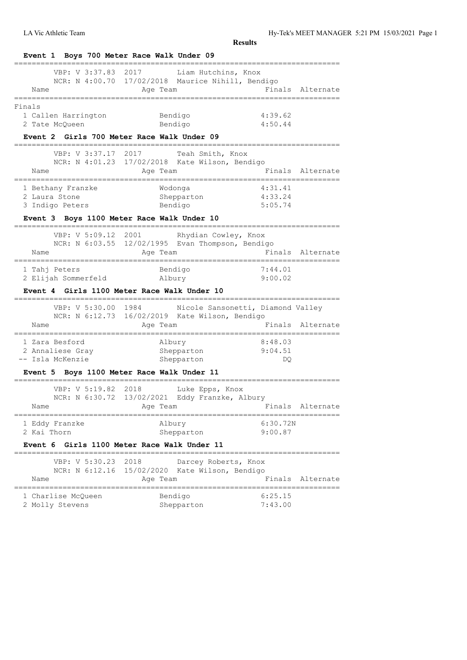| Event 1 Boys 700 Meter Race Walk Under 09            |                                                                                                                                                                                                                                 |                                   |                  |
|------------------------------------------------------|---------------------------------------------------------------------------------------------------------------------------------------------------------------------------------------------------------------------------------|-----------------------------------|------------------|
| VBP: V 3:37.83<br>Name                               | 2017<br>Liam Hutchins, Knox<br>NCR: N 4:00.70 17/02/2018 Maurice Nihill, Bendigo<br>Age Team                                                                                                                                    |                                   | Finals Alternate |
| Finals                                               |                                                                                                                                                                                                                                 |                                   |                  |
| 1 Callen Harrington                                  | Bendigo                                                                                                                                                                                                                         | 4:39.62                           |                  |
| 2 Tate McQueen                                       | Bendigo                                                                                                                                                                                                                         | 4:50.44                           |                  |
| Event 2 Girls 700 Meter Race Walk Under 09           |                                                                                                                                                                                                                                 |                                   |                  |
| VBP: V 3:37.17<br>2017                               | Teah Smith, Knox                                                                                                                                                                                                                |                                   |                  |
| Name                                                 | NCR: N 4:01.23 17/02/2018 Kate Wilson, Bendigo<br>Age Team                                                                                                                                                                      |                                   | Finals Alternate |
|                                                      |                                                                                                                                                                                                                                 | =========================         |                  |
| 1 Bethany Franzke                                    | Wodonga                                                                                                                                                                                                                         | 4:31.41                           |                  |
| 2 Laura Stone<br>3 Indigo Peters                     | Shepparton<br>Bendigo                                                                                                                                                                                                           | 4:33.24<br>5:05.74                |                  |
| Event 3 Boys 1100 Meter Race Walk Under 10           |                                                                                                                                                                                                                                 |                                   |                  |
|                                                      |                                                                                                                                                                                                                                 |                                   |                  |
| VBP: V 5:09.12<br>2001                               | Rhydian Cowley, Knox<br>NCR: N 6:03.55 12/02/1995 Evan Thompson, Bendigo                                                                                                                                                        |                                   |                  |
| Name                                                 | Age Team                                                                                                                                                                                                                        |                                   | Finals Alternate |
| -----------------------------------<br>1 Tahj Peters | Bendigo                                                                                                                                                                                                                         | 7:44.01                           |                  |
| 2 Elijah Sommerfeld                                  | Albury                                                                                                                                                                                                                          | 9:00.02                           |                  |
| Event 4 Girls 1100 Meter Race Walk Under 10          | .                                                                                                                                                                                                                               |                                   |                  |
| VBP: V 5:30.00                                       | 1984 - 1984 - 1984 - 1985 - 1986 - 1986 - 1986 - 1986 - 1986 - 1986 - 1986 - 1986 - 1986 - 1986 - 1986 - 1986 - 1986 - 1986 - 1986 - 1986 - 1986 - 1986 - 1986 - 1986 - 1986 - 1986 - 1986 - 1986 - 1986 - 1986 - 1986 - 1986 - | Nicole Sansonetti, Diamond Valley |                  |
| Name                                                 | NCR: N 6:12.73 16/02/2019 Kate Wilson, Bendigo<br>Age Team                                                                                                                                                                      |                                   | Finals Alternate |
|                                                      |                                                                                                                                                                                                                                 |                                   |                  |
| 1 Zara Besford                                       | Albury                                                                                                                                                                                                                          | 8:48.03                           |                  |
| 2 Annaliese Gray<br>-- Isla McKenzie                 | Shepparton<br>Shepparton                                                                                                                                                                                                        | 9:04.51<br>DQ.                    |                  |
| Event 5 Boys 1100 Meter Race Walk Under 11           |                                                                                                                                                                                                                                 |                                   |                  |
| VBP: V 5:19.82                                       | 2018                                                                                                                                                                                                                            |                                   |                  |
| NCR: N 6:30.72                                       | Luke Epps, Knox<br>13/02/2021<br>Eddy Franzke, Albury                                                                                                                                                                           |                                   |                  |
| Name                                                 | Age Team                                                                                                                                                                                                                        | Finals                            | Alternate        |
| 1 Eddy Franzke                                       | Albury                                                                                                                                                                                                                          | 6:30.72N                          |                  |
| 2 Kai Thorn                                          | Shepparton                                                                                                                                                                                                                      | 9:00.87                           |                  |
| Event 6                                              | Girls 1100 Meter Race Walk Under 11                                                                                                                                                                                             |                                   |                  |
| VBP: V 5:30.23                                       | 2018<br>Darcey Roberts, Knox                                                                                                                                                                                                    |                                   |                  |
| NCR: N 6:12.16                                       | 15/02/2020<br>Kate Wilson, Bendigo                                                                                                                                                                                              |                                   |                  |
| Name                                                 | Age Team                                                                                                                                                                                                                        | Finals                            | Alternate        |
| 1 Charlise McQueen                                   | Bendigo                                                                                                                                                                                                                         | 6:25.15                           |                  |
| 2 Molly Stevens                                      | Shepparton                                                                                                                                                                                                                      | 7:43.00                           |                  |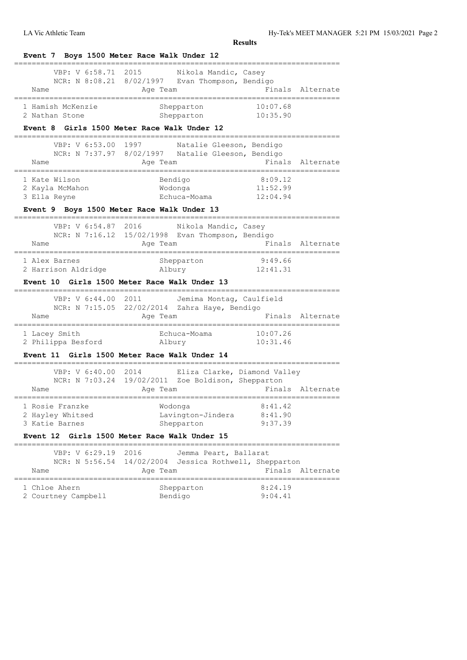| Name                                                                                                                                                       | VBP: V 6:58.71 2015 Nikola Mandic, Casey<br>NCR: N 8:08.21 8/02/1997 Evan Thompson, Bendigo<br>Age Team                |                                                         | Finals Alternate                     |
|------------------------------------------------------------------------------------------------------------------------------------------------------------|------------------------------------------------------------------------------------------------------------------------|---------------------------------------------------------|--------------------------------------|
| 1 Hamish McKenzie<br>2 Nathan Stone                                                                                                                        | Shepparton<br>Shepparton<br>Event 8 Girls 1500 Meter Race Walk Under 12                                                | 10:07.68<br>10:35.90                                    |                                      |
| VBP: V 6:53.00<br>Name                                                                                                                                     | 1997 — 1997<br>Natalie Gleeson, Bendigo<br>NCR: N 7:37.97 8/02/1997 Natalie Gleeson, Bendigo<br>Age Team               |                                                         | Finals Alternate<br>_____________    |
| 1 Kate Wilson<br>2 Kayla McMahon<br>3 Ella Reyne                                                                                                           | Bendigo<br>Wodonga<br>Echuca-Moama 12:04.94                                                                            | 8:09.12<br>11:52.99                                     |                                      |
|                                                                                                                                                            | Event 9 Boys 1500 Meter Race Walk Under 13                                                                             |                                                         |                                      |
| VBP: V 6:54.87 2016<br>Name<br>=====================================                                                                                       | Nikola Mandic, Casey<br>NCR: N 7:16.12 15/02/1998 Evan Thompson, Bendigo<br>Age Team                                   | Finals Alternate                                        |                                      |
| 1 Alex Barnes<br>2 Harrison Aldridge                                                                                                                       | Shepparton<br>Albury<br>Event 10 Girls 1500 Meter Race Walk Under 13                                                   | 9:49.66<br>12:41.31                                     |                                      |
| VBP: V 6:44.00<br>Name                                                                                                                                     | . _ _ _ _ _ _ _ _ _ _<br>2011<br>Jemima Montag, Caulfield<br>NCR: N 7:15.05 22/02/2014 Zahra Haye, Bendigo<br>Age Team |                                                         | Finals Alternate                     |
|                                                                                                                                                            |                                                                                                                        |                                                         |                                      |
|                                                                                                                                                            | Echuca-Moama 10:07.26<br>Event 11 Girls 1500 Meter Race Walk Under 14                                                  | 10:31.46                                                |                                      |
| ------------<br>VBP: V 6:40.00 2014<br>Name                                                                                                                | Eliza Clarke, Diamond Valley<br>NCR: N 7:03.24 19/02/2011 Zoe Boldison, Shepparton<br>Age Team                         |                                                         |                                      |
|                                                                                                                                                            | Wodonga<br>Lavington-Jindera<br>Shepparton                                                                             | 8:41.42<br>8:41.90<br>9:37.39                           |                                      |
|                                                                                                                                                            | Event 12 Girls 1500 Meter Race Walk Under 15<br>________________________                                               |                                                         |                                      |
| 1 Lacey Smith<br>2 Philippa Besford Albury<br>1 Rosie Franzke<br>2 Hayley Whitsed<br>3 Katie Barnes<br>VBP: V 6:29.19<br>NCR: N 5:56.54 14/02/2004<br>Name | 2016<br>Jemma Peart, Ballarat<br>Age Team                                                                              | Jessica Rothwell, Shepparton<br>----------------------- | Finals Alternate<br>Finals Alternate |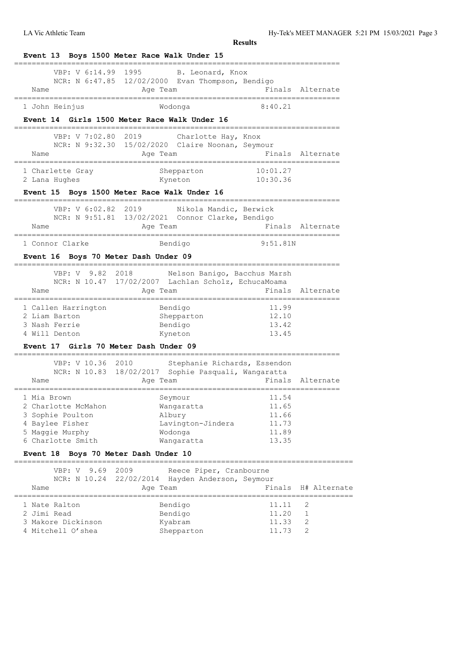|                                                                                                                   | Event 13 Boys 1500 Meter Race Walk Under 15                                                             |                                                    |                  |
|-------------------------------------------------------------------------------------------------------------------|---------------------------------------------------------------------------------------------------------|----------------------------------------------------|------------------|
| VBP: V 6:14.99<br>Name                                                                                            | 1995<br>B. Leonard, Knox<br>NCR: N 6:47.85 12/02/2000 Evan Thompson, Bendigo<br>Age Team                |                                                    | Finals Alternate |
| 1 John Heinjus                                                                                                    | Wodonga                                                                                                 | 8:40.21                                            |                  |
|                                                                                                                   | Event 14 Girls 1500 Meter Race Walk Under 16                                                            |                                                    |                  |
| VBP: V 7:02.80<br>Name                                                                                            | 2019<br>Charlotte Hay, Knox<br>NCR: N 9:32.30 15/02/2020 Claire Noonan, Seymour<br>Age Team             | ------------------------------------               | Finals Alternate |
| 1 Charlette Gray                                                                                                  | Shepparton                                                                                              | 10:01.27                                           |                  |
| 2 Lana Hughes                                                                                                     | Kyneton                                                                                                 | 10:30.36                                           |                  |
|                                                                                                                   | Event 15 Boys 1500 Meter Race Walk Under 16                                                             |                                                    |                  |
| VBP: V 6:02.82 2019<br>Name                                                                                       | Nikola Mandic, Berwick<br>NCR: N 9:51.81 13/02/2021 Connor Clarke, Bendigo<br>Age Team                  |                                                    | Finals Alternate |
| 1 Connor Clarke                                                                                                   | Bendigo                                                                                                 | 9:51.81N                                           |                  |
| Event 16 Boys 70 Meter Dash Under 09                                                                              |                                                                                                         |                                                    |                  |
| 9.82<br>VBP: V<br>NCR: N 10.47                                                                                    | Nelson Banigo, Bacchus Marsh<br>2018<br>17/02/2007 Lachlan Scholz, EchucaMoama                          |                                                    |                  |
| Name<br>=================================                                                                         | Age Team                                                                                                | =================                                  | Finals Alternate |
| 1 Callen Harrington<br>2 Liam Barton<br>3 Nash Ferrie<br>4 Will Denton<br>Event 17 Girls 70 Meter Dash Under 09   | Bendigo<br>Shepparton<br>Bendigo<br>Kyneton                                                             | 11.99<br>12.10<br>13.42<br>13.45                   |                  |
|                                                                                                                   |                                                                                                         |                                                    |                  |
| VBP: V 10.36<br>Name                                                                                              | 2010<br>Stephanie Richards, Essendon<br>NCR: N 10.83 18/02/2017 Sophie Pasquali, Wangaratta<br>Age Team |                                                    | Finals Alternate |
| 1 Mia Brown<br>2 Charlotte McMahon<br>3 Sophie Poulton<br>4 Baylee Fisher<br>5 Maggie Murphy<br>6 Charlotte Smith | Seymour<br>Wangaratta<br>Albury<br>Lavington-Jindera<br>Wodonga<br>Wangaratta                           | 11.54<br>11.65<br>11.66<br>11.73<br>11.89<br>13.35 |                  |
| Event 18 Boys 70 Meter Dash Under 10                                                                              |                                                                                                         |                                                    |                  |
| VBP: V<br>9.69<br>Name                                                                                            | 2009<br>Reece Piper, Cranbourne<br>NCR: N 10.24 22/02/2014 Hayden Anderson, Seymour<br>Age Team         | Finals                                             | H# Alternate     |
| =============<br>1 Nate Ralton<br>2 Jimi Read<br>3 Makore Dickinson<br>4 Mitchell O'shea                          | Bendigo<br>Bendigo<br>Kyabram<br>Shepparton                                                             | 11.11<br>11.20<br>11.33<br>11.73                   | 2<br>1<br>2<br>2 |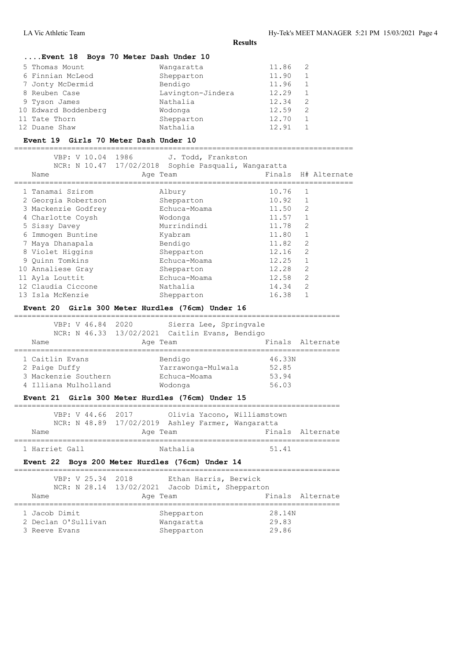==========================================================================

# **....Event 18 Boys 70 Meter Dash Under 10**

| 5 Thomas Mount       | Wangaratta        | 11.86 | - 2 |
|----------------------|-------------------|-------|-----|
| 6 Finnian McLeod     | Shepparton        | 11.90 |     |
| 7 Jonty McDermid     | Bendigo           | 11.96 |     |
| 8 Reuben Case        | Lavington-Jindera | 12.29 |     |
| 9 Tyson James        | Nathalia          | 12.34 | 2   |
| 10 Edward Boddenberg | Wodonga           | 12.59 | 2   |
| 11 Tate Thorn        | Shepparton        | 12.70 |     |
| 12 Duane Shaw        | Nathalia          | 12.91 |     |

#### **Event 19 Girls 70 Meter Dash Under 10**

=============================================================================

| VBP: V 10.04            | 1986<br>J. Todd, Frankston  |       |                     |
|-------------------------|-----------------------------|-------|---------------------|
| NCR: N 10.47 17/02/2018 | Sophie Pasquali, Wangaratta |       |                     |
| Name                    | Age Team                    |       | Finals H# Alternate |
| 1 Tanamai Szirom        | Albury                      | 10.76 | $\mathbf{1}$        |
| 2 Georgia Robertson     | Shepparton                  | 10.92 | 1                   |
| 3 Mackenzie Godfrey     | Echuca-Moama                | 11.50 | 2                   |
| 4 Charlotte Coysh       | Wodonga                     | 11.57 | 1                   |
| 5 Sissy Davey           | Murrindindi                 | 11.78 | $\overline{2}$      |
| 6 Immogen Buntine       | Kyabram                     | 11.80 | $\mathbf{1}$        |
| 7 Maya Dhanapala        | Bendigo                     | 11.82 | 2                   |
| 8 Violet Higgins        | Shepparton                  | 12.16 | $\overline{2}$      |
| 9 Quinn Tomkins         | Echuca-Moama                | 12.25 | $\mathbf{1}$        |
| 10 Annaliese Gray       | Shepparton                  | 12.28 | $\overline{2}$      |
| 11 Ayla Louttit         | Echuca-Moama                | 12.58 | 2                   |
| 12 Claudia Ciccone      | Nathalia                    | 14.34 | $\overline{2}$      |
| 13 Isla McKenzie        | Shepparton                  | 16.38 |                     |

#### **Event 20 Girls 300 Meter Hurdles (76cm) Under 16**

| VBP: V 46.84 2020<br>Name                                                        | NCR: N 46.33 13/02/2021 Caitlin Evans, Bendigo<br>Age Team | Sierra Lee, Springvale |                                   | Finals Alternate |
|----------------------------------------------------------------------------------|------------------------------------------------------------|------------------------|-----------------------------------|------------------|
| 1 Caitlin Evans<br>2 Paige Duffy<br>3 Mackenzie Southern<br>4 Illiana Mulholland | Bendigo<br>Yarrawonga-Mulwala<br>Echuca-Moama<br>Wodonga   |                        | 46.33N<br>52.85<br>53.94<br>56.03 |                  |

# **Event 21 Girls 300 Meter Hurdles (76cm) Under 15**

| VBP: V 44.66 2017 | Olivia Yacono, Williamstown                       |                  |
|-------------------|---------------------------------------------------|------------------|
|                   | NCR: N 48.89 17/02/2019 Ashley Farmer, Wangaratta |                  |
| Name              | Age Team                                          | Finals Alternate |
|                   |                                                   |                  |
| 1 Harriet Gall    | Nathalia                                          | 51.41            |

#### **Event 22 Boys 200 Meter Hurdles (76cm) Under 14**

| VBP: V 25.34 2018   | Ethan Harris, Berwick<br>NCR: N 28.14 13/02/2021 Jacob Dimit, Shepparton |                  |
|---------------------|--------------------------------------------------------------------------|------------------|
| Name                | Age Team                                                                 | Finals Alternate |
|                     |                                                                          |                  |
| 1 Jacob Dimit       | Shepparton                                                               | 28.14N           |
| 2 Declan O'Sullivan | Wangaratta                                                               | 29.83            |
| 3 Reeve Evans       | Shepparton                                                               | 29.86            |
|                     |                                                                          |                  |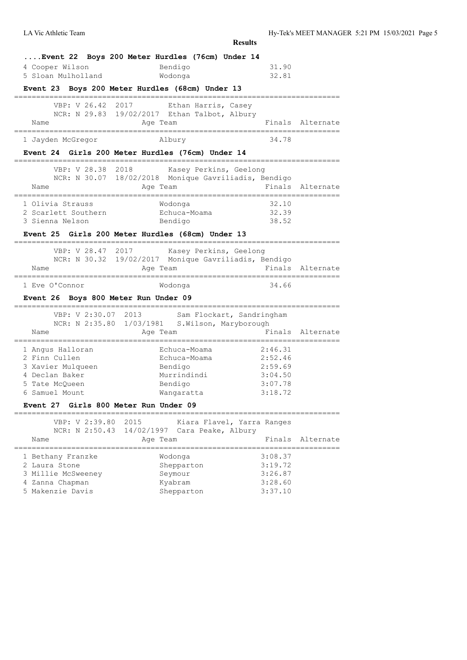|                                                                                                                                                                         |                                                                                                                                                  | <b>Results</b>                                                 |                  |
|-------------------------------------------------------------------------------------------------------------------------------------------------------------------------|--------------------------------------------------------------------------------------------------------------------------------------------------|----------------------------------------------------------------|------------------|
| 4 Cooper Wilson<br>5 Sloan Mulholland                                                                                                                                   | Event 22 Boys 200 Meter Hurdles (76cm) Under 14<br>Bendigo<br>Wodonga<br>Event 23 Boys 200 Meter Hurdles (68cm) Under 13                         | 31.90<br>32.81                                                 |                  |
| VBP: V 26.42 2017<br>Name                                                                                                                                               | Ethan Harris, Casey<br>NCR: N 29.83 19/02/2017 Ethan Talbot, Albury<br>Age Team                                                                  |                                                                | Finals Alternate |
| 1 Jayden McGregor                                                                                                                                                       | Albury<br>Event 24 Girls 200 Meter Hurdles (76cm) Under 14                                                                                       | 34.78                                                          |                  |
| VBP: V 28.38 2018<br>Name                                                                                                                                               | Kasey Perkins, Geelong<br>NCR: N 30.07 18/02/2018 Monique Gavriliadis, Bendigo<br>Age Team                                                       |                                                                | Finals Alternate |
| 1 Olivia Strauss<br>2 Scarlett Southern<br>3 Sienna Nelson                                                                                                              | Wodonqa<br>Echuca-Moama<br>Bendigo                                                                                                               | 32.10<br>32.39<br>38.52                                        |                  |
|                                                                                                                                                                         | Event 25 Girls 200 Meter Hurdles (68cm) Under 13                                                                                                 |                                                                |                  |
| Name<br>==================                                                                                                                                              | VBP: V 28.47 2017 Kasey Perkins, Geelong<br>NCR: N 30.32 19/02/2017 Monique Gavriliadis, Bendigo<br>Age Team                                     |                                                                | Finals Alternate |
| 1 Eve O'Connor<br>Event 26 Boys 800 Meter Run Under 09                                                                                                                  | Wodonga                                                                                                                                          | 34.66                                                          |                  |
| VBP: V 2:30.07 2013<br>Name                                                                                                                                             | Sam Flockart, Sandringham<br>NCR: N 2:35.80 1/03/1981 S. Wilson, Maryborough<br>Age Team                                                         | Finals                                                         | Alternate        |
| .===================================<br>1 Angus Halloran<br>2 Finn Cullen<br>3 Xavier Mulqueen<br>4 Declan Baker<br>5 Tate McQueen<br>6 Samuel Mount<br><b>Event 27</b> | _____________________________<br>Echuca-Moama<br>Echuca-Moama<br>Bendigo<br>Murrindindi<br>Bendigo<br>Wangaratta<br>Girls 800 Meter Run Under 09 | 2:46.31<br>2:52.46<br>2:59.69<br>3:04.50<br>3:07.78<br>3:18.72 |                  |
| VBP: V 2:39.80<br>Name                                                                                                                                                  | ----------<br>2015<br>Kiara Flavel, Yarra Ranges<br>NCR: N 2:50.43 14/02/1997 Cara Peake, Albury<br>Age Team                                     | Finals                                                         | Alternate        |
| 1 Bethany Franzke<br>2 Laura Stone<br>3 Millie McSweeney<br>4 Zanna Chapman<br>5 Makenzie Davis                                                                         | Wodonga<br>Shepparton<br>Seymour<br>Kyabram<br>Shepparton                                                                                        | 3:08.37<br>3:19.72<br>3:26.87<br>3:28.60<br>3:37.10            |                  |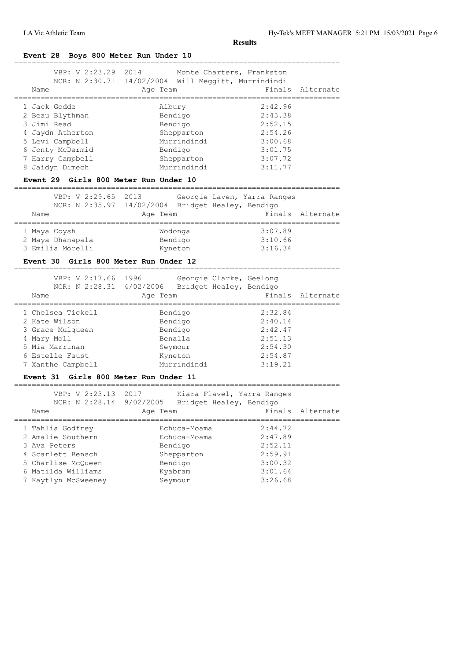**Event 28 Boys 800 Meter Run Under 10**

| VBP: V 2:23.29 2014<br>Name<br>==========                                                                                                                                | Monte Charters, Frankston<br>NCR: N 2:30.71 14/02/2004 Will Meggitt, Murrindindi<br>Age Team      | Finals<br>=============                                                              | Alternate        |
|--------------------------------------------------------------------------------------------------------------------------------------------------------------------------|---------------------------------------------------------------------------------------------------|--------------------------------------------------------------------------------------|------------------|
| 1 Jack Godde<br>2 Beau Blythman<br>3 Jimi Read<br>4 Jaydn Atherton<br>5 Levi Campbell<br>6 Jonty McDermid<br>7 Harry Campbell<br>8 Jaidyn Dimech                         | Albury<br>Bendigo<br>Bendigo<br>Shepparton<br>Murrindindi<br>Bendigo<br>Shepparton<br>Murrindindi | 2:42.96<br>2:43.38<br>2:52.15<br>2:54.26<br>3:00.68<br>3:01.75<br>3:07.72<br>3:11.77 |                  |
| Event 29 Girls 800 Meter Run Under 10<br>VBP: V 2:29.65 2013<br>Name                                                                                                     | Georgie Laven, Yarra Ranges<br>NCR: N 2:35.97 14/02/2004 Bridget Healey, Bendigo<br>Age Team      |                                                                                      | Finals Alternate |
| ______________________<br>1 Maya Coysh<br>2 Maya Dhanapala<br>3 Emilia Morelli<br>Event 30 Girls 800 Meter Run Under 12                                                  | Wodonga<br>Bendigo<br>Kyneton                                                                     | 3:07.89<br>3:10.66<br>3:16.34                                                        |                  |
| VBP: V 2:17.66 1996<br>Name                                                                                                                                              | Georgie Clarke, Geelong<br>NCR: N 2:28.31 4/02/2006 Bridget Healey, Bendigo<br>Age Team           |                                                                                      | Finals Alternate |
| 1 Chelsea Tickell<br>2 Kate Wilson<br>3 Grace Mulqueen<br>4 Mary Moll<br>5 Mia Marrinan<br>6 Estelle Faust<br>7 Xanthe Campbell<br>Event 31 Girls 800 Meter Run Under 11 | Bendigo<br>Bendigo<br>Bendigo<br>Benalla<br>Seymour<br>Kyneton<br>Murrindindi                     | 2:32.84<br>2:40.14<br>2:42.47<br>2:51.13<br>2:54.30<br>2:54.87<br>3:19.21            |                  |
|                                                                                                                                                                          |                                                                                                   |                                                                                      |                  |
| VBP: V 2:23.13 2017<br>NCR: N 2:28.14<br>Name                                                                                                                            | Kiara Flavel, Yarra Ranges<br>Bridget Healey, Bendigo<br>9/02/2005<br>Age Team                    | Finals                                                                               | Alternate        |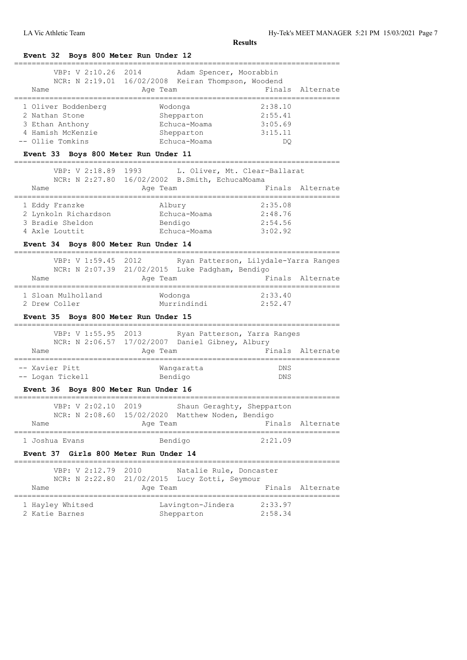#### **Event 32 Boys 800 Meter Run Under 12** ========================================================================== VBP: V 2:10.26 2014 Adam Spencer, Moorabbin NCR: N 2:19.01 16/02/2008 Keiran Thompson, Woodend Name **Age Team** Age Team Finals Alternate ==========================================================================

| 1 Oliver Boddenberg                  | Wodonga      | 2:38.10 |
|--------------------------------------|--------------|---------|
| 2 Nathan Stone                       | Shepparton   | 2:55.41 |
| 3 Ethan Anthony                      | Echuca-Moama | 3:05.69 |
| 4 Hamish McKenzie                    | Shepparton   | 3:15.11 |
| -- Ollie Tomkins                     | Echuca-Moama | DO      |
| Event 33 Boys 800 Meter Run Under 11 |              |         |

# VBP: V 2:18.89 1993 L. Oliver, Mt. Clear-Ballarat NCR: N 2:27.80 16/02/2002 B.Smith, EchucaMoama Name **Age Team** Age Team Finals Alternate ========================================================================== 1 Eddy Franzke Albury 2:35.08 2 Lynkoln Richardson Echuca-Moama 2:48.76 3 Bradie Sheldon Bendigo 2:54.56 4 Axle Louttit Echuca-Moama 3:02.92

==========================================================================

#### **Event 34 Boys 800 Meter Run Under 14**

|                                     | VBP: V 1:59.45 2012 |                                                 | Ryan Patterson, Lilydale-Yarra Ranges |                  |
|-------------------------------------|---------------------|-------------------------------------------------|---------------------------------------|------------------|
|                                     |                     | NCR: N 2:07.39 21/02/2015 Luke Padgham, Bendigo |                                       |                  |
| Name                                | Age Team            |                                                 |                                       | Finals Alternate |
| 1 Sloan Mulholland<br>2 Drew Coller |                     | Wodonga<br>Murrindindi                          | 2:33.40<br>2:52.47                    |                  |

#### **Event 35 Boys 800 Meter Run Under 15**

| VBP: V 1:55.95 2013 | NCR: N 2:06.57 17/02/2007 Daniel Gibney, Albury | Ryan Patterson, Yarra Ranges |
|---------------------|-------------------------------------------------|------------------------------|
| Name                | Age Team                                        | Finals Alternate             |
| -- Xavier Pitt      | Wangaratta                                      | <b>DNS</b>                   |
| -- Logan Tickell    | Bendigo                                         | <b>DNS</b>                   |

#### **Event 36 Boys 800 Meter Run Under 16**

| Event 37 Girls 800 Meter Run Under 14 |  |                     |          |                                                  |                            |                  |
|---------------------------------------|--|---------------------|----------|--------------------------------------------------|----------------------------|------------------|
| 1 Joshua Evans                        |  |                     | Bendigo  |                                                  | 2:21.09                    |                  |
| Name                                  |  |                     | Age Team |                                                  |                            | Finals Alternate |
|                                       |  | VBP: V 2:02.10 2019 |          | NCR: N 2:08.60 15/02/2020 Matthew Noden, Bendigo | Shaun Geraghty, Shepparton |                  |
|                                       |  |                     |          |                                                  |                            |                  |
|                                       |  |                     |          |                                                  |                            |                  |

# ========================================================================== VBP: V 2:12.79 2010 Natalie Rule, Doncaster

| Name             | NCR: N 2:22.80 21/02/2015 Lucy Zotti, Seymour<br>Age Team |         | Finals Alternate |
|------------------|-----------------------------------------------------------|---------|------------------|
| 1 Hayley Whitsed | Lavington-Jindera                                         | 2:33.97 |                  |
| 2 Katie Barnes   | Shepparton                                                | 2:58.34 |                  |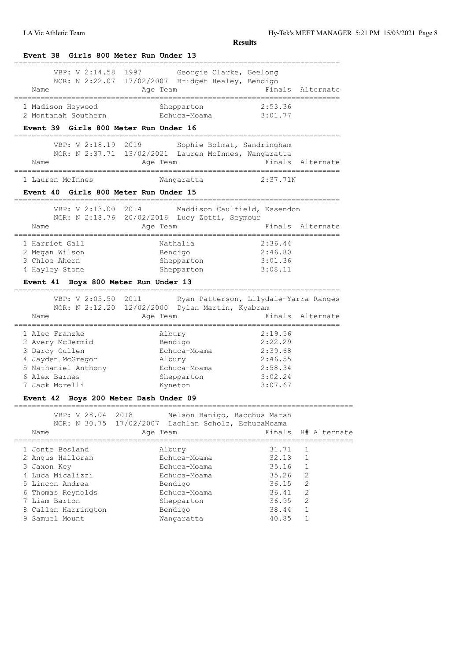| Girls 800 Meter Run Under 13<br><b>Event 38</b>                |                                                                                                                                                                                                                 |                    |                                |
|----------------------------------------------------------------|-----------------------------------------------------------------------------------------------------------------------------------------------------------------------------------------------------------------|--------------------|--------------------------------|
| VBP: V 2:14.58<br>Name<br>____________________________________ | 1997 — 1997 — 1997 — 1997 — 1997 — 1997 — 1997 — 1997 — 1997 — 1997 — 1997 — 1997 — 1998 — 1998 — 1998 — 1998 — 199<br>Georgie Clarke, Geelong<br>NCR: N 2:22.07 17/02/2007 Bridget Healey, Bendigo<br>Age Team |                    | Finals Alternate               |
| 1 Madison Heywood<br>2 Montanah Southern                       | Shepparton<br>Echuca-Moama 3:01.77                                                                                                                                                                              | 2:53.36            |                                |
| Event 39 Girls 800 Meter Run Under 16                          |                                                                                                                                                                                                                 |                    |                                |
| ==============================<br>VBP: V 2:18.19 2019<br>Name  | Sophie Bolmat, Sandringham<br>NCR: N 2:37.71 13/02/2021 Lauren McInnes, Wangaratta<br>Age Team                                                                                                                  |                    | Finals Alternate               |
| 1 Lauren McInnes                                               | Wangaratta                                                                                                                                                                                                      | 2:37.71N           |                                |
| Event 40 Girls 800 Meter Run Under 15                          |                                                                                                                                                                                                                 |                    |                                |
| VBP: V 2:13.00 2014                                            | ===============<br>Maddison Caulfield, Essendon<br>NCR: N 2:18.76 20/02/2016 Lucy Zotti, Seymour                                                                                                                |                    |                                |
| Name                                                           | Age Team<br>__________________________                                                                                                                                                                          |                    | Finals Alternate               |
| 1 Harriet Gall                                                 | Nathalia                                                                                                                                                                                                        | 2:36.44            |                                |
| 2 Megan Wilson<br>3 Chloe Ahern                                | Bendigo<br>Shepparton                                                                                                                                                                                           | 2:46.80<br>3:01.36 |                                |
| 4 Hayley Stone                                                 | Shepparton                                                                                                                                                                                                      | 3:08.11            |                                |
| Event 41 Boys 800 Meter Run Under 13                           |                                                                                                                                                                                                                 |                    |                                |
| VBP: V 2:05.50 2011<br>Name                                    | Ryan Patterson, Lilydale-Yarra Ranges<br>NCR: N 2:12.20 12/02/2000 Dylan Martin, Kyabram<br>Age Team                                                                                                            |                    | Finals Alternate               |
|                                                                |                                                                                                                                                                                                                 |                    | -----------                    |
| 1 Alec Franzke                                                 | Albury                                                                                                                                                                                                          | 2:19.56            |                                |
| 2 Avery McDermid<br>3 Darcy Cullen                             | Bendigo<br>Echuca-Moama                                                                                                                                                                                         | 2:22.29<br>2:39.68 |                                |
| 4 Jayden McGregor                                              | Albury                                                                                                                                                                                                          | 2:46.55            |                                |
| 5 Nathaniel Anthony                                            | Echuca-Moama                                                                                                                                                                                                    | 2:58.34            |                                |
| 6 Alex Barnes                                                  | Shepparton                                                                                                                                                                                                      | 3:02.24            |                                |
| 7 Jack Morelli                                                 | Kyneton                                                                                                                                                                                                         | 3:07.67            |                                |
| Event 42 Boys 200 Meter Dash Under 09                          |                                                                                                                                                                                                                 |                    |                                |
| VBP: V 28.04<br>2018                                           | Nelson Banigo, Bacchus Marsh                                                                                                                                                                                    |                    |                                |
| NCR: N 30.75                                                   | 17/02/2007<br>Lachlan Scholz, EchucaMoama                                                                                                                                                                       |                    |                                |
| Name                                                           | Age Team                                                                                                                                                                                                        | Finals             | H# Alternate                   |
| 1 Jonte Bosland                                                | Albury                                                                                                                                                                                                          | 31.71              | 1                              |
| 2 Angus Halloran                                               | Echuca-Moama                                                                                                                                                                                                    | 32.13              | $\mathbf{1}$                   |
| 3 Jaxon Key<br>4 Luca Micalizzi                                | Echuca-Moama<br>Echuca-Moama                                                                                                                                                                                    | 35.16<br>35.26     | $\mathbf{1}$<br>$\overline{2}$ |
| 5 Lincon Andrea                                                | Bendigo                                                                                                                                                                                                         | 36.15              | 2                              |
| 6 Thomas Reynolds                                              | Echuca-Moama                                                                                                                                                                                                    | 36.41              | 2                              |
| 7 Liam Barton                                                  | Shepparton                                                                                                                                                                                                      | 36.95              | $\mathfrak{D}$                 |
| 8 Callen Harrington                                            | Bendigo                                                                                                                                                                                                         | 38.44              | 1                              |
| 9 Samuel Mount                                                 | Wangaratta                                                                                                                                                                                                      | 40.85              | $\mathbf{1}$                   |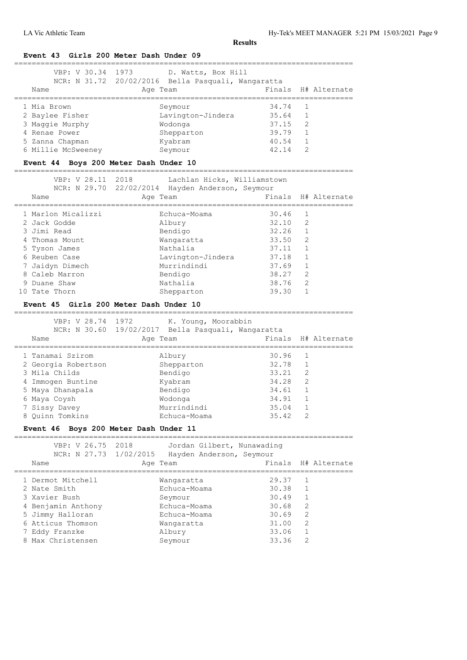#### **Event 43 Girls 200 Meter Dash Under 09**

| VBP: V 30.34 1973  | D. Watts, Box Hill                                 |       |                     |
|--------------------|----------------------------------------------------|-------|---------------------|
|                    | NCR: N 31.72 20/02/2016 Bella Pasquali, Wangaratta |       |                     |
| Name               | Age Team                                           |       | Finals H# Alternate |
|                    |                                                    |       |                     |
| 1 Mia Brown        | Seymour                                            | 34.74 |                     |
| 2 Baylee Fisher    | Lavington-Jindera                                  | 35.64 |                     |
| 3 Maggie Murphy    | Wodonga                                            | 37.15 | - 2                 |
| 4 Renae Power      | Shepparton                                         | 39.79 |                     |
| 5 Zanna Chapman    | Kyabram                                            | 40.54 |                     |
| 6 Millie McSweeney | Seymour                                            | 42.14 | 2                   |

# **Event 44 Boys 200 Meter Dash Under 10**

# =============================================================================

| VBP: V 28.11 2018<br>Name | Lachlan Hicks, Williamstown<br>NCR: N 29.70 22/02/2014 Hayden Anderson, Seymour<br>Age Team |                 | Finals H# Alternate |
|---------------------------|---------------------------------------------------------------------------------------------|-----------------|---------------------|
| 1 Marlon Micalizzi        | Echuca-Moama                                                                                | 30.46           | $\overline{1}$      |
| 2 Jack Godde              | Albury                                                                                      | $32.10 \quad 2$ |                     |
| 3 Jimi Read               | Bendigo                                                                                     | 32.26           |                     |
| 4 Thomas Mount            | Wangaratta                                                                                  | 33.50           | $\overline{2}$      |
| 5 Tyson James             | Nathalia                                                                                    | 37.11           |                     |
| 6 Reuben Case             | Lavington-Jindera                                                                           | 37.18           |                     |
| 7 Jaidyn Dimech           | Murrindindi                                                                                 | 37.69           |                     |
| 8 Caleb Marron            | Bendigo                                                                                     | 38.27           | $\overline{2}$      |
| 9 Duane Shaw              | Nathalia                                                                                    | 38.76           | $\mathcal{L}$       |
| 10 Tate Thorn             | Shepparton                                                                                  | 39.30           |                     |

# **Event 45 Girls 200 Meter Dash Under 10**

| ___                   |      |                        | _____   |
|-----------------------|------|------------------------|---------|
| 28<br>$74 -$<br>TTR D | 1972 | $ -$<br>ĸ<br><b>TT</b> | Moorabb |

|                     | $1.1$ $1.9$ $1.1$ $1.1$ $1.1$ $1.1$ $1.1$          |       |               |                     |
|---------------------|----------------------------------------------------|-------|---------------|---------------------|
|                     | NCR: N 30.60 19/02/2017 Bella Pasquali, Wangaratta |       |               |                     |
| Name                | Age Team                                           |       |               | Finals H# Alternate |
| 1 Tanamai Szirom    | Albury                                             | 30.96 | -1            |                     |
| 2 Georgia Robertson | Shepparton                                         | 32.78 |               |                     |
| 3 Mila Childs       | Bendigo                                            | 33.21 | 2             |                     |
| 4 Immogen Buntine   | Kyabram                                            | 34.28 | 2             |                     |
| 5 Maya Dhanapala    | Bendigo                                            | 34.61 | 1             |                     |
| 6 Maya Coysh        | Wodonga                                            | 34.91 |               |                     |
| 7 Sissy Davey       | Murrindindi                                        | 35.04 |               |                     |
| 8 Ouinn Tomkins     | Echuca-Moama                                       | 35.42 | $\mathcal{D}$ |                     |
|                     |                                                    |       |               |                     |

#### **Event 46 Boys 200 Meter Dash Under 11**

| VBP: V 26.75 2018<br>NCR: N 27.73 1/02/2015<br>Name | Jordan Gilbert, Nunawading<br>Hayden Anderson, Seymour<br>Age Team |       |                | Finals H# Alternate |
|-----------------------------------------------------|--------------------------------------------------------------------|-------|----------------|---------------------|
| 1 Dermot Mitchell                                   | Wangaratta                                                         | 29.37 | 1              |                     |
| 2 Nate Smith                                        | Echuca-Moama                                                       | 30.38 | $\overline{1}$ |                     |
| 3 Xavier Bush                                       | Seymour                                                            | 30.49 | $\mathbf{1}$   |                     |
| 4 Benjamin Anthony                                  | Echuca-Moama                                                       | 30.68 | $\mathcal{L}$  |                     |
| 5 Jimmy Halloran                                    | Echuca-Moama                                                       | 30.69 | $\mathcal{L}$  |                     |
| 6 Atticus Thomson                                   | Wangaratta                                                         | 31.00 | 2              |                     |
| 7 Eddy Franzke                                      | Albury                                                             | 33.06 | $\mathbf{1}$   |                     |
| 8 Max Christensen                                   | Seymour                                                            | 33.36 | 2              |                     |
|                                                     |                                                                    |       |                |                     |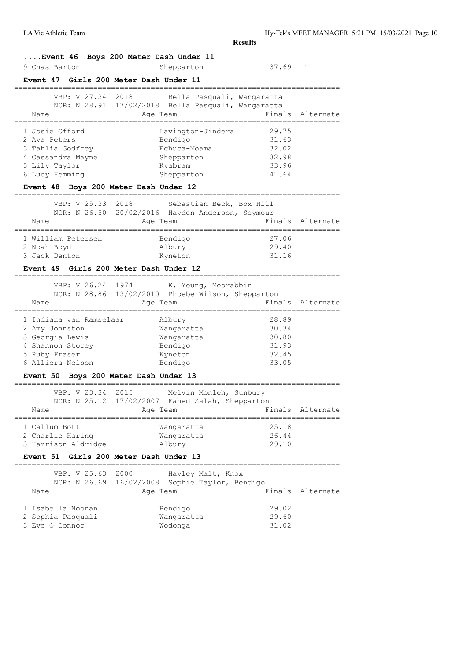# **....Event 46 Boys 200 Meter Dash Under 11**

| 9 Chas Barton | Shepparton | 37.69 |
|---------------|------------|-------|
|---------------|------------|-------|

#### **Event 47 Girls 200 Meter Dash Under 11**

| VBP: V 27.34 2018<br>Name                                                                                  | Bella Pasquali, Wangaratta<br>NCR: N 28.91 17/02/2018 Bella Pasquali, Wangaratta<br>Age Team | Finals Alternate                                   |
|------------------------------------------------------------------------------------------------------------|----------------------------------------------------------------------------------------------|----------------------------------------------------|
| 1 Josie Offord<br>2 Ava Peters<br>3 Tahlia Godfrey<br>4 Cassandra Mayne<br>5 Lily Taylor<br>6 Lucy Hemming | Lavington-Jindera<br>Bendigo<br>Echuca-Moama<br>Shepparton<br>Kyabram<br>Shepparton          | 29.75<br>31.63<br>32.02<br>32.98<br>33.96<br>41.64 |

#### **Event 48 Boys 200 Meter Dash Under 12**

========================================================================== VBP: V 25.33 2018 Sebastian Beck, Box Hill

| Name               | Age Team |                     | Finals Alternate                                                             |
|--------------------|----------|---------------------|------------------------------------------------------------------------------|
|                    |          |                     |                                                                              |
| 1 William Petersen | Bendigo  | 27.06               |                                                                              |
| 2 Noah Boyd        | Albury   | 29.40               |                                                                              |
| 3 Jack Denton      | Kyneton  | 31.16               |                                                                              |
|                    |          | VBL: V 20.99 - 2010 | Sepastian Beck, BOX HIII<br>NCR: N 26.50 20/02/2016 Hayden Anderson, Seymour |

#### **Event 49 Girls 200 Meter Dash Under 12**

| VBP: V 26.24 1974       |          | K. Young, Moorabbin                               |       |                  |
|-------------------------|----------|---------------------------------------------------|-------|------------------|
|                         |          | NCR: N 28.86 13/02/2010 Phoebe Wilson, Shepparton |       |                  |
| Name                    | Age Team |                                                   |       | Finals Alternate |
|                         |          |                                                   |       |                  |
| 1 Indiana van Ramselaar |          | Albury                                            | 28.89 |                  |
| 2 Amy Johnston          |          | Wangaratta                                        | 30.34 |                  |
| 3 Georgia Lewis         |          | Wangaratta                                        | 30.80 |                  |
| 4 Shannon Storey        |          | Bendigo                                           | 31.93 |                  |
| 5 Ruby Fraser           |          | Kyneton                                           | 32.45 |                  |
| 6 Alliera Nelson        |          | Bendigo                                           | 33.05 |                  |
|                         |          |                                                   |       |                  |

#### **Event 50 Boys 200 Meter Dash Under 13**

| VBP: V 23.34 2015<br>Name                                | Melvin Monleh, Sunbury<br>NCR: N 25.12 17/02/2007 Fahed Salah, Shepparton<br>Age Team |                         | Finals Alternate |
|----------------------------------------------------------|---------------------------------------------------------------------------------------|-------------------------|------------------|
|                                                          |                                                                                       |                         |                  |
| 1 Callum Bott<br>2 Charlie Haring<br>3 Harrison Aldridge | Wangaratta<br>Wangaratta<br>Albury                                                    | 25.18<br>26.44<br>29.10 |                  |

#### **Event 51 Girls 200 Meter Dash Under 13**

| VBP: V 25.63 2000<br>Name | Hayley Malt, Knox<br>NCR: N 26.69 16/02/2008 Sophie Taylor, Bendigo<br>Age Team |       | Finals Alternate |
|---------------------------|---------------------------------------------------------------------------------|-------|------------------|
| 1 Isabella Noonan         | Bendigo                                                                         | 29.02 |                  |
| 2 Sophia Pasquali         | Wangaratta                                                                      | 29.60 |                  |
| 3 Eve O'Connor            | Wodonga                                                                         | 31.02 |                  |

==========================================================================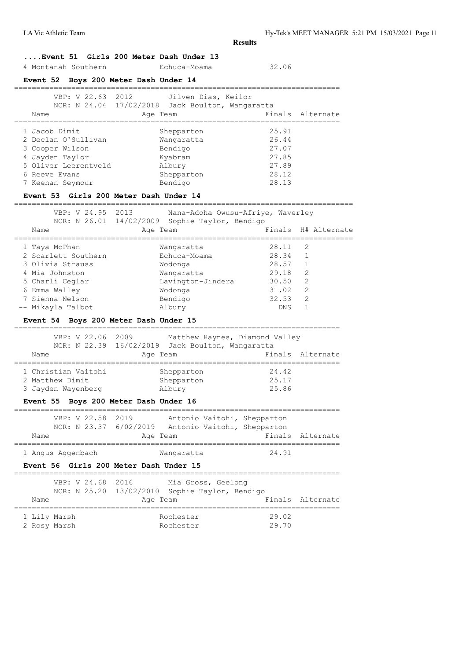**....Event 51 Girls 200 Meter Dash Under 13**

4 Montanah Southern Echuca-Moama 32.06

# **Event 52 Boys 200 Meter Dash Under 14**

| VBP: V 22.63 2012    | Jilven Dias, Keilor<br>NCR: N 24.04 17/02/2018 Jack Boulton, Wangaratta |                  |
|----------------------|-------------------------------------------------------------------------|------------------|
| Name                 | Age Team                                                                | Finals Alternate |
|                      |                                                                         |                  |
| 1 Jacob Dimit        | Shepparton                                                              | 25.91            |
| 2 Declan O'Sullivan  | Wangaratta                                                              | 26.44            |
| 3 Cooper Wilson      | Bendigo                                                                 | 27.07            |
| 4 Jayden Taylor      | Kyabram                                                                 | 27.85            |
| 5 Oliver Leerentveld | Albury                                                                  | 27.89            |
| 6 Reeve Evans        | Shepparton                                                              | 28.12            |
| 7 Keenan Seymour     | Bendigo                                                                 | 28.13            |
|                      |                                                                         |                  |

#### **Event 53 Girls 200 Meter Dash Under 14**

=============================================================================

| VBP: V 24.95 2013 | Nana-Adoha Owusu-Afriye, Waverley              |
|-------------------|------------------------------------------------|
|                   | NCR: N 26.01 14/02/2009 Sophie Taylor, Bendigo |

| Name                | Age Team          | Finals | H# Alternate |
|---------------------|-------------------|--------|--------------|
|                     |                   |        |              |
| 1 Taya McPhan       | Wangaratta        | 28.11  | -2           |
| 2 Scarlett Southern | Echuca-Moama      | 28.34  |              |
| 3 Olivia Strauss    | Wodonga           | 28.57  |              |
| 4 Mia Johnston      | Wangaratta        | 29.18  | 2            |
| 5 Charli Ceglar     | Lavington-Jindera | 30.50  | 2            |
| 6 Emma Walley       | Wodonga           | 31.02  | 2            |
| 7 Sienna Nelson     | Bendigo           | 32.53  | 2            |
| -- Mikayla Talbot   | Albury            | DNS    |              |

#### **Event 54 Boys 200 Meter Dash Under 15**

|                     | VBP: V 22.06 2009 |                                       |                                                  | Matthew Haynes, Diamond Valley |                  |
|---------------------|-------------------|---------------------------------------|--------------------------------------------------|--------------------------------|------------------|
|                     |                   |                                       | NCR: N 22.39 16/02/2019 Jack Boulton, Wangaratta |                                |                  |
| Name                |                   | Age Team                              |                                                  |                                | Finals Alternate |
|                     |                   |                                       |                                                  |                                |                  |
| 1 Christian Vaitohi |                   |                                       | Shepparton                                       | 24.42                          |                  |
| 2 Matthew Dimit     |                   |                                       | Shepparton                                       | 25.17                          |                  |
| 3 Jayden Wayenberg  |                   |                                       | Albury                                           | 25.86                          |                  |
|                     |                   | Event 55 Boys 200 Meter Dash Under 16 |                                                  |                                |                  |

|      |  | VBP: V 22.58 2019 |          |  | Antonio Vaitohi, Shepparton                        |                  |
|------|--|-------------------|----------|--|----------------------------------------------------|------------------|
|      |  |                   |          |  | NCR: N 23.37 6/02/2019 Antonio Vaitohi, Shepparton |                  |
| Name |  |                   | Age Team |  |                                                    | Finals Alternate |

| Angus Aggenbach | 12 12 12 12 | $\Delta$<br>◡ |
|-----------------|-------------|---------------|

# **Event 56 Girls 200 Meter Dash Under 15**

|      |  | VBP: V 24.68 2016 | Mia Gross, Geelong                             |                  |
|------|--|-------------------|------------------------------------------------|------------------|
|      |  |                   | NCR: N 25.20 13/02/2010 Sophie Taylor, Bendigo |                  |
| Name |  | Age Team          |                                                | Finals Alternate |

| 1 Lily Marsh | Rochester | 29.02 |
|--------------|-----------|-------|
| 2 Rosy Marsh | Rochester | 29.70 |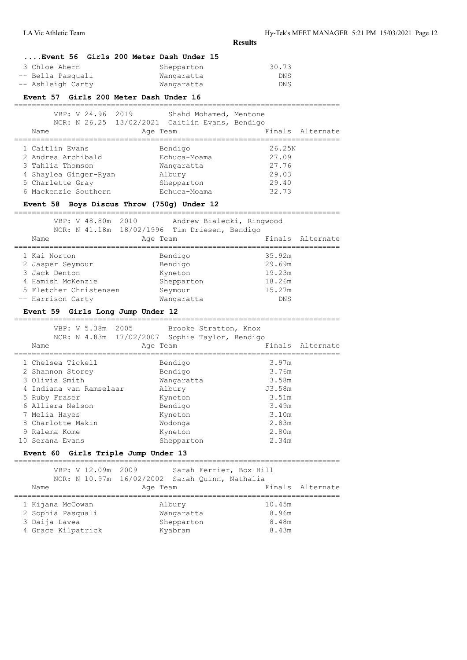**....Event 56 Girls 200 Meter Dash Under 15** 3 Chloe Ahern Shepparton 30.73 -- Bella Pasquali Wangaratta DNS -- Ashleigh Carty Wangaratta **Event 57 Girls 200 Meter Dash Under 16** ========================================================================== VBP: V 24.96 2019 Shahd Mohamed, Mentone NCR: N 26.25 13/02/2021 Caitlin Evans, Bendigo Name **Age Team** Age Team Finals Alternate ========================================================================== 1 Caitlin Evans<br>2 Andrea Archibald Echuca-Moama 2 Andrea Archibald 1 Echuca-Moama 27.09<br>
3 Tahlia Thomson 1 Mangaratta 27.76<br>
4 Shaylea Ginger-Ryan 29.03<br>
5 Charlette Gray 1 Shepparton 29.40 3 Tahlia Thomson Wangaratta 27.76 4 Shaylea Ginger-Ryan Albury 29.03 5 Charlette Gray Shepparton 29.40 6 Mackenzie Southern Echuca-Moama 32.73 **Event 58 Boys Discus Throw (750g) Under 12** ========================================================================== VBP: V 48.80m 2010 Andrew Bialecki, Ringwood NCR: N 41.18m 18/02/1996 Tim Driesen, Bendigo Name **Age Team** Age Team Finals Alternate ========================================================================== 1 Kai Norton Bendigo 35.92m 2 Jasper Seymour Bendigo 29.69m 3 Jack Denton Kyneton 19.23m 4 Hamish McKenzie Shepparton 18.26m 5 Fletcher Christensen Seymour 15.27m -- Harrison Carty **Wangaratta** DNS **Event 59 Girls Long Jump Under 12** ========================================================================== VBP: V 5.38m 2005 Brooke Stratton, Knox NCR: N 4.83m 17/02/2007 Sophie Taylor, Bendigo Name **Age Team** Age Team Finals Alternate ========================================================================== 1 Chelsea Tickell Bendigo 3.97m 2 Shannon Storey Bendigo 3.76m 3 Olivia Smith Wangaratta 3.58m 4 Indiana van Ramselaar Albury J3.58m 5 Ruby Fraser Kyneton 3.51m 6 Alliera Nelson Bendigo 3.49m 7 Melia Hayes Kyneton 3.10m 8 Charlotte Makin Wodonga 2.83m 9 Ralema Kome **Kyneton** 10 Serana Evans Shepparton 2.34m **Event 60 Girls Triple Jump Under 13** ========================================================================== VBP: V 12.09m 2009 Sarah Ferrier, Box Hill NCR: N 10.97m 16/02/2002 Sarah Quinn, Nathalia Name **Age Team** Age Team Finals Alternate ========================================================================== 1 Kijana McCowan Albury 10.45m 2 Sophia Pasquali Wangaratta 8.96m 3 Daija Lavea Shepparton 8.48m 4 Grace Kilpatrick Kyabram 8.43m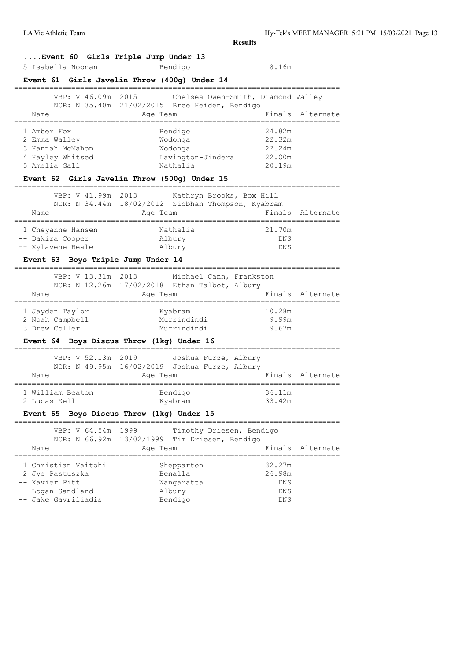LA Vic Athletic Team Hy-Tek's MEET MANAGER 5:21 PM 15/03/2021 Page 13

**Results**

# **....Event 60 Girls Triple Jump Under 13**

5 Isabella Noonan Bendigo 8.16m

# **Event 61 Girls Javelin Throw (400g) Under 14**

| VBP: V 46.09m 2015 | Chelsea Owen-Smith, Diamond Valley            |                  |
|--------------------|-----------------------------------------------|------------------|
|                    | NCR: N 35.40m 21/02/2015 Bree Heiden, Bendigo |                  |
| Name               | Age Team                                      | Finals Alternate |
|                    |                                               |                  |
| 1 Amber Fox        | Bendigo                                       | 24.82m           |
| 2 Emma Walley      | Wodonga                                       | 22.32m           |
| 3 Hannah McMahon   | Wodonga                                       | 22.24m           |
| 4 Hayley Whitsed   | Lavington-Jindera                             | 22.00m           |
| 5 Amelia Gall      | Nathalia                                      | 20.19m           |

# **Event 62 Girls Javelin Throw (500g) Under 15**

| VBP: V 41.99m 2013 | Kathryn Brooks, Box Hill<br>NCR: N 34.44m 18/02/2012 Siobhan Thompson, Kyabram |            |                  |
|--------------------|--------------------------------------------------------------------------------|------------|------------------|
| Name               | Age Team                                                                       |            | Finals Alternate |
|                    |                                                                                |            |                  |
| 1 Cheyanne Hansen  | Nathalia                                                                       | 21.70m     |                  |
| -- Dakira Cooper   | Albury                                                                         | <b>DNS</b> |                  |
| -- Xylavene Beale  | Albury                                                                         | <b>DNS</b> |                  |

# **Event 63 Boys Triple Jump Under 14**

|                                                     |  | VBP: V 13.31m 2013 |          | Michael Cann, Frankston<br>NCR: N 12.26m 17/02/2018 Ethan Talbot, Albury |  |                          |                  |
|-----------------------------------------------------|--|--------------------|----------|--------------------------------------------------------------------------|--|--------------------------|------------------|
| Name                                                |  |                    | Age Team |                                                                          |  |                          | Finals Alternate |
| 1 Jayden Taylor<br>2 Noah Campbell<br>3 Drew Coller |  |                    |          | Kyabram<br>Murrindindi<br>Murrindindi                                    |  | 10.28m<br>9.99m<br>9.67m |                  |
|                                                     |  |                    |          |                                                                          |  |                          |                  |

# **Event 64 Boys Discus Throw (1kg) Under 16**

| Name                             |  | VBP: V 52.13m 2019 | NCR: N 49.95m 16/02/2019 Joshua Furze, Albury<br>Age Team |                    | Joshua Furze, Albury |                  | Finals Alternate |
|----------------------------------|--|--------------------|-----------------------------------------------------------|--------------------|----------------------|------------------|------------------|
| 1 William Beaton<br>2 Lucas Kell |  |                    |                                                           | Bendigo<br>Kyabram |                      | 36.11m<br>33.42m |                  |

#### **Event 65 Boys Discus Throw (1kg) Under 15**

| VBP: V 64.54m 1999  | Timothy Driesen, Bendigo<br>NCR: N 66.92m 13/02/1999 Tim Driesen, Bendigo |                  |
|---------------------|---------------------------------------------------------------------------|------------------|
| Name                | Age Team                                                                  | Finals Alternate |
|                     |                                                                           |                  |
| 1 Christian Vaitohi | Shepparton                                                                | 32.27m           |
| 2 Jye Pastuszka     | Benalla                                                                   | 26.98m           |
| -- Xavier Pitt      | Wangaratta                                                                | <b>DNS</b>       |
| -- Logan Sandland   | Albury                                                                    | <b>DNS</b>       |
| -- Jake Gavriliadis | Bendigo                                                                   | <b>DNS</b>       |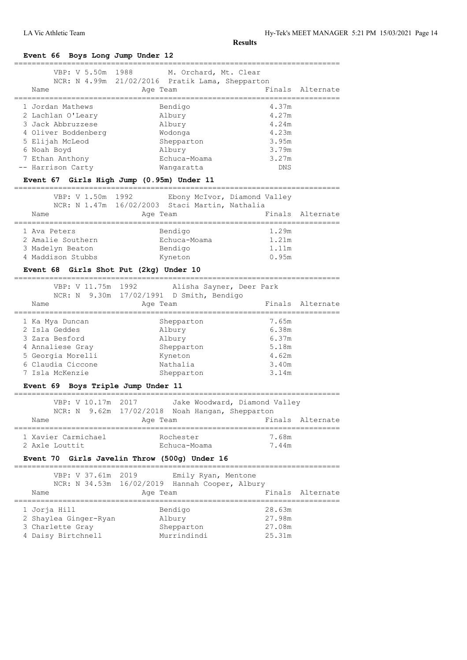**Event 66 Boys Long Jump Under 12**

| Name                | VBP: V 5.50m 1988 M. Orchard, Mt. Clear<br>NCR: N 4.99m 21/02/2016 Pratik Lama, Shepparton<br>Age Team | Finals Alternate |
|---------------------|--------------------------------------------------------------------------------------------------------|------------------|
|                     |                                                                                                        |                  |
| 1 Jordan Mathews    | Bendigo                                                                                                | 4.37m            |
| 2 Lachlan O'Leary   | Albury                                                                                                 | 4.27m            |
| 3 Jack Abbruzzese   | Albury                                                                                                 | 4.24m            |
| 4 Oliver Boddenberg | Wodonga                                                                                                | 4.23m            |
| 5 Elijah McLeod     | Shepparton                                                                                             | 3.95m            |
| 6 Noah Boyd         | Albury                                                                                                 | 3.79m            |
| 7 Ethan Anthony     | Echuca-Moama                                                                                           | 3.27m            |
| -- Harrison Carty   | Wangaratta                                                                                             | <b>DNS</b>       |
|                     | Event 67 Girls High Jump (0.95m) Under 11                                                              |                  |

#### ==========================================================================

|              | VBP: V 1.50m 1992 |          | NCR: N 1.47m 16/02/2003 Staci Martin, Nathalia | Ebony McIvor, Diamond Valley |                  |
|--------------|-------------------|----------|------------------------------------------------|------------------------------|------------------|
| Name         |                   | Age Team |                                                |                              | Finals Alternate |
| 1 Ava Peters |                   |          | Bendigo                                        | 1.29m                        |                  |
|              | 2 Amalie Southern |          | Echuca-Moama                                   | 1.21m                        |                  |
|              | 3 Madelyn Beaton  |          | Bendigo                                        | 1.11m                        |                  |
|              | 4 Maddison Stubbs |          | Kyneton                                        | 0.95m                        |                  |

#### **Event 68 Girls Shot Put (2kg) Under 10**

| VBP: V 11.75m 1992<br>Name                                                                                       | Alisha Sayner, Deer Park<br>NCR: N 9.30m 17/02/1991 D Smith, Bendigo<br>Age Team | Finals Alternate                                   |
|------------------------------------------------------------------------------------------------------------------|----------------------------------------------------------------------------------|----------------------------------------------------|
| 1 Ka Mya Duncan<br>2 Isla Geddes<br>3 Zara Besford<br>4 Annaliese Gray<br>5 Georgia Morelli<br>6 Claudia Ciccone | Shepparton<br>Albury<br>Albury<br>Shepparton<br>Kyneton<br>Nathalia              | 7.65m<br>6.38m<br>6.37m<br>5.18m<br>4.62m<br>3.40m |
| 7 Isla McKenzie                                                                                                  | Shepparton                                                                       | 3.14m                                              |
|                                                                                                                  |                                                                                  |                                                    |

# **Event 69 Boys Triple Jump Under 11**

|                                       |  | VBP: V 10.17m 2017 |          |                           | Jake Woodward, Diamond Valley                   |                |                  |
|---------------------------------------|--|--------------------|----------|---------------------------|-------------------------------------------------|----------------|------------------|
|                                       |  |                    |          |                           | NCR: N 9.62m 17/02/2018 Noah Hangan, Shepparton |                |                  |
| Name                                  |  |                    | Age Team |                           |                                                 |                | Finals Alternate |
| 1 Xavier Carmichael<br>2 Axle Louttit |  |                    |          | Rochester<br>Echuca-Moama |                                                 | 7.68m<br>7.44m |                  |

# **Event 70 Girls Javelin Throw (500g) Under 16**

========================================================================== VBP: V 37.61m 2019 Emily Ryan, Mentone NCR: N 34.53m 16/02/2019 Hannah Cooper, Albury Name **Age Team** Age Team Finals Alternate ========================================================================== 1 Jorja Hill Bendigo 28.63m 2 Shaylea Ginger-Ryan Albury 27.98m 3 Charlette Gray Shepparton 27.08m 4 Daisy Birtchnell Murrindindi 25.31m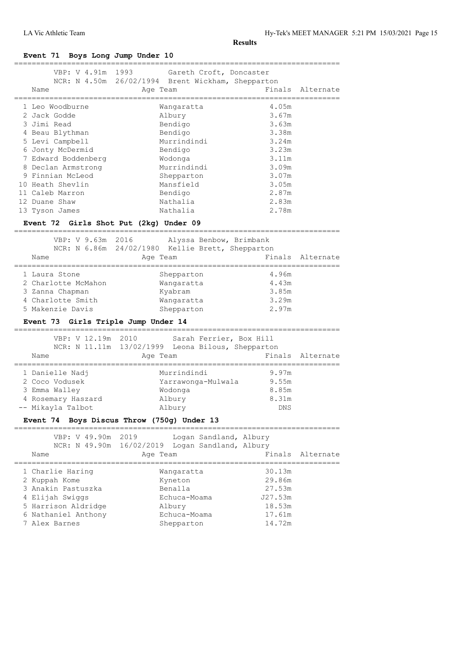| Event 71 Boys Long Jump Under 10       |                                                                                          |                                       |                  |
|----------------------------------------|------------------------------------------------------------------------------------------|---------------------------------------|------------------|
| VBP: V 4.91m 1993<br>Name              | Gareth Croft, Doncaster<br>NCR: N 4.50m 26/02/1994 Brent Wickham, Shepparton<br>Age Team |                                       | Finals Alternate |
| 1 Leo Woodburne                        | Wanqaratta                                                                               | ============================<br>4.05m |                  |
| 2 Jack Godde                           | Albury                                                                                   | 3.67m                                 |                  |
| 3 Jimi Read                            | Bendigo                                                                                  | 3.63m                                 |                  |
| 4 Beau Blythman                        | Bendigo                                                                                  | 3.38m                                 |                  |
| 5 Levi Campbell                        | Murrindindi                                                                              | 3.24m                                 |                  |
| 6 Jonty McDermid                       | Bendigo                                                                                  | 3.23m                                 |                  |
| 7 Edward Boddenberg                    | Wodonga                                                                                  | 3.11m                                 |                  |
| 8 Declan Armstrong                     | Murrindindi                                                                              | 3.09m                                 |                  |
| 9 Finnian McLeod                       | Shepparton                                                                               | 3.07m                                 |                  |
| 10 Heath Shevlin                       | Mansfield                                                                                | 3.05m                                 |                  |
| 11 Caleb Marron                        | Bendigo                                                                                  | 2.87m                                 |                  |
| 12 Duane Shaw                          | Nathalia                                                                                 | 2.83m                                 |                  |
| 13 Tyson James                         | Nathalia                                                                                 | 2.78m                                 |                  |
|                                        |                                                                                          |                                       |                  |
| Event 72 Girls Shot Put (2kg) Under 09 |                                                                                          |                                       |                  |
| VBP: V 9.63m 2016                      | Alyssa Benbow, Brimbank                                                                  |                                       |                  |
|                                        | NCR: N 6.86m 24/02/1980 Kellie Brett, Shepparton                                         |                                       |                  |
| Name                                   | Age Team                                                                                 |                                       | Finals Alternate |
|                                        |                                                                                          |                                       |                  |
| 1 Laura Stone                          | Shepparton                                                                               | 4.96m                                 |                  |
| 2 Charlotte McMahon                    | Wangaratta                                                                               | 4.43m                                 |                  |
| 3 Zanna Chapman                        | Kyabram                                                                                  | 3.85m                                 |                  |
| 4 Charlotte Smith                      | Wangaratta                                                                               | 3.29m                                 |                  |
| 5 Makenzie Davis                       | Shepparton                                                                               | 2.97m                                 |                  |
| Event 73 Girls Triple Jump Under 14    |                                                                                          |                                       |                  |
|                                        |                                                                                          |                                       |                  |
|                                        |                                                                                          |                                       |                  |
| VBP: V 12.19m 2010                     | Sarah Ferrier, Box Hill                                                                  |                                       |                  |
|                                        | NCR: N 11.11m 13/02/1999 Leona Bilous, Shepparton                                        |                                       |                  |
| Name                                   | Age Team                                                                                 | Finals                                |                  |
|                                        |                                                                                          |                                       |                  |
| 1 Danielle Nadj                        | Murrindindi                                                                              | 9.97m                                 |                  |
| 2 Coco Vodusek                         | Yarrawonga-Mulwala                                                                       | 9.55m                                 | Alternate        |
| 3 Emma Walley<br>4 Rosemary Haszard    | Wodonga<br>Albury                                                                        | 8.85m<br>8.31m                        |                  |

# **Event 74 Boys Discus Throw (750g) Under 13**

| VBP: V 49.90m 2019<br>NCR: N 49.90m 16/02/2019<br>Name                                                                                    | Logan Sandland, Albury<br>Logan Sandland, Albury<br>Age Team                             | Finals Alternate                                                    |
|-------------------------------------------------------------------------------------------------------------------------------------------|------------------------------------------------------------------------------------------|---------------------------------------------------------------------|
| 1 Charlie Haring<br>2 Kuppah Kome<br>3 Anakin Pastuszka<br>4 Elijah Swiggs<br>5 Harrison Aldridge<br>6 Nathaniel Anthony<br>7 Alex Barnes | Wangaratta<br>Kyneton<br>Benalla<br>Echuca-Moama<br>Albury<br>Echuca-Moama<br>Shepparton | 30.13m<br>29.86m<br>27.53m<br>J27.53m<br>18.53m<br>17.61m<br>14.72m |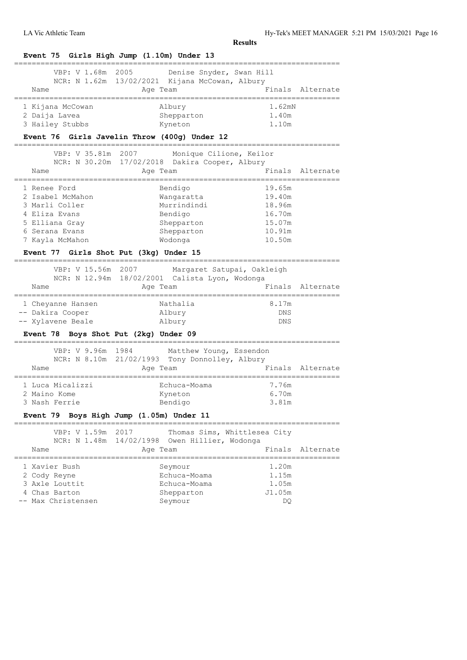| VBP: V 1.68m 2005<br>Name                                        | Denise Snyder, Swan Hill<br>NCR: N 1.62m 13/02/2021 Kijana McCowan, Albury<br>Age Team |                                                               | Finals Alternate<br>============= |
|------------------------------------------------------------------|----------------------------------------------------------------------------------------|---------------------------------------------------------------|-----------------------------------|
| 1 Kijana McCowan<br>2 Daija Lavea<br>3 Hailey Stubbs             | Albury<br>Shepparton                                                                   | 1.62mN<br>1.40m<br>1.10m                                      |                                   |
| Event 76 Girls Javelin Throw (400g) Under 12                     | Kyneton                                                                                |                                                               |                                   |
| VBP: V 35.81m                                                    | Monique Cilione, Keilor<br>2007                                                        |                                                               |                                   |
|                                                                  | NCR: N 30.20m 17/02/2018 Dakira Cooper, Albury                                         |                                                               |                                   |
| Name                                                             | Age Team                                                                               |                                                               | Finals Alternate                  |
| 1 Renee Ford                                                     | Bendigo                                                                                | 19.65m                                                        |                                   |
| 2 Isabel McMahon                                                 | Wangaratta                                                                             | 19.40m                                                        |                                   |
| 3 Marli Coller                                                   | Murrindindi                                                                            | 18.96m                                                        |                                   |
| 4 Eliza Evans                                                    | Bendigo                                                                                | 16.70m                                                        |                                   |
| 5 Elliana Gray                                                   | Shepparton                                                                             | 15.07m                                                        |                                   |
| 6 Serana Evans                                                   | Shepparton                                                                             | 10.91m                                                        |                                   |
| 7 Kayla McMahon                                                  | Wodonga                                                                                | 10.50m                                                        |                                   |
| Event 77 Girls Shot Put (3kg) Under 15                           |                                                                                        |                                                               |                                   |
|                                                                  | VBP: V 15.56m 2007 Margaret Satupai, Oakleigh                                          |                                                               |                                   |
|                                                                  | NCR: N 12.94m 18/02/2001 Calista Lyon, Wodonga                                         |                                                               |                                   |
| Name                                                             | Age Team                                                                               | -----------                                                   | Finals Alternate<br>------------- |
| 1 Cheyanne Hansen                                                | Nathalia                                                                               | 8.17m                                                         |                                   |
| -- Dakira Cooper                                                 | Albury                                                                                 | DNS                                                           |                                   |
| -- Xylavene Beale                                                | Albury                                                                                 | DNS                                                           |                                   |
| Event 78 Boys Shot Put (2kg) Under 09                            |                                                                                        |                                                               |                                   |
| VBP: V 9.96m<br>1984                                             | Matthew Young, Essendon                                                                |                                                               |                                   |
|                                                                  | NCR: N 8.10m 21/02/1993 Tony Donnolley, Albury                                         |                                                               |                                   |
| Name                                                             | Age Team                                                                               |                                                               | Finals Alternate                  |
| 1 Luca Micalizzi                                                 | Echuca-Moama                                                                           | 7.76m                                                         |                                   |
| 2 Maino Kome                                                     | Kyneton                                                                                | 6.70m                                                         |                                   |
| 3 Nash Ferrie                                                    | Bendigo                                                                                | 3.81m                                                         |                                   |
| Event 79 Boys High Jump (1.05m) Under 11                         |                                                                                        |                                                               |                                   |
| ================<br>VBP: V 1.59m 2017                            |                                                                                        | -----------------------------<br>Thomas Sims, Whittlesea City |                                   |
|                                                                  | NCR: N 1.48m 14/02/1998 Owen Hillier, Wodonga                                          |                                                               |                                   |
| Name<br>================================                         | Age Team                                                                               | Finals<br>=========================                           | Alternate                         |
|                                                                  | Seymour                                                                                | 1.20m                                                         |                                   |
|                                                                  |                                                                                        | 1.15m                                                         |                                   |
|                                                                  | Echuca-Moama                                                                           |                                                               |                                   |
|                                                                  | Echuca-Moama                                                                           | 1.05m                                                         |                                   |
| 1 Xavier Bush<br>2 Cody Reyne<br>3 Axle Louttit<br>4 Chas Barton | Shepparton                                                                             | J1.05m                                                        |                                   |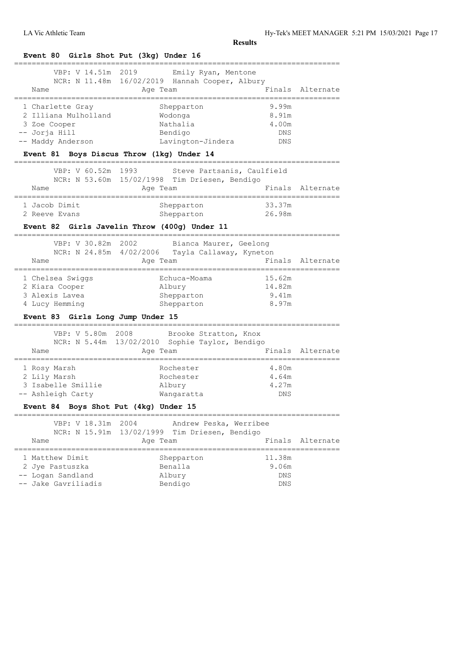| VBP: V 14.51m                                                        | 2019<br>Emily Ryan, Mentone                     |            |                    |
|----------------------------------------------------------------------|-------------------------------------------------|------------|--------------------|
|                                                                      | NCR: N 11.48m 16/02/2019 Hannah Cooper, Albury  |            |                    |
| Name<br>================                                             | Age Team                                        |            | Finals Alternate   |
| 1 Charlette Gray                                                     | Shepparton                                      | 9.99m      |                    |
| 2 Illiana Mulholland                                                 | Wodonqa                                         | 8.91m      |                    |
| 3 Zoe Cooper                                                         | Nathalia                                        | 4.00m      |                    |
| -- Jorja Hill                                                        | Bendigo                                         | DNS        |                    |
| -- Maddy Anderson                                                    | Lavington-Jindera                               | DNS        |                    |
|                                                                      | Event 81 Boys Discus Throw (1kg) Under 14       |            |                    |
| VBP: V 60.52m 1993                                                   | Steve Partsanis, Caulfield                      |            |                    |
|                                                                      | NCR: N 53.60m 15/02/1998 Tim Driesen, Bendigo   |            |                    |
| Name                                                                 | Age Team                                        |            | Finals Alternate   |
| 1 Jacob Dimit                                                        | Shepparton                                      | 33.37m     |                    |
| 2 Reeve Evans                                                        | Shepparton                                      | 26.98m     |                    |
| -------------                                                        | Event 82 Girls Javelin Throw (400g) Under 11    |            |                    |
| VBP: V 30.82m 2002                                                   | Bianca Maurer, Geelong                          |            |                    |
|                                                                      | NCR: N 24.85m 4/02/2006 Tayla Callaway, Kyneton |            |                    |
| Name<br>=================                                            | Age Team                                        |            | Finals Alternate   |
| 1 Chelsea Swiggs                                                     | Echuca-Moama                                    | 15.62m     |                    |
|                                                                      |                                                 |            |                    |
| 2 Kiara Cooper                                                       | Albury                                          | 14.82m     |                    |
| 3 Alexis Lavea                                                       | Shepparton                                      | 9.41m      |                    |
| 4 Lucy Hemming                                                       | Shepparton                                      | 8.97m      |                    |
| Event 83 Girls Long Jump Under 15<br>------------------------------- |                                                 |            |                    |
| VBP: V 5.80m 2008                                                    | Brooke Stratton, Knox                           |            |                    |
|                                                                      | NCR: N 5.44m 13/02/2010 Sophie Taylor, Bendigo  |            |                    |
| Name                                                                 | Age Team                                        |            |                    |
| 1 Rosy Marsh                                                         | Rochester                                       | 4.80m      |                    |
| 2 Lily Marsh                                                         | Rochester                                       | 4.64m      |                    |
|                                                                      | Albury                                          | 4.27m      |                    |
| 3 Isabelle Smillie<br>-- Ashleigh Carty                              | Wangaratta                                      | DNS        |                    |
| Event 84 Boys Shot Put (4kg) Under 15                                |                                                 |            |                    |
| VBP: V 18.31m                                                        | 2004<br>Andrew Peska, Werribee                  |            |                    |
| NCR: N 15.91m                                                        | 13/02/1999 Tim Driesen, Bendigo                 |            | Finals Alternate   |
| Name                                                                 | Age Team                                        |            | Finals Alternate   |
| 1 Matthew Dimit                                                      | Shepparton                                      | 11.38m     |                    |
| 2 Jye Pastuszka                                                      | Benalla                                         | 9.06m      |                    |
| -- Logan Sandland                                                    | Albury                                          | <b>DNS</b> | ================== |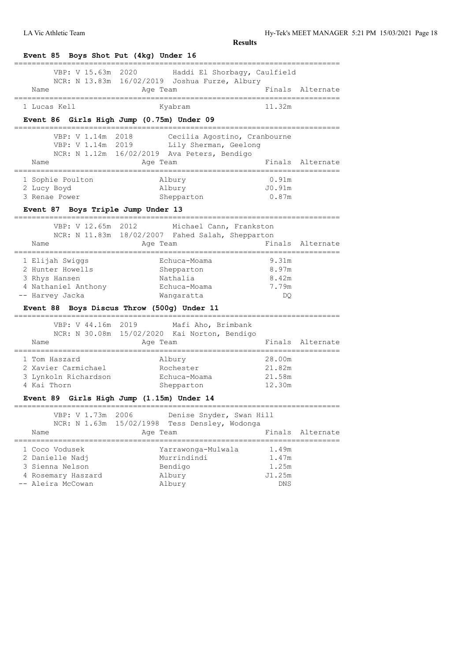LA Vic Athletic Team Hy-Tek's MEET MANAGER 5:21 PM 15/03/2021 Page 18

| Event 85 Boys Shot Put (4kg) Under 16<br>____________________________ |                                                                                                                        |                                                                         |                  |
|-----------------------------------------------------------------------|------------------------------------------------------------------------------------------------------------------------|-------------------------------------------------------------------------|------------------|
| VBP: V 15.63m 2020                                                    | Haddi El Shorbagy, Caulfield<br>NCR: N 13.83m 16/02/2019 Joshua Furze, Albury                                          |                                                                         |                  |
| Name                                                                  | Age Team                                                                                                               |                                                                         | Finals Alternate |
| 1 Lucas Kell                                                          | Kyabram                                                                                                                | 11.32m                                                                  |                  |
| Event 86 Girls High Jump (0.75m) Under 09                             |                                                                                                                        |                                                                         |                  |
| 2018<br>VBP: V 1.14m                                                  | Cecilia Agostino, Cranbourne<br>VBP: V 1.14m 2019 Lily Sherman, Geelong<br>NCR: N 1.12m 16/02/2019 Ava Peters, Bendigo |                                                                         |                  |
| Name                                                                  | Age Team                                                                                                               |                                                                         | Finals Alternate |
| 1 Sophie Poulton<br>2 Lucy Boyd<br>3 Renae Power                      | Albury<br>Albury<br>Shepparton                                                                                         | ;==============================<br>0.91 <sub>m</sub><br>J0.91m<br>0.87m |                  |
| Event 87 Boys Triple Jump Under 13                                    |                                                                                                                        |                                                                         |                  |
| VBP: V 12.65m<br>2012                                                 |                                                                                                                        |                                                                         |                  |
|                                                                       | Michael Cann, Frankston<br>NCR: N 11.83m 18/02/2007 Fahed Salah, Shepparton                                            |                                                                         |                  |
| Name<br>;==================================                           | Age Team<br>.==================================                                                                        |                                                                         | Finals Alternate |
| 1 Elijah Swiggs                                                       | Echuca-Moama                                                                                                           | 9.31m                                                                   |                  |
| 2 Hunter Howells<br>3 Rhys Hansen                                     | Shepparton<br>Nathalia                                                                                                 | 8.97m<br>8.42m                                                          |                  |
| 4 Nathaniel Anthony                                                   | Echuca-Moama                                                                                                           | 7.79m                                                                   |                  |
| -- Harvey Jacka                                                       | Wangaratta                                                                                                             | DQ.                                                                     |                  |
| Event 88 Boys Discus Throw (500q) Under 11                            |                                                                                                                        |                                                                         |                  |
| VBP: V 44.16m 2019                                                    | Mafi Aho, Brimbank                                                                                                     |                                                                         |                  |
| Name                                                                  | NCR: N 30.08m 15/02/2020 Kai Norton, Bendigo<br>Age Team                                                               |                                                                         | Finals Alternate |
|                                                                       |                                                                                                                        | ;==================                                                     |                  |
| 1 Tom Haszard<br>2 Xavier Carmichael                                  | Albury<br>Rochester                                                                                                    | 28.00m<br>21.82m                                                        |                  |
| 3 Lynkoln Richardson                                                  | Echuca-Moama                                                                                                           | 21.58m                                                                  |                  |
| 4 Kai Thorn                                                           | Shepparton                                                                                                             | 12.30m                                                                  |                  |
| Event 89 Girls High Jump (1.15m) Under 14                             |                                                                                                                        |                                                                         |                  |
| VBP: V 1.73m<br>2006                                                  | Denise Snyder, Swan Hill                                                                                               |                                                                         |                  |
| NCR: N 1.63m                                                          | 15/02/1998<br>Tess Densley, Wodonga                                                                                    |                                                                         |                  |
| Name                                                                  | Age Team                                                                                                               | Finals                                                                  | Alternate        |
| 1 Coco Vodusek                                                        | Yarrawonga-Mulwala                                                                                                     | 1.49m                                                                   |                  |
| 2 Danielle Nadj                                                       | Murrindindi                                                                                                            | 1.47m                                                                   |                  |
| 3 Sienna Nelson                                                       | Bendigo                                                                                                                | 1.25m                                                                   |                  |
| 4 Rosemary Haszard<br>-- Aleira McCowan                               | Albury<br>Albury                                                                                                       | J1.25m<br>DNS                                                           |                  |
|                                                                       |                                                                                                                        |                                                                         |                  |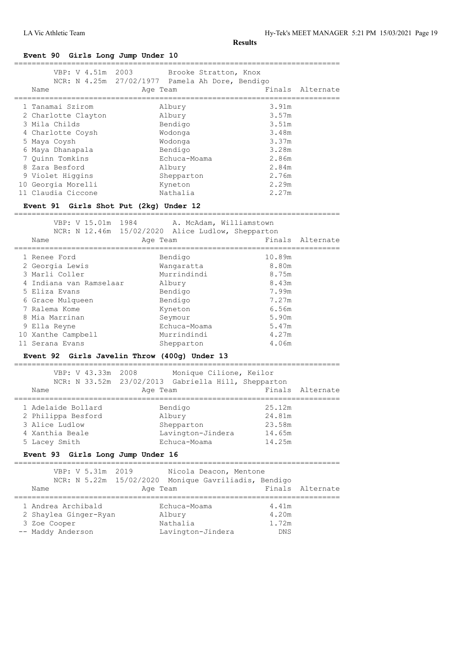# **Event 90 Girls Long Jump Under 10**

| arris nond ommb<br>VBP: V 4.51m 2003                            | Brooke Stratton, Knox                                       |                |                  |
|-----------------------------------------------------------------|-------------------------------------------------------------|----------------|------------------|
| Name                                                            | NCR: N 4.25m 27/02/1977 Pamela Ah Dore, Bendigo<br>Age Team |                | Finals Alternate |
|                                                                 |                                                             |                |                  |
| 1 Tanamai Szirom                                                | Albury                                                      | 3.91m          |                  |
| 2 Charlotte Clayton                                             | Albury                                                      | 3.57m          |                  |
| 3 Mila Childs                                                   | Bendigo                                                     | 3.51m          |                  |
| 4 Charlotte Coysh                                               | Wodonga                                                     | 3.48m          |                  |
| 5 Maya Coysh                                                    | Wodonga                                                     | 3.37m          |                  |
| 6 Maya Dhanapala<br>7 Quinn Tomkins                             | Bendigo<br>Echuca-Moama                                     | 3.28m<br>2.86m |                  |
| 8 Zara Besford                                                  | Albury                                                      | 2.84m          |                  |
| 9 Violet Higgins                                                | Shepparton                                                  | 2.76m          |                  |
| 10 Georgia Morelli                                              | Kyneton                                                     | 2.29m          |                  |
| 11 Claudia Ciccone                                              | Nathalia                                                    | 2.27m          |                  |
| Event 91 Girls Shot Put (2kg) Under 12                          |                                                             |                |                  |
| VBP: V 15.01m 1984                                              | A. McAdam, Williamstown                                     |                |                  |
|                                                                 | NCR: N 12.46m 15/02/2020 Alice Ludlow, Shepparton           |                |                  |
| Name                                                            | Age Team                                                    |                | Finals Alternate |
| 1 Renee Ford                                                    | Bendigo                                                     | 10.89m         |                  |
| 2 Georgia Lewis                                                 | Wangaratta                                                  | 8.80m          |                  |
| 3 Marli Coller                                                  | Murrindindi                                                 | 8.75m          |                  |
| 4 Indiana van Ramselaar                                         | Albury                                                      | 8.43m          |                  |
| 5 Eliza Evans                                                   | Bendigo                                                     | 7.99m          |                  |
| 6 Grace Mulqueen                                                | Bendigo                                                     | 7.27m          |                  |
| 7 Ralema Kome                                                   | Kyneton                                                     | 6.56m          |                  |
| 8 Mia Marrinan                                                  | Seymour                                                     | 5.90m          |                  |
| 9 Ella Reyne                                                    | Echuca-Moama                                                | 5.47m          |                  |
| 10 Xanthe Campbell                                              | Murrindindi                                                 | 4.27m          |                  |
| 11 Serana Evans<br>Event 92 Girls Javelin Throw (400g) Under 13 | Shepparton                                                  | 4.06m          |                  |
| VBP: V 43.33m 2008                                              | Monique Cilione, Keilor                                     |                |                  |
|                                                                 | NCR: N 33.52m 23/02/2013 Gabriella Hill, Shepparton         |                |                  |
| Name                                                            | Age Team                                                    |                | Finals Alternate |
| 1 Adelaide Bollard Bendigo 25.12m                               |                                                             |                |                  |
| 2 Philippa Besford                                              | Albury                                                      | 24.81m         |                  |
| 3 Alice Ludlow                                                  | Shepparton                                                  | 23.58m         |                  |
| 4 Xanthia Beale                                                 | Lavington-Jindera                                           | 14.65m         |                  |
| 5 Lacey Smith                                                   | Echuca-Moama                                                | 14.25m         |                  |
| Event 93 Girls Long Jump Under 16                               |                                                             |                |                  |
| ======================================<br>VBP: V 5.31m 2019     | Nicola Deacon, Mentone                                      |                |                  |
|                                                                 | NCR: N 5.22m 15/02/2020 Monique Gavriliadis, Bendigo        |                |                  |
| Name                                                            | Age Team                                                    | Finals         | Alternate        |
| 1 Andrea Archibald                                              | Echuca-Moama                                                | 4.41m          |                  |
| 2 Shaylea Ginger-Ryan                                           | Albury                                                      | 4.20m          |                  |
| 3 Zoe Cooper                                                    | Nathalia                                                    | 1.72m          |                  |
| -- Maddy Anderson                                               | Lavington-Jindera                                           | DNS            |                  |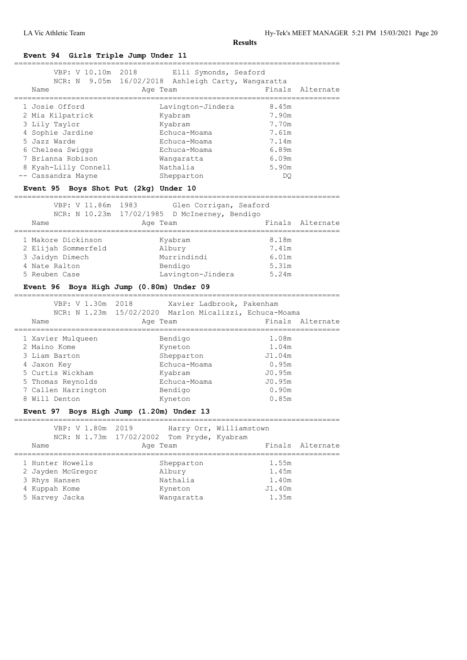| Event 94 Girls Triple Jump Under 11                                                                                                                                                                                     |                                                                                                                                           |                                                                                               |                  |
|-------------------------------------------------------------------------------------------------------------------------------------------------------------------------------------------------------------------------|-------------------------------------------------------------------------------------------------------------------------------------------|-----------------------------------------------------------------------------------------------|------------------|
| VBP: V 10.10m<br>Name                                                                                                                                                                                                   | 2018<br>Elli Symonds, Seaford<br>NCR: N 9.05m 16/02/2018 Ashleigh Carty, Wangaratta<br>Age Team                                           | Finals                                                                                        | Alternate        |
| 1 Josie Offord<br>2 Mia Kilpatrick<br>3 Lily Taylor<br>4 Sophie Jardine<br>5 Jazz Warde<br>6 Chelsea Swiggs<br>7 Brianna Robison<br>8 Kyah-Lilly Connell<br>-- Cassandra Mayne<br>Event 95 Boys Shot Put (2kg) Under 10 | Lavington-Jindera<br>Kyabram<br>Kyabram<br>Echuca-Moama<br>Echuca-Moama<br>Echuca-Moama<br>Wangaratta<br>Nathalia<br>Shepparton           | 8.45m<br>7.90m<br>7.70m<br>7.61m<br>7.14m<br>6.89m<br>6.09m<br>5.90m<br>DQ.                   |                  |
| VBP: V 11.86m<br>Name<br>----------------------                                                                                                                                                                         | 1983<br>Glen Corrigan, Seaford<br>NCR: N 10.23m 17/02/1985 D McInerney, Bendigo<br>Age Team                                               |                                                                                               | Finals Alternate |
| 1 Makore Dickinson<br>2 Elijah Sommerfeld<br>3 Jaidyn Dimech<br>4 Nate Ralton<br>5 Reuben Case<br>VBP: V 1.30m 2018                                                                                                     | Kyabram<br>Albury<br>Murrindindi<br>Bendigo<br>Lavington-Jindera<br>Event 96 Boys High Jump (0.80m) Under 09<br>Xavier Ladbrook, Pakenham | 8.18m<br>7.41m<br>6.01m<br>5.31m<br>5.24m                                                     |                  |
| Name                                                                                                                                                                                                                    | NCR: N 1.23m 15/02/2020 Marlon Micalizzi, Echuca-Moama<br>Age Team                                                                        |                                                                                               | Finals Alternate |
| --------------<br>1 Xavier Mulqueen<br>2 Maino Kome<br>3 Liam Barton<br>4 Jaxon Key<br>5 Curtis Wickham<br>5 Thomas Reynolds<br>7 Callen Harrington<br>8 Will Denton                                                    | Bendigo<br>Kyneton<br>Shepparton<br>Echuca-Moama<br>Kyabram<br>Echuca-Moama<br>Bendigo<br>Kyneton                                         | ==================<br>1.08m<br>1.04m<br>J1.04m<br>0.95m<br>JO.95m<br>J0.95m<br>0.90m<br>0.85m |                  |
| VBP: V 1.80m 2019                                                                                                                                                                                                       | Event 97 Boys High Jump (1.20m) Under 13<br>Harry Orr, Williamstown                                                                       |                                                                                               |                  |
| Name                                                                                                                                                                                                                    | NCR: N 1.73m 17/02/2002 Tom Pryde, Kyabram<br>Age Team                                                                                    |                                                                                               | Finals Alternate |
| 1 Hunter Howells<br>2 Jayden McGregor<br>3 Rhys Hansen<br>4 Kuppah Kome<br>5 Harvey Jacka                                                                                                                               | Shepparton<br>Albury<br>Nathalia<br>Kyneton<br>Wangaratta                                                                                 | 1.55m<br>1.45m<br>1.40m<br>J1.40m<br>1.35m                                                    |                  |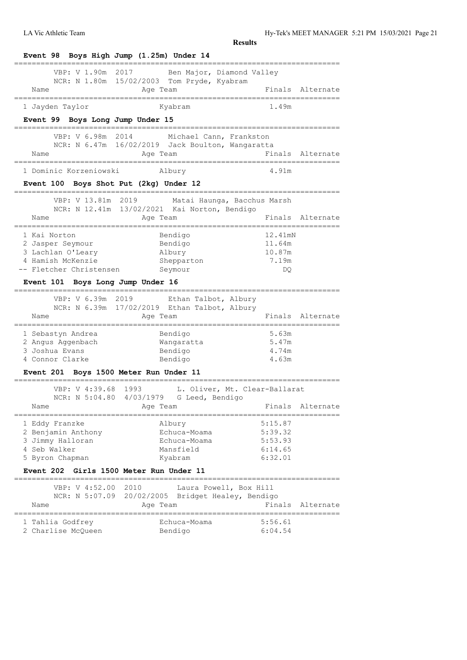LA Vic Athletic Team Hy-Tek's MEET MANAGER 5:21 PM 15/03/2021 Page 21

| Event 98 Boys High Jump (1.25m) Under 14                                                                                                                                                                                                                                                                               |                                                                              |                                                        |
|------------------------------------------------------------------------------------------------------------------------------------------------------------------------------------------------------------------------------------------------------------------------------------------------------------------------|------------------------------------------------------------------------------|--------------------------------------------------------|
| VBP: V 1.90m                                                                                                                                                                                                                                                                                                           | 2017 Ben Major, Diamond Valley<br>NCR: N 1.80m 15/02/2003 Tom Pryde, Kyabram |                                                        |
| Name                                                                                                                                                                                                                                                                                                                   | Age Team<br>:=============                                                   | Finals Alternate                                       |
| 1 Jayden Taylor                                                                                                                                                                                                                                                                                                        | Kyabram                                                                      | 1.49m                                                  |
| Event 99 Boys Long Jump Under 15                                                                                                                                                                                                                                                                                       |                                                                              |                                                        |
| VBP: V 6.98m 2014                                                                                                                                                                                                                                                                                                      | Michael Cann, Frankston                                                      |                                                        |
|                                                                                                                                                                                                                                                                                                                        | NCR: N 6.47m 16/02/2019 Jack Boulton, Wangaratta                             |                                                        |
| Name                                                                                                                                                                                                                                                                                                                   | Age Team                                                                     | Finals Alternate                                       |
| 1 Dominic Korzeniowski                                                                                                                                                                                                                                                                                                 | Albury                                                                       | 4.91m                                                  |
| Event 100 Boys Shot Put (2kg) Under 12<br>,,,,,,,,,,,,,,,,,,,                                                                                                                                                                                                                                                          |                                                                              |                                                        |
| VBP: V 13.81m 2019                                                                                                                                                                                                                                                                                                     | Matai Haunga, Bacchus Marsh<br>NCR: N 12.41m 13/02/2021 Kai Norton, Bendigo  |                                                        |
| Name<br>___________________________________                                                                                                                                                                                                                                                                            | Age Team                                                                     | Finals Alternate<br>._________________________________ |
| 1 Kai Norton                                                                                                                                                                                                                                                                                                           | Bendigo                                                                      | 12.41mN                                                |
| 2 Jasper Seymour                                                                                                                                                                                                                                                                                                       | Bendigo                                                                      | 11.64m                                                 |
| 3 Lachlan O'Leary                                                                                                                                                                                                                                                                                                      | Albury                                                                       | 10.87m                                                 |
| 4 Hamish McKenzie                                                                                                                                                                                                                                                                                                      | Shepparton                                                                   | 7.19m                                                  |
| -- Fletcher Christensen                                                                                                                                                                                                                                                                                                | Seymour                                                                      | DQ                                                     |
|                                                                                                                                                                                                                                                                                                                        |                                                                              |                                                        |
| ========                                                                                                                                                                                                                                                                                                               |                                                                              |                                                        |
| VBP: V 6.39m 2019                                                                                                                                                                                                                                                                                                      | Ethan Talbot, Albury                                                         |                                                        |
|                                                                                                                                                                                                                                                                                                                        | NCR: N 6.39m 17/02/2019 Ethan Talbot, Albury                                 |                                                        |
| Name                                                                                                                                                                                                                                                                                                                   | Age Team                                                                     | Finals Alternate                                       |
|                                                                                                                                                                                                                                                                                                                        | Bendigo                                                                      | 5.63m                                                  |
|                                                                                                                                                                                                                                                                                                                        | Wangaratta                                                                   | 5.47m                                                  |
|                                                                                                                                                                                                                                                                                                                        | Bendigo                                                                      | 4.74m                                                  |
|                                                                                                                                                                                                                                                                                                                        | Bendigo                                                                      | 4.63m                                                  |
|                                                                                                                                                                                                                                                                                                                        |                                                                              |                                                        |
| VBP: V 4:39.68                                                                                                                                                                                                                                                                                                         | 1993<br>L. Oliver, Mt. Clear-Ballarat                                        |                                                        |
|                                                                                                                                                                                                                                                                                                                        | NCR: N 5:04.80 4/03/1979 G Leed, Bendigo                                     |                                                        |
| Name                                                                                                                                                                                                                                                                                                                   | Age Team                                                                     | Finals<br>Alternate                                    |
|                                                                                                                                                                                                                                                                                                                        | Albury                                                                       | 5:15.87                                                |
|                                                                                                                                                                                                                                                                                                                        | Echuca-Moama                                                                 | 5:39.32                                                |
|                                                                                                                                                                                                                                                                                                                        | Echuca-Moama                                                                 | 5:53.93                                                |
|                                                                                                                                                                                                                                                                                                                        | Mansfield                                                                    | 6:14.65                                                |
|                                                                                                                                                                                                                                                                                                                        | Kyabram                                                                      | 6:32.01                                                |
| , _______________                                                                                                                                                                                                                                                                                                      |                                                                              |                                                        |
| Event 101 Boys Long Jump Under 16<br>1 Sebastyn Andrea<br>2 Angus Aggenbach<br>3 Joshua Evans<br>4 Connor Clarke<br>Event 201 Boys 1500 Meter Run Under 11<br>1 Eddy Franzke<br>2 Benjamin Anthony<br>3 Jimmy Halloran<br>4 Seb Walker<br>5 Byron Chapman<br>Event 202 Girls 1500 Meter Run Under 11<br>VBP: V 4:52.00 | Laura Powell, Box Hill<br>2010                                               |                                                        |
| NCR: N 5:07.09                                                                                                                                                                                                                                                                                                         | 20/02/2005<br>Bridget Healey, Bendigo                                        |                                                        |
| Name                                                                                                                                                                                                                                                                                                                   | Age Team                                                                     | Finals<br>Alternate                                    |
| 1 Tahlia Godfrey                                                                                                                                                                                                                                                                                                       | Echuca-Moama                                                                 | 5:56.61                                                |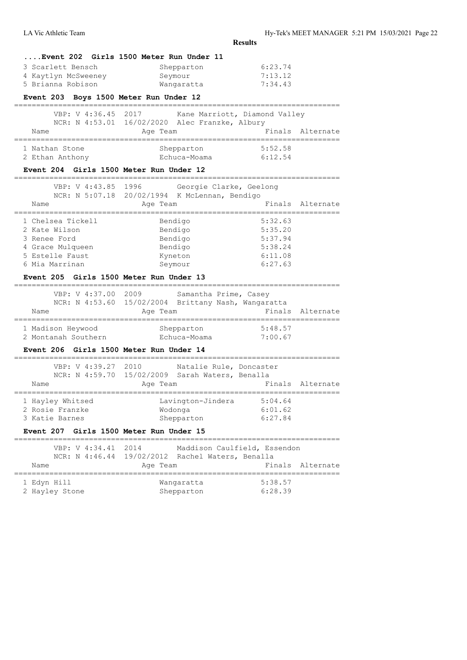**Results ....Event 202 Girls 1500 Meter Run Under 11** 3 Scarlett Bensch Shepparton 6:23.74 4 Kaytlyn McSweeney Seymour 7:13.12 5 Brianna Robison Wangaratta 7:34.43 **Event 203 Boys 1500 Meter Run Under 12** ========================================================================== VBP: V 4:36.45 2017 Kane Marriott, Diamond Valley NCR: N 4:53.01 16/02/2020 Alec Franzke, Albury Name **Age Team** Age Team Finals Alternate ========================================================================== 1 Nathan Stone Shepparton 5:52.58 2 Ethan Anthony Echuca-Moama 6:12.54 **Event 204 Girls 1500 Meter Run Under 12** ========================================================================== VBP: V 4:43.85 1996 Georgie Clarke, Geelong NCR: N 5:07.18 20/02/1994 K McLennan, Bendigo Name **Age Team** Age Team Finals Alternate ==========================================================================

| 1 Chelsea Tickell | Bendigo | 5:32.63 |
|-------------------|---------|---------|
| 2 Kate Wilson     | Bendigo | 5:35.20 |
| 3 Renee Ford      | Bendigo | 5:37.94 |
| 4 Grace Mulqueen  | Bendigo | 5:38.24 |
| 5 Estelle Faust   | Kyneton | 6:11.08 |
| 6 Mia Marrinan    | Seymour | 6:27.63 |
|                   |         |         |

# **Event 205 Girls 1500 Meter Run Under 13**

|      | VBP: V 4:37.00 2009                                 |          | Samantha Prime, Casey |         |                  |
|------|-----------------------------------------------------|----------|-----------------------|---------|------------------|
|      | NCR: N 4:53.60 15/02/2004 Brittany Nash, Wangaratta |          |                       |         |                  |
| Name |                                                     | Age Team |                       |         | Finals Alternate |
|      |                                                     |          |                       |         |                  |
|      | 1 Madison Heywood                                   |          | Shepparton            | 5:48.57 |                  |
|      | 2 Montanah Southern                                 |          | Echuca-Moama          | 7:00.67 |                  |

#### **Event 206 Girls 1500 Meter Run Under 14**

| VBP: V 4:39.27 2010<br>NCR: N 4:59.70 15/02/2009 Sarah Waters, Benalla |          | Natalie Rule, Doncaster |         |                  |
|------------------------------------------------------------------------|----------|-------------------------|---------|------------------|
| Name                                                                   | Age Team |                         |         | Finals Alternate |
|                                                                        |          |                         |         |                  |
| 1 Hayley Whitsed                                                       |          | Lavington-Jindera       | 5:04.64 |                  |
| 2 Rosie Franzke                                                        |          | Wodonga                 | 6:01.62 |                  |
| 3 Katie Barnes                                                         |          | Shepparton              | 6:27.84 |                  |
|                                                                        |          |                         |         |                  |

# **Event 207 Girls 1500 Meter Run Under 15**

|             |                | VBP: V 4:34.41 2014 |          | Maddison Caulfield, Essendon<br>NCR: N 4:46.44 19/02/2012 Rachel Waters, Benalla |                    |                  |
|-------------|----------------|---------------------|----------|----------------------------------------------------------------------------------|--------------------|------------------|
| Name        |                |                     | Age Team |                                                                                  |                    | Finals Alternate |
| 1 Edyn Hill | 2 Hayley Stone |                     |          | Wangaratta<br>Shepparton                                                         | 5:38.57<br>6:28.39 |                  |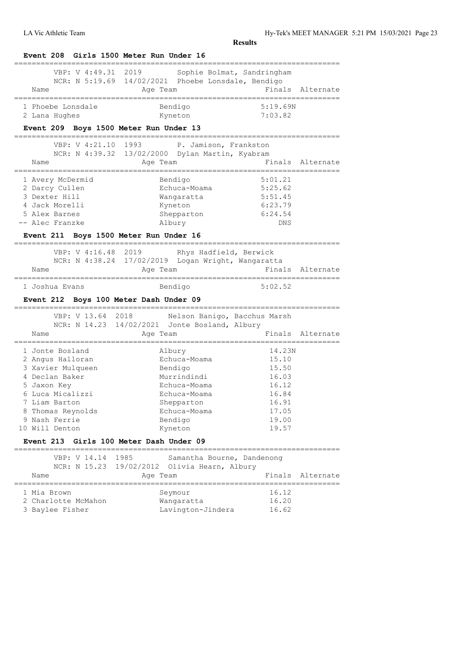| VBP: V 4:49.31<br>2019<br>Name                                                                                                                                                                                                                                                                                                                                                                                                              | Sophie Bolmat, Sandringham<br>NCR: N 5:19.69 14/02/2021 Phoebe Lonsdale, Bendigo<br>Age Team | Finals                                 | Alternate        |
|---------------------------------------------------------------------------------------------------------------------------------------------------------------------------------------------------------------------------------------------------------------------------------------------------------------------------------------------------------------------------------------------------------------------------------------------|----------------------------------------------------------------------------------------------|----------------------------------------|------------------|
| 1 Phoebe Lonsdale<br>2 Lana Hughes                                                                                                                                                                                                                                                                                                                                                                                                          | Bendigo<br>Kyneton                                                                           | 5:19.69N<br>7:03.82                    |                  |
| Event 209 Boys 1500 Meter Run Under 13                                                                                                                                                                                                                                                                                                                                                                                                      |                                                                                              |                                        |                  |
| VBP: V 4:21.10                                                                                                                                                                                                                                                                                                                                                                                                                              | 1993<br>P. Jamison, Frankston                                                                |                                        |                  |
|                                                                                                                                                                                                                                                                                                                                                                                                                                             | NCR: N 4:39.32 13/02/2000 Dylan Martin, Kyabram                                              |                                        |                  |
| Name                                                                                                                                                                                                                                                                                                                                                                                                                                        | Age Team                                                                                     |                                        | Finals Alternate |
| 1 Avery McDermid                                                                                                                                                                                                                                                                                                                                                                                                                            | Bendigo                                                                                      | 5:01.21                                |                  |
| 2 Darcy Cullen                                                                                                                                                                                                                                                                                                                                                                                                                              | Echuca-Moama                                                                                 | 5:25.62                                |                  |
| 3 Dexter Hill                                                                                                                                                                                                                                                                                                                                                                                                                               | Wangaratta                                                                                   | 5:51.45                                |                  |
| 4 Jack Morelli                                                                                                                                                                                                                                                                                                                                                                                                                              | Kyneton                                                                                      | 6:23.79                                |                  |
| 5 Alex Barnes<br>-- Alec Franzke                                                                                                                                                                                                                                                                                                                                                                                                            | Shepparton                                                                                   | 6:24.54                                |                  |
|                                                                                                                                                                                                                                                                                                                                                                                                                                             | Albury                                                                                       | <b>DNS</b>                             |                  |
| Event 211 Boys 1500 Meter Run Under 16                                                                                                                                                                                                                                                                                                                                                                                                      |                                                                                              |                                        |                  |
| VBP: V 4:16.48                                                                                                                                                                                                                                                                                                                                                                                                                              | 2019<br>Rhys Hadfield, Berwick                                                               |                                        |                  |
|                                                                                                                                                                                                                                                                                                                                                                                                                                             | NCR: N 4:38.24 17/02/2019 Logan Wright, Wangaratta                                           |                                        |                  |
| Name                                                                                                                                                                                                                                                                                                                                                                                                                                        | Age Team                                                                                     | Finals                                 | Alternate        |
|                                                                                                                                                                                                                                                                                                                                                                                                                                             |                                                                                              |                                        |                  |
|                                                                                                                                                                                                                                                                                                                                                                                                                                             |                                                                                              | 5:02.52                                |                  |
|                                                                                                                                                                                                                                                                                                                                                                                                                                             | Bendigo                                                                                      |                                        |                  |
|                                                                                                                                                                                                                                                                                                                                                                                                                                             |                                                                                              | -------------------------------------- |                  |
| VBP: V 13.64 2018                                                                                                                                                                                                                                                                                                                                                                                                                           | Nelson Banigo, Bacchus Marsh                                                                 |                                        |                  |
| Name                                                                                                                                                                                                                                                                                                                                                                                                                                        | NCR: N 14.23 14/02/2021 Jonte Bosland, Albury<br>Age Team                                    |                                        |                  |
|                                                                                                                                                                                                                                                                                                                                                                                                                                             |                                                                                              | 14.23N                                 |                  |
|                                                                                                                                                                                                                                                                                                                                                                                                                                             | Albury<br>Echuca-Moama                                                                       | 15.10                                  |                  |
|                                                                                                                                                                                                                                                                                                                                                                                                                                             | Bendigo                                                                                      | 15.50                                  |                  |
|                                                                                                                                                                                                                                                                                                                                                                                                                                             | Murrindindi                                                                                  | 16.03                                  |                  |
|                                                                                                                                                                                                                                                                                                                                                                                                                                             | Echuca-Moama                                                                                 | 16.12                                  |                  |
|                                                                                                                                                                                                                                                                                                                                                                                                                                             | Echuca-Moama                                                                                 | 16.84                                  |                  |
|                                                                                                                                                                                                                                                                                                                                                                                                                                             | Shepparton                                                                                   | 16.91                                  |                  |
|                                                                                                                                                                                                                                                                                                                                                                                                                                             | Echuca-Moama                                                                                 | 17.05                                  |                  |
|                                                                                                                                                                                                                                                                                                                                                                                                                                             | Bendigo                                                                                      | 19.00                                  |                  |
|                                                                                                                                                                                                                                                                                                                                                                                                                                             | Kyneton                                                                                      | 19.57                                  | Finals Alternate |
|                                                                                                                                                                                                                                                                                                                                                                                                                                             |                                                                                              |                                        |                  |
| VBP: V 14.14 1985                                                                                                                                                                                                                                                                                                                                                                                                                           | Samantha Bourne, Dandenong                                                                   |                                        |                  |
|                                                                                                                                                                                                                                                                                                                                                                                                                                             | NCR: N 15.23 19/02/2012 Olivia Hearn, Albury                                                 |                                        |                  |
| Name                                                                                                                                                                                                                                                                                                                                                                                                                                        | Age Team                                                                                     | Finals                                 | Alternate        |
|                                                                                                                                                                                                                                                                                                                                                                                                                                             | Seymour                                                                                      | 16.12                                  |                  |
| :==================<br>1 Joshua Evans<br>Event 212 Boys 100 Meter Dash Under 09<br>-==================================<br>1 Jonte Bosland<br>2 Angus Halloran<br>3 Xavier Mulqueen<br>4 Declan Baker<br>5 Jaxon Key<br>6 Luca Micalizzi<br>7 Liam Barton<br>8 Thomas Reynolds<br>9 Nash Ferrie<br>10 Will Denton<br>Event 213 Girls 100 Meter Dash Under 09<br>______________________________________<br>1 Mia Brown<br>2 Charlotte McMahon | Wangaratta                                                                                   | 16.20                                  |                  |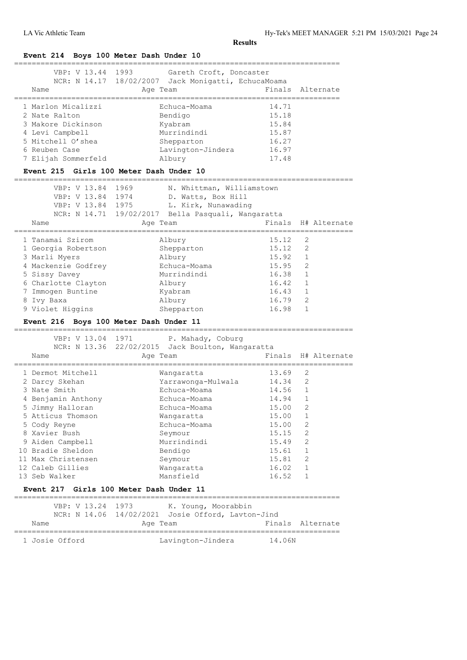# **Event 214 Boys 100 Meter Dash Under 10**

| 1 Marlon Micalizzi<br>14.71<br>Echuca-Moama<br>15.18<br>2 Nate Ralton<br>Bendigo<br>3 Makore Dickinson<br>15.84                                                              | VBP: V 13.44 1993<br>Name | Gareth Croft, Doncaster<br>NCR: N 14.17 18/02/2007 Jack Monigatti, EchucaMoama<br>Age Team | Finals Alternate |
|------------------------------------------------------------------------------------------------------------------------------------------------------------------------------|---------------------------|--------------------------------------------------------------------------------------------|------------------|
| Murrindindi<br>15.87<br>4 Levi Campbell<br>5 Mitchell O'shea<br>16.27<br>Shepparton<br>16.97<br>Lavington-Jindera<br>6 Reuben Case<br>17.48<br>7 Elijah Sommerfeld<br>Albury |                           | Kyabram                                                                                    |                  |

| VBP: V 13.84<br>VBP: V 13.84 1974<br>VBP: V 13.84 1975 | 1969<br>N. Whittman, Williamstown<br>D. Watts, Box Hill<br>L. Kirk, Nunawading<br>NCR: N 14.71 19/02/2017 Bella Pasquali, Wangaratta |       |                     |
|--------------------------------------------------------|--------------------------------------------------------------------------------------------------------------------------------------|-------|---------------------|
| Name                                                   | Age Team                                                                                                                             |       | Finals H# Alternate |
| 1 Tanamai Szirom                                       | Albury                                                                                                                               | 15.12 | 2                   |
| 1 Georgia Robertson                                    | Shepparton                                                                                                                           | 15.12 | 2                   |
| 3 Marli Myers                                          | Albury                                                                                                                               | 15.92 | $\mathbf{1}$        |
| 4 Mackenzie Godfrey                                    | Echuca-Moama                                                                                                                         | 15.95 | $\mathcal{L}$       |
| 5 Sissy Davey                                          | Murrindindi                                                                                                                          | 16.38 | $\mathbf{1}$        |
| 6 Charlotte Clayton                                    | Albury                                                                                                                               | 16.42 | $\mathbf{1}$        |
| Immogen Buntine                                        | Kyabram                                                                                                                              | 16.43 | $\mathbf{1}$        |
| 8 Ivy Baxa                                             | Albury                                                                                                                               | 16.79 | $\overline{2}$      |
| 9 Violet Higgins                                       | Shepparton                                                                                                                           | 16.98 | 1                   |

# **Event 216 Boys 100 Meter Dash Under 11**

| VBP: V 13.04 1971<br>Name | P. Mahady, Coburg<br>NCR: N 13.36 22/02/2015 Jack Boulton, Wangaratta<br>Age Team |       | Finals H# Alternate |
|---------------------------|-----------------------------------------------------------------------------------|-------|---------------------|
| 1 Dermot Mitchell         | Wangaratta                                                                        | 13.69 | 2                   |
| 2 Darcy Skehan            | Yarrawonga-Mulwala                                                                | 14.34 | 2                   |
| 3 Nate Smith              | Echuca-Moama                                                                      | 14.56 | $\mathbf{1}$        |
| 4 Benjamin Anthony        | Echuca-Moama                                                                      | 14.94 | $\mathbf{1}$        |
| 5 Jimmy Halloran          | Echuca-Moama                                                                      | 15.00 | $\overline{2}$      |
| 5 Atticus Thomson         | Wangaratta                                                                        | 15.00 | $\mathbf{1}$        |
| 5 Cody Reyne              | Echuca-Moama                                                                      | 15.00 | $\overline{2}$      |
| 8 Xavier Bush             | Seymour                                                                           | 15.15 | $\overline{c}$      |
| 9 Aiden Campbell          | Murrindindi                                                                       | 15.49 | $\overline{2}$      |
| 10 Bradie Sheldon         | Bendigo                                                                           | 15.61 | $\mathbf{1}$        |
| 11 Max Christensen        | Seymour                                                                           | 15.81 | $\overline{2}$      |
| 12 Caleb Gillies          | Wangaratta                                                                        | 16.02 | $\mathbf{1}$        |
| 13 Seb Walker             | Mansfield                                                                         | 16.52 | $\mathbf{1}$        |
|                           |                                                                                   |       |                     |

# **Event 217 Girls 100 Meter Dash Under 11**

| VBP: V 13.24 1973 | K. Young, Moorabbin                               |                  |
|-------------------|---------------------------------------------------|------------------|
|                   | NCR: N 14.06 14/02/2021 Josie Offord, Lavton-Jind |                  |
| Name              | Age Team                                          | Finals Alternate |
|                   |                                                   |                  |
| 1 Josie Offord    | Lavington-Jindera                                 | 14.06N           |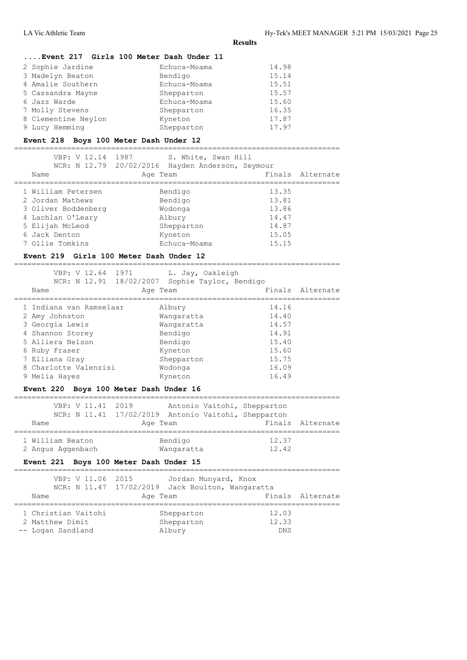# **....Event 217 Girls 100 Meter Dash Under 11**

| 2 Sophie Jardine    | Echuca-Moama | 14.98 |
|---------------------|--------------|-------|
| 3 Madelyn Beaton    | Bendigo      | 15.14 |
| 4 Amalie Southern   | Echuca-Moama | 15.51 |
| 5 Cassandra Mayne   | Shepparton   | 15.57 |
| 6 Jazz Warde        | Echuca-Moama | 15.60 |
| 7 Molly Stevens     | Shepparton   | 16.35 |
| 8 Clementine Neylon | Kyneton      | 17.87 |
| 9 Lucy Hemming      | Shepparton   | 17.97 |

#### **Event 218 Boys 100 Meter Dash Under 12**

==========================================================================

| VBP: V 12.14 1987<br>Name | S. White, Swan Hill<br>NCR: N 12.79 20/02/2016 Hayden Anderson, Seymour<br>Age Team | Finals Alternate |
|---------------------------|-------------------------------------------------------------------------------------|------------------|
| 1 William Petersen        | Bendigo                                                                             | 13.35            |
| 2 Jordan Mathews          | Bendigo                                                                             | 13.81            |
| 3 Oliver Boddenberg       | Wodonga                                                                             | 13.86            |
| 4 Lachlan O'Leary         | Albury                                                                              | 14.47            |
| 5 Elijah McLeod           | Shepparton                                                                          | 14.87            |
| 6 Jack Denton             | Kyneton                                                                             | 15.05            |
| 7 Ollie Tomkins           | Echuca-Moama                                                                        | 15.15            |

#### **Event 219 Girls 100 Meter Dash Under 12** ==========================================================================

| VBP: V 12.64 1971<br>NCR: N 12.91 18/02/2007 Sophie Taylor, Bendigo<br>Name | L. Jay, Oakleigh<br>Age Team |       | Finals Alternate |
|-----------------------------------------------------------------------------|------------------------------|-------|------------------|
| 1 Indiana van Ramselaar                                                     | Albury                       | 14.16 |                  |
| 2 Amy Johnston                                                              | Wangaratta                   | 14.40 |                  |
| 3 Georgia Lewis                                                             | Wangaratta                   | 14.57 |                  |
| 4 Shannon Storey                                                            | Bendigo                      | 14.91 |                  |
| 5 Alliera Nelson                                                            | Bendigo                      | 15.40 |                  |
| 6 Ruby Fraser                                                               | Kyneton                      | 15.60 |                  |
| 7 Elliana Gray                                                              | Shepparton                   | 15.75 |                  |
| 8 Charlotte Valenzisi                                                       | Wodonga                      | 16.09 |                  |
| 9 Melia Hayes                                                               | Kyneton                      | 16.49 |                  |

#### **Event 220 Boys 100 Meter Dash Under 16**

|                   |  | VBP: V 11.41 2019 |                                                     |            | Antonio Vaitohi, Shepparton |                  |
|-------------------|--|-------------------|-----------------------------------------------------|------------|-----------------------------|------------------|
|                   |  |                   | NCR: N 11.41 17/02/2019 Antonio Vaitohi, Shepparton |            |                             |                  |
| Name              |  |                   |                                                     | Age Team   |                             | Finals Alternate |
|                   |  |                   |                                                     |            |                             |                  |
| 1 William Beaton  |  |                   |                                                     | Bendigo    | 12.37                       |                  |
| 2 Angus Aggenbach |  |                   |                                                     | Wangaratta | 12.42                       |                  |

# **Event 221 Boys 100 Meter Dash Under 15**

| VBP: V 11.06 2015                                           | Jordan Munyard, Knox<br>NCR: N 11.47 17/02/2019 Jack Boulton, Wangaratta |                       |                  |
|-------------------------------------------------------------|--------------------------------------------------------------------------|-----------------------|------------------|
| Name                                                        | Age Team                                                                 |                       | Finals Alternate |
| 1 Christian Vaitohi<br>2 Matthew Dimit<br>-- Logan Sandland | Shepparton<br>Shepparton<br>Albury                                       | 12.03<br>12.33<br>DNS |                  |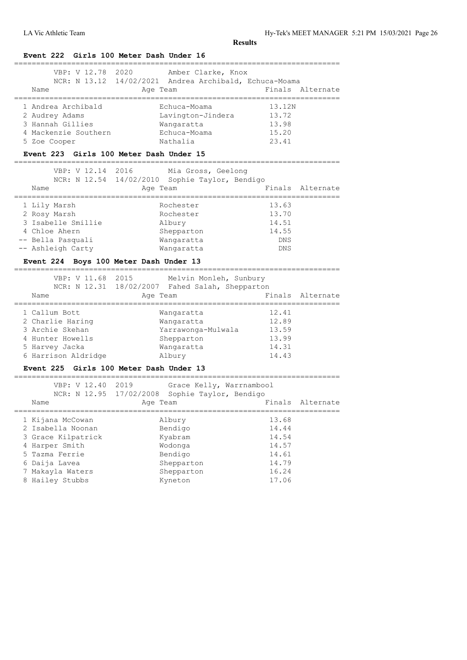| VBP: V 12.78 2020<br>Name                                                                                                                               | Amber Clarke, Knox<br>NCR: N 13.12 14/02/2021 Andrea Archibald, Echuca-Moama<br>Age Team |                          | Finals Alternate |
|---------------------------------------------------------------------------------------------------------------------------------------------------------|------------------------------------------------------------------------------------------|--------------------------|------------------|
| 1 Andrea Archibald                                                                                                                                      | Echuca-Moama                                                                             | 13.12N                   |                  |
| 2 Audrey Adams                                                                                                                                          | Lavington-Jindera                                                                        | 13.72                    |                  |
| 3 Hannah Gillies                                                                                                                                        | Wangaratta                                                                               | 13.98                    |                  |
| 4 Mackenzie Southern                                                                                                                                    | Echuca-Moama                                                                             | 15.20                    |                  |
| 5 Zoe Cooper                                                                                                                                            | Nathalia                                                                                 | 23.41                    |                  |
| =================================                                                                                                                       | Event 223 Girls 100 Meter Dash Under 15                                                  |                          |                  |
| VBP: V 12.14 2016                                                                                                                                       | Mia Gross, Geelong                                                                       |                          |                  |
|                                                                                                                                                         | NCR: N 12.54 14/02/2010 Sophie Taylor, Bendigo                                           |                          |                  |
| Name                                                                                                                                                    | Age Team                                                                                 |                          | Finals Alternate |
| 1 Lily Marsh                                                                                                                                            | Rochester                                                                                | 13.63                    |                  |
| 2 Rosy Marsh                                                                                                                                            | Rochester                                                                                | 13.70                    |                  |
| 3 Isabelle Smillie                                                                                                                                      | Albury                                                                                   | 14.51                    |                  |
| 4 Chloe Ahern                                                                                                                                           | Shepparton                                                                               | 14.55                    |                  |
| -- Bella Pasquali                                                                                                                                       | Wangaratta                                                                               | DNS                      |                  |
| -- Ashleigh Carty                                                                                                                                       | Wangaratta                                                                               | DNS                      |                  |
|                                                                                                                                                         | Event 224 Boys 100 Meter Dash Under 13                                                   |                          |                  |
|                                                                                                                                                         | VBP: V 11.68 2015 Melvin Monleh, Sunbury                                                 |                          |                  |
|                                                                                                                                                         | NCR: N 12.31 18/02/2007 Fahed Salah, Shepparton                                          |                          |                  |
| Name<br>=============                                                                                                                                   | Age Team<br>:=====================                                                       | ------------------------ | Finals Alternate |
| 1 Callum Bott                                                                                                                                           | Wangaratta                                                                               | 12.41                    |                  |
| 2 Charlie Haring                                                                                                                                        | Wangaratta                                                                               | 12.89                    |                  |
| 3 Archie Skehan                                                                                                                                         | Yarrawonga-Mulwala 13.59                                                                 |                          |                  |
| 4 Hunter Howells                                                                                                                                        | Shepparton                                                                               | 13.99                    |                  |
|                                                                                                                                                         | Wangaratta                                                                               | 14.31                    |                  |
|                                                                                                                                                         |                                                                                          |                          |                  |
|                                                                                                                                                         | Albury                                                                                   | 14.43                    |                  |
|                                                                                                                                                         | Event 225 Girls 100 Meter Dash Under 13                                                  |                          |                  |
| VBP: V 12.40                                                                                                                                            | 2019<br>Grace Kelly, Warrnambool                                                         |                          |                  |
| 5 Harvey Jacka<br>6 Harrison Aldridge                                                                                                                   | NCR: N 12.95 17/02/2008 Sophie Taylor, Bendigo                                           |                          |                  |
| Name                                                                                                                                                    | Age Team                                                                                 | Finals Alternate         |                  |
|                                                                                                                                                         | Albury                                                                                   | 13.68                    |                  |
|                                                                                                                                                         | Bendigo                                                                                  | 14.44                    |                  |
|                                                                                                                                                         | Kyabram                                                                                  | 14.54                    |                  |
|                                                                                                                                                         | Wodonga                                                                                  | 14.57                    |                  |
|                                                                                                                                                         | Bendigo                                                                                  | 14.61                    |                  |
|                                                                                                                                                         | Shepparton                                                                               | 14.79                    |                  |
| 1 Kijana McCowan<br>2 Isabella Noonan<br>3 Grace Kilpatrick<br>4 Harper Smith<br>5 Tazma Ferrie<br>6 Daija Lavea<br>7 Makayla Waters<br>8 Hailey Stubbs | Shepparton                                                                               | 16.24                    |                  |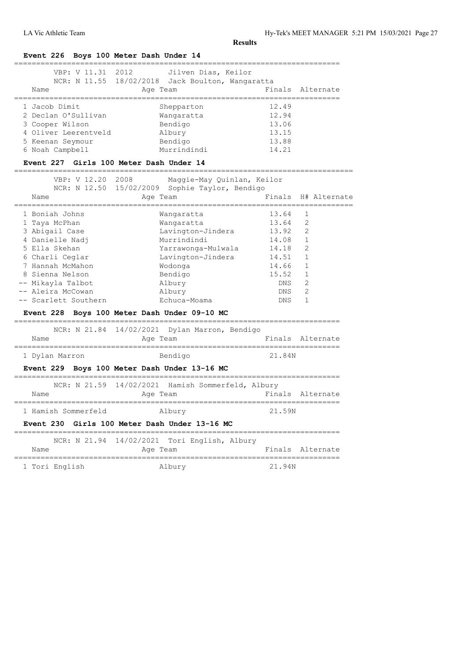# **Event 226 Boys 100 Meter Dash Under 14**

| VBP: V 11.31 2012    | Jilven Dias, Keilor<br>NCR: N 11.55 18/02/2018 Jack Boulton, Wangaratta |       |                  |
|----------------------|-------------------------------------------------------------------------|-------|------------------|
|                      |                                                                         |       |                  |
| Name                 | Age Team                                                                |       | Finals Alternate |
|                      |                                                                         |       |                  |
| 1 Jacob Dimit        | Shepparton                                                              | 12.49 |                  |
| 2 Declan O'Sullivan  | Wangaratta                                                              | 12.94 |                  |
| 3 Cooper Wilson      | Bendigo                                                                 | 13.06 |                  |
| 4 Oliver Leerentveld | Albury                                                                  | 13.15 |                  |
| 5 Keenan Seymour     | Bendigo                                                                 | 13.88 |                  |
| 6 Noah Campbell      | Murrindindi                                                             | 14.21 |                  |

**Event 227 Girls 100 Meter Dash Under 14** =============================================================================

| VBP: V 12.20                  | 2008<br>Maggie-May Quinlan, Keilor                         |        |                                     |
|-------------------------------|------------------------------------------------------------|--------|-------------------------------------|
| Name                          | NCR: N 12.50 15/02/2009 Sophie Taylor, Bendigo<br>Age Team |        | Finals H# Alternate<br>============ |
| 1 Boniah Johns                | Wangaratta                                                 | 13.64  | 1                                   |
| 1 Taya McPhan                 | Wangaratta                                                 | 13.64  | 2                                   |
| 3 Abigail Case                | Lavington-Jindera                                          | 13.92  | $\overline{2}$                      |
| 4 Danielle Nadj               | Murrindindi                                                | 14.08  | $\mathbf{1}$                        |
| 5 Ella Skehan                 | Yarrawonga-Mulwala                                         | 14.18  | $\overline{2}$                      |
| 6 Charli Ceglar               | Lavington-Jindera                                          | 14.51  | $\mathbf{1}$                        |
| 7 Hannah McMahon              | Wodonga                                                    | 14.66  | $\mathbf{1}$                        |
| 8 Sienna Nelson               | Bendigo                                                    | 15.52  | $\mathbf{1}$                        |
| -- Mikayla Talbot             | Albury                                                     | DNS    | 2                                   |
| -- Aleira McCowan             | Albury                                                     | DNS    | $\overline{2}$                      |
| -- Scarlett Southern          | Echuca-Moama                                               | DNS    | 1                                   |
|                               | Event 228 Boys 100 Meter Dash Under 09-10 MC               |        |                                     |
|                               | NCR: N 21.84 14/02/2021 Dylan Marron, Bendigo              |        |                                     |
| Name<br>===================== | Age Team                                                   |        | Finals Alternate                    |
| 1 Dylan Marron                | Bendigo                                                    | 21.84N |                                     |
|                               | Event 229 Boys 100 Meter Dash Under 13-16 MC               |        |                                     |
|                               | NCR: N 21.59 14/02/2021 Hamish Sommerfeld, Albury          |        |                                     |
| Name                          | Age Team                                                   |        | Finals Alternate                    |
| 1 Hamish Sommerfeld           | Albury                                                     | 21.59N |                                     |
| <b>Event 230</b>              | Girls 100 Meter Dash Under 13-16 MC                        |        |                                     |

|                |  | NCR: N 21.94 14/02/2021 Tori English, Albury |          |  |        |                  |
|----------------|--|----------------------------------------------|----------|--|--------|------------------|
| Name           |  |                                              | Age Team |  |        | Finals Alternate |
|                |  |                                              |          |  |        |                  |
| 1 Tori English |  |                                              | Albury   |  | 21.94N |                  |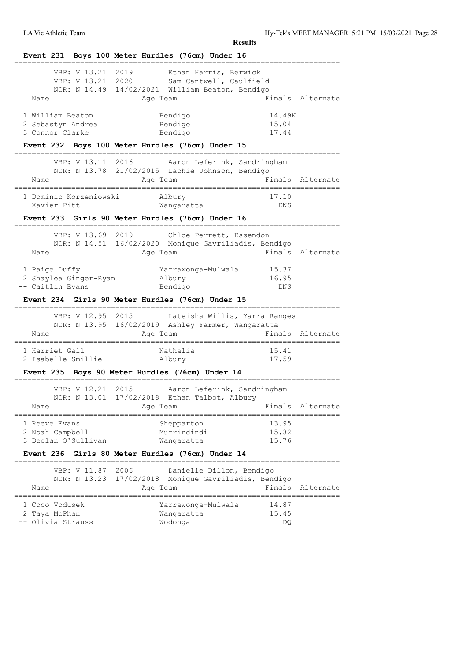|                                                                                    | Event 231 Boys 100 Meter Hurdles (76cm) Under 16                                                                  |                                                                                 |  |
|------------------------------------------------------------------------------------|-------------------------------------------------------------------------------------------------------------------|---------------------------------------------------------------------------------|--|
| VBP: V 13.21<br>Name                                                               | 2019<br>Ethan Harris, Berwick<br>VBP: V 13.21 2020<br>NCR: N 14.49 14/02/2021 William Beaton, Bendigo<br>Age Team | Sam Cantwell, Caulfield<br>Finals Alternate                                     |  |
| 1 William Beaton<br>2 Sebastyn Andrea<br>3 Connor Clarke                           | Bendigo<br>Bendigo<br>Bendigo<br>Event 232 Boys 100 Meter Hurdles (76cm) Under 15                                 | 14.49N<br>15.04<br>17.44                                                        |  |
| VBP: V 13.11 2016<br>Name                                                          | NCR: N 13.78 21/02/2015 Lachie Johnson, Bendigo<br>Age Team                                                       | Aaron Leferink, Sandringham<br>Finals Alternate                                 |  |
| =====================<br>1 Dominic Korzeniowski<br>-- Xavier Pitt                  | _______________________<br>Albury<br>Wangaratta                                                                   | =========================<br>17.10<br>DNS                                       |  |
| ==================                                                                 | Event 233 Girls 90 Meter Hurdles (76cm) Under 16                                                                  |                                                                                 |  |
| Name                                                                               | VBP: V 13.69 2019<br>NCR: N 14.51 16/02/2020 Monique Gavriliadis, Bendigo<br>Age Team                             | Chloe Perrett, Essendon<br>Finals<br>Alternate                                  |  |
| 1 Paige Duffy<br>2 Shaylea Ginger-Ryan<br>-- Caitlin Evans                         | Yarrawonga-Mulwala<br>Albury<br>Bendigo                                                                           | 15.37<br>16.95<br>DNS                                                           |  |
|                                                                                    | Event 234 Girls 90 Meter Hurdles (76cm) Under 15                                                                  |                                                                                 |  |
| VBP: V 12.95 2015<br>Name                                                          | .===========<br>NCR: N 13.95 16/02/2019 Ashley Farmer, Wangaratta<br>Age Team                                     | Lateisha Willis, Yarra Ranges<br>Finals Alternate                               |  |
|                                                                                    | Nathalia<br>2 Isabelle Smillie Albury                                                                             | 15.41<br>17.59                                                                  |  |
|                                                                                    | Event 235 Boys 90 Meter Hurdles (76cm) Under 14                                                                   |                                                                                 |  |
| VBP: V 12.21 2015<br>NCR: N 13.01                                                  | 17/02/2018 Ethan Talbot, Albury                                                                                   | Aaron Leferink, Sandringham                                                     |  |
| Name                                                                               | Age Team                                                                                                          | Finals<br>Alternate                                                             |  |
| ========================<br>1 Harriet Gall<br>1 Reeve Evans<br>3 Declan O'Sullivan | Shepparton<br>Murrindindi<br>Wangaratta                                                                           | 13.95<br>15.32<br>15.76                                                         |  |
|                                                                                    | Event 236 Girls 80 Meter Hurdles (76cm) Under 14                                                                  |                                                                                 |  |
| 2 Noah Campbell<br>:==========<br>VBP: V 11.87<br>NCR: N 13.23<br>Name             | 2006<br>17/02/2018<br>Age Team                                                                                    | Danielle Dillon, Bendigo<br>Monique Gavriliadis, Bendigo<br>Finals<br>Alternate |  |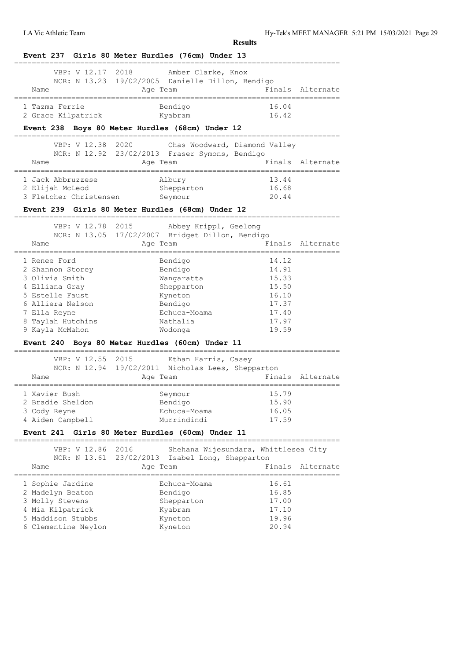**Event 237 Girls 80 Meter Hurdles (76cm) Under 13**

| Name<br>=============                            | VBP: V 12.17 2018 Amber Clarke, Knox<br>NCR: N 13.23 19/02/2005 Danielle Dillon, Bendigo<br>Age Team | ,,,,,,,,,,,,,,,,,,,,,,,                | Finals Alternate |
|--------------------------------------------------|------------------------------------------------------------------------------------------------------|----------------------------------------|------------------|
| 1 Tazma Ferrie                                   | Bendigo                                                                                              | 16.04                                  |                  |
| 2 Grace Kilpatrick                               | Kyabram                                                                                              | 16.42                                  |                  |
| Event 238 Boys 80 Meter Hurdles (68cm) Under 12  |                                                                                                      |                                        |                  |
| VBP: V 12.38 2020                                | NCR: N 12.92 23/02/2013 Fraser Symons, Bendigo                                                       | Chas Woodward, Diamond Valley          |                  |
| Name<br>==================<br>;================= | Age Team                                                                                             | -------------------------------------- | Finals Alternate |
| 1 Jack Abbruzzese                                | Albury                                                                                               | 13.44                                  |                  |
| 2 Elijah McLeod                                  | Shepparton                                                                                           | 16.68                                  |                  |
| 3 Fletcher Christensen Seymour                   |                                                                                                      | 20.44                                  |                  |
| Event 239 Girls 80 Meter Hurdles (68cm) Under 12 |                                                                                                      |                                        |                  |
| VBP: V 12.78<br>2015                             | ----------<br>Abbey Krippl, Geelong                                                                  | ------------------------               |                  |
|                                                  | NCR: N 13.05 17/02/2007 Bridget Dillon, Bendigo                                                      |                                        |                  |
| Name                                             | Age Team                                                                                             |                                        | Finals Alternate |
| 1 Renee Ford                                     | Bendigo                                                                                              | 14.12                                  |                  |
| 2 Shannon Storey                                 | Bendigo                                                                                              | 14.91                                  |                  |
| 3 Olivia Smith                                   | Wangaratta                                                                                           | 15.33                                  |                  |
| 4 Elliana Gray                                   | Shepparton                                                                                           | 15.50                                  |                  |
| 5 Estelle Faust                                  | Kyneton                                                                                              | 16.10                                  |                  |
| 6 Alliera Nelson                                 | Bendigo                                                                                              | 17.37                                  |                  |
| 7 Ella Reyne                                     | Echuca-Moama                                                                                         | 17.40                                  |                  |
| 8 Taylah Hutchins                                | Nathalia                                                                                             | 17.97                                  |                  |
| 9 Kayla McMahon                                  | Wodonga                                                                                              | 19.59                                  |                  |
| Event 240 Boys 80 Meter Hurdles (60cm) Under 11  |                                                                                                      |                                        |                  |
| VBP: V 12.55 2015                                | Ethan Harris, Casey                                                                                  |                                        |                  |
|                                                  | NCR: N 12.94 19/02/2011 Nicholas Lees, Shepparton                                                    |                                        |                  |
| Name<br>-----------------------------------      | Age Team                                                                                             |                                        | Finals Alternate |
| 1 Xavier Bush                                    | Seymour                                                                                              | 15.79                                  |                  |
|                                                  |                                                                                                      |                                        |                  |
| 2 Bradie Sheldon                                 | Bendigo                                                                                              | 15.90                                  |                  |
| 3 Cody Reyne                                     | Echuca-Moama                                                                                         | 16.05                                  |                  |
| 4 Aiden Campbell                                 | Murrindindi                                                                                          | 17.59                                  |                  |
| Event 241 Girls 80 Meter Hurdles (60cm) Under 11 |                                                                                                      |                                        |                  |
| VBP: V 12.86 2016                                |                                                                                                      | Shehana Wijesundara, Whittlesea City   |                  |
|                                                  | NCR: N 13.61 23/02/2013 Isabel Long, Shepparton                                                      |                                        |                  |
| Name                                             | Age Team                                                                                             |                                        | Finals Alternate |
| 1 Sophie Jardine                                 | Echuca-Moama                                                                                         | 16.61                                  |                  |
| 2 Madelyn Beaton                                 | Bendigo                                                                                              | 16.85                                  |                  |
| 3 Molly Stevens                                  | Shepparton                                                                                           | 17.00                                  |                  |
| 4 Mia Kilpatrick                                 | Kyabram                                                                                              | 17.10                                  |                  |
| 5 Maddison Stubbs<br>6 Clementine Neylon         | Kyneton<br>Kyneton                                                                                   | 19.96<br>20.94                         |                  |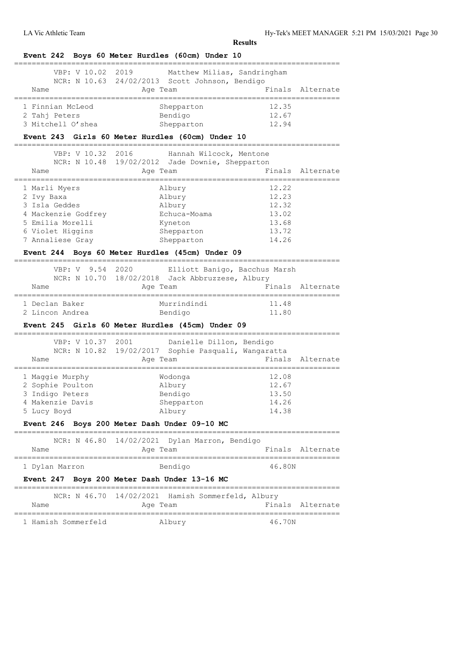|                                                      | Event 242 Boys 60 Meter Hurdles (60cm) Under 10                                          |                                        |                  |
|------------------------------------------------------|------------------------------------------------------------------------------------------|----------------------------------------|------------------|
| VBP: V 10.02                                         | 2019<br>Matthew Milias, Sandringham                                                      |                                        |                  |
|                                                      | NCR: N 10.63 24/02/2013 Scott Johnson, Bendigo                                           |                                        |                  |
| Name<br>===========                                  | Age Team                                                                                 |                                        | Finals Alternate |
| 1 Finnian McLeod                                     | Shepparton                                                                               | 12.35                                  |                  |
| 2 Tahj Peters                                        | Bendigo                                                                                  | 12.67                                  |                  |
| 3 Mitchell O'shea                                    | Shepparton                                                                               | 12.94                                  |                  |
| ________________________________                     | Event 243 Girls 60 Meter Hurdles (60cm) Under 10                                         | ============                           |                  |
| VBP: V 10.32 2016                                    | Hannah Wilcock, Mentone                                                                  |                                        |                  |
|                                                      | NCR: N 10.48 19/02/2012 Jade Downie, Shepparton                                          |                                        |                  |
| Name                                                 | Age Team                                                                                 |                                        | Finals Alternate |
| -----------------------------------<br>1 Marli Myers | Albury                                                                                   | ,,,,,,,,,,,,,,,,,,,,,,,,<br>12.22      |                  |
| 2 Ivy Baxa                                           | Albury                                                                                   | 12.23                                  |                  |
| 3 Isla Geddes                                        | Albury                                                                                   | 12.32                                  |                  |
| 4 Mackenzie Godfrey                                  | Echuca-Moama                                                                             | 13.02                                  |                  |
| 5 Emilia Morelli                                     | Kyneton                                                                                  | 13.68                                  |                  |
| 6 Violet Higgins                                     | Shepparton                                                                               | 13.72                                  |                  |
| 7 Annaliese Gray                                     | Shepparton                                                                               | 14.26                                  |                  |
|                                                      | Event 244 Boys 60 Meter Hurdles (45cm) Under 09                                          |                                        |                  |
|                                                      |                                                                                          |                                        |                  |
| VBP: V 9.54                                          | 2020<br>Elliott Banigo, Bacchus Marsh<br>NCR: N 10.70 18/02/2018 Jack Abbruzzese, Albury |                                        |                  |
| Name                                                 |                                                                                          |                                        | Finals Alternate |
| ================                                     | Age Team<br>=======================                                                      | ,,,,,,,,,,,,,,,,,,,,,,,,,,,,           |                  |
| 1 Declan Baker                                       | Murrindindi                                                                              | 11.48                                  |                  |
| 2 Lincon Andrea                                      | Bendigo                                                                                  | 11.80                                  |                  |
|                                                      | Event 245 Girls 60 Meter Hurdles (45cm) Under 09                                         |                                        |                  |
| VBP: V 10.37 2001                                    | Danielle Dillon, Bendigo                                                                 | . _ _ _ _ _ _ _ _ _ _ _                |                  |
|                                                      | NCR: N 10.82 19/02/2017 Sophie Pasquali, Wangaratta                                      |                                        |                  |
| Name                                                 | Age Team<br>========                                                                     |                                        | Finals Alternate |
| 1 Maggie Murphy                                      | Wodonga                                                                                  | 12.08                                  |                  |
| 2 Sophie Poulton                                     | Albury                                                                                   | 12.67                                  |                  |
| 3 Indigo Peters                                      | Bendigo                                                                                  | 13.50                                  |                  |
| 4 Makenzie Davis                                     | Shepparton                                                                               | 14.26                                  |                  |
| 5 Lucy Boyd                                          | Albury                                                                                   | 14.38                                  |                  |
|                                                      | Event 246 Boys 200 Meter Dash Under 09-10 MC                                             |                                        |                  |
|                                                      | NCR: N 46.80 14/02/2021 Dylan Marron, Bendigo                                            |                                        |                  |
| Name                                                 | Age Team                                                                                 |                                        | Finals Alternate |
| 1 Dylan Marron                                       | Bendigo                                                                                  | 46.80N                                 |                  |
|                                                      | Event 247 Boys 200 Meter Dash Under 13-16 MC                                             |                                        |                  |
|                                                      | NCR: N 46.70 14/02/2021 Hamish Sommerfeld, Albury                                        | ______________________________________ |                  |
| Name                                                 | Age Team                                                                                 |                                        | Finals Alternate |
|                                                      |                                                                                          |                                        |                  |
| 1 Hamish Sommerfeld                                  | Albury                                                                                   | 46.70N                                 |                  |
|                                                      |                                                                                          |                                        |                  |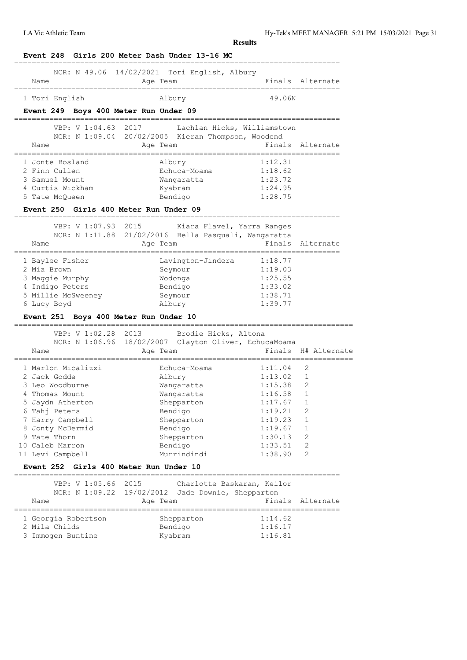LA Vic Athletic Team Hy-Tek's MEET MANAGER 5:21 PM 15/03/2021 Page 31

| Event 248 Girls 200 Meter Dash Under 13-16 MC                                                                                                                                                                                                                                                 |                                                               |                        |                  |
|-----------------------------------------------------------------------------------------------------------------------------------------------------------------------------------------------------------------------------------------------------------------------------------------------|---------------------------------------------------------------|------------------------|------------------|
| NCR: N 49.06<br>Name<br>---------------                                                                                                                                                                                                                                                       | 14/02/2021 Tori English, Albury<br>Age Team                   | Finals                 | Alternate        |
| 1 Tori English                                                                                                                                                                                                                                                                                | Albury                                                        | 49.06N                 |                  |
| Event 249 Boys 400 Meter Run Under 09                                                                                                                                                                                                                                                         |                                                               |                        |                  |
| VBP: V 1:04.63<br>2017                                                                                                                                                                                                                                                                        | Lachlan Hicks, Williamstown                                   |                        |                  |
|                                                                                                                                                                                                                                                                                               | NCR: N 1:09.04 20/02/2005 Kieran Thompson, Woodend            |                        |                  |
| Name<br>==============                                                                                                                                                                                                                                                                        | Age Team                                                      | ---------------------- | Finals Alternate |
| 1 Jonte Bosland                                                                                                                                                                                                                                                                               | Albury                                                        | 1:12.31                |                  |
| 2 Finn Cullen                                                                                                                                                                                                                                                                                 | Echuca-Moama                                                  | 1:18.62                |                  |
| 3 Samuel Mount                                                                                                                                                                                                                                                                                | Wangaratta                                                    | 1:23.72                |                  |
| 4 Curtis Wickham                                                                                                                                                                                                                                                                              | Kyabram                                                       | 1:24.95                |                  |
| 5 Tate McQueen                                                                                                                                                                                                                                                                                | Bendigo                                                       | 1:28.75                |                  |
| Event 250 Girls 400 Meter Run Under 09                                                                                                                                                                                                                                                        |                                                               |                        |                  |
| VBP: V 1:07.93<br>2015                                                                                                                                                                                                                                                                        | Kiara Flavel, Yarra Ranges                                    |                        |                  |
| NCR: N 1:11.88                                                                                                                                                                                                                                                                                | 21/02/2016 Bella Pasquali, Wangaratta                         |                        |                  |
| Name<br>==================                                                                                                                                                                                                                                                                    | Age Team                                                      | Finals                 | Alternate        |
| 1 Baylee Fisher                                                                                                                                                                                                                                                                               | Lavington-Jindera                                             | 1:18.77                |                  |
| 2 Mia Brown                                                                                                                                                                                                                                                                                   | Seymour                                                       | 1:19.03                |                  |
| 3 Maggie Murphy                                                                                                                                                                                                                                                                               | Wodonga                                                       | 1:25.55                |                  |
| 4 Indigo Peters                                                                                                                                                                                                                                                                               | Bendigo                                                       | 1:33.02                |                  |
| 5 Millie McSweeney                                                                                                                                                                                                                                                                            | Seymour                                                       | 1:38.71                |                  |
| 6 Lucy Boyd                                                                                                                                                                                                                                                                                   | Albury                                                        | 1:39.77                |                  |
| Event 251 Boys 400 Meter Run Under 10                                                                                                                                                                                                                                                         |                                                               |                        |                  |
| VBP: V 1:02.28<br>2013                                                                                                                                                                                                                                                                        | Brodie Hicks, Altona                                          |                        |                  |
| NCR: N 1:06.96                                                                                                                                                                                                                                                                                | 18/02/2007 Clayton Oliver, EchucaMoama                        |                        |                  |
| Name                                                                                                                                                                                                                                                                                          | Age Team                                                      | Finals                 | H# Alternate     |
|                                                                                                                                                                                                                                                                                               |                                                               |                        |                  |
|                                                                                                                                                                                                                                                                                               | Echuca-Moama                                                  | 1:11.04                | 2                |
|                                                                                                                                                                                                                                                                                               | Albury                                                        | 1:13.02                | 1                |
|                                                                                                                                                                                                                                                                                               | Wangaratta                                                    | 1:15.38                | 2                |
|                                                                                                                                                                                                                                                                                               | Wangaratta                                                    | 1:16.58                | $\mathbf{1}$     |
|                                                                                                                                                                                                                                                                                               | Shepparton                                                    | 1:17.67                | - 1              |
|                                                                                                                                                                                                                                                                                               | Bendigo                                                       | 1:19.21                | 2                |
|                                                                                                                                                                                                                                                                                               | Shepparton                                                    | 1:19.23                | 1                |
|                                                                                                                                                                                                                                                                                               | Bendigo                                                       | 1:19.67                | 1                |
|                                                                                                                                                                                                                                                                                               | Shepparton                                                    | 1:30.13                | 2                |
|                                                                                                                                                                                                                                                                                               | Bendigo                                                       | 1:33.51                | 2                |
|                                                                                                                                                                                                                                                                                               | Murrindindi                                                   | 1:38.90                | 2                |
|                                                                                                                                                                                                                                                                                               |                                                               |                        |                  |
| VBP: V 1:05.66<br>2015                                                                                                                                                                                                                                                                        | Charlotte Baskaran, Keilor                                    |                        |                  |
| Name                                                                                                                                                                                                                                                                                          | NCR: N 1:09.22 19/02/2012 Jade Downie, Shepparton<br>Age Team | Finals                 |                  |
|                                                                                                                                                                                                                                                                                               |                                                               |                        |                  |
| 1 Marlon Micalizzi<br>2 Jack Godde<br>3 Leo Woodburne<br>4 Thomas Mount<br>5 Jaydn Atherton<br>6 Tahj Peters<br>7 Harry Campbell<br>8 Jonty McDermid<br>9 Tate Thorn<br>10 Caleb Marron<br>11 Levi Campbell<br>Event 252 Girls 400 Meter Run Under 10<br>1 Georgia Robertson<br>2 Mila Childs | Shepparton<br>Bendigo                                         | 1:14.62<br>1:16.17     | Alternate        |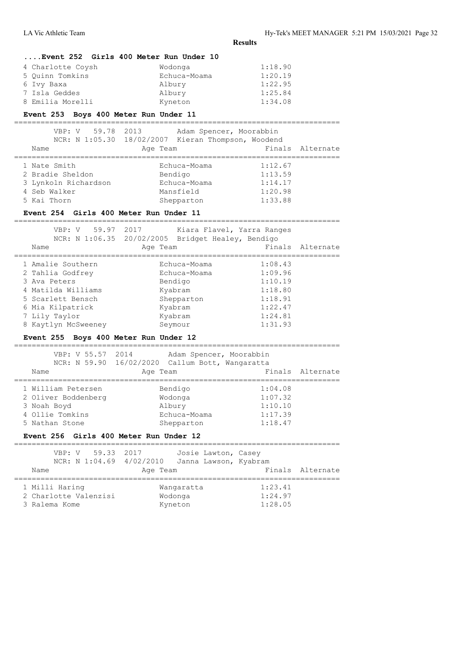|                                                |                                                    | <b>Results</b>                       |                  |
|------------------------------------------------|----------------------------------------------------|--------------------------------------|------------------|
| Event 252 Girls 400 Meter Run Under 10         |                                                    |                                      |                  |
| 4 Charlotte Coysh                              | Wodonga                                            | 1:18.90                              |                  |
| 5 Quinn Tomkins                                | Echuca-Moama                                       | 1:20.19                              |                  |
| 6 Ivy Baxa                                     | Albury                                             | 1:22.95                              |                  |
| 7 Isla Geddes                                  | Albury                                             | 1:25.84                              |                  |
| 8 Emilia Morelli                               | Kyneton                                            | 1:34.08                              |                  |
| Event 253 Boys 400 Meter Run Under 11          |                                                    |                                      |                  |
| VBP: V 59.78 2013                              | Adam Spencer, Moorabbin                            |                                      |                  |
|                                                | NCR: N 1:05.30 18/02/2007 Kieran Thompson, Woodend |                                      |                  |
| Name                                           | Age Team                                           | Finals                               | Alternate        |
| 1 Nate Smith                                   | Echuca-Moama                                       | 1:12.67                              |                  |
| 2 Bradie Sheldon                               | Bendigo                                            | 1:13.59                              |                  |
| 3 Lynkoln Richardson                           | Echuca-Moama                                       | 1:14.17                              |                  |
| 4 Seb Walker                                   | Mansfield                                          | 1:20.98                              |                  |
| 5 Kai Thorn                                    | Shepparton                                         | 1:33.88                              |                  |
| Event 254 Girls 400 Meter Run Under 11         |                                                    |                                      |                  |
| VBP: V 59.97 2017                              |                                                    | Kiara Flavel, Yarra Ranges           |                  |
|                                                | NCR: N 1:06.35 20/02/2005 Bridget Healey, Bendigo  |                                      |                  |
| Name                                           | Age Team                                           |                                      | Finals Alternate |
| 1 Amalie Southern                              | Echuca-Moama                                       | 1:08.43                              |                  |
| 2 Tahlia Godfrey                               | Echuca-Moama                                       | 1:09.96                              |                  |
| 3 Ava Peters                                   | Bendigo                                            | 1:10.19                              |                  |
| 4 Matilda Williams                             | Kyabram                                            | 1:18.80                              |                  |
| 5 Scarlett Bensch                              | Shepparton                                         | 1:18.91                              |                  |
| 6 Mia Kilpatrick                               | Kyabram                                            | 1:22.47                              |                  |
| 7 Lily Taylor                                  | Kyabram                                            | 1:24.81                              |                  |
| 8 Kaytlyn McSweeney                            | Seymour                                            | 1:31.93                              |                  |
| Event 255 Boys 400 Meter Run Under 12<br>===== |                                                    | ==================================== |                  |
| VBP: V 55.57 2014                              | Adam Spencer, Moorabbin                            |                                      |                  |
|                                                | NCR: N 59.90 16/02/2020 Callum Bott, Wangaratta    |                                      |                  |
| Name                                           | Age Team                                           |                                      | Finals Alternate |
| 1 William Petersen                             | Bendigo                                            | 1:04.08                              |                  |
| 2 Oliver Boddenberg                            | Wodonga                                            | 1:07.32                              |                  |
| 3 Noah Boyd                                    | Albury                                             | 1:10.10                              |                  |
| 4 Ollie Tomkins                                | Echuca-Moama                                       | 1:17.39                              |                  |
| 5 Nathan Stone                                 | Shepparton                                         | 1:18.47                              |                  |
| Event 256 Girls 400 Meter Run Under 12         |                                                    |                                      |                  |
| VBP: V 59.33<br>2017                           | Josie Lawton, Casey                                |                                      |                  |
|                                                | NCR: N 1:04.69 4/02/2010 Janna Lawson, Kyabram     |                                      |                  |
| Name                                           | Age Team                                           |                                      | Finals Alternate |
|                                                |                                                    |                                      |                  |

 1 Milli Haring Wangaratta 1:23.41 2 Charlotte Valenzisi Wodonga 1:24.97 3 Ralema Kome Kyneton 1:28.05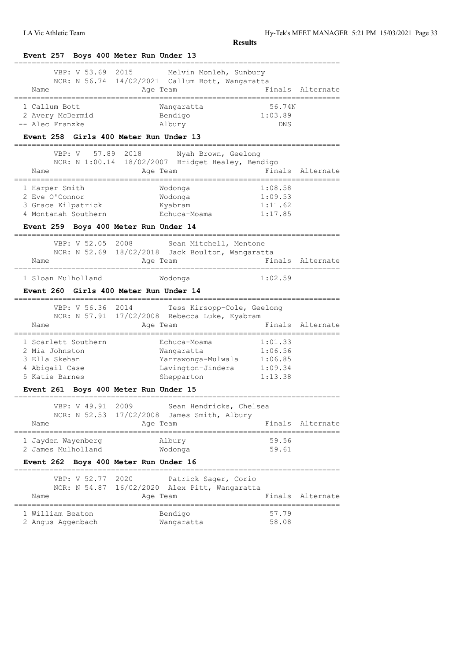LA Vic Athletic Team Hy-Tek's MEET MANAGER 5:21 PM 15/03/2021 Page 33

| Melvin Monleh, Sunbury<br>NCR: N 56.74 14/02/2021 Callum Bott, Wangaratta<br>Age Team<br>Wangaratta<br>Bendigo<br>Albury<br>Event 258 Girls 400 Meter Run Under 13<br>VBP: V 57.89 2018<br>Nyah Brown, Geelong<br>NCR: N 1:00.14 18/02/2007 Bridget Healey, Bendigo<br>Age Team<br>===============<br>Wodonqa<br>Wodonga<br>Kyabram<br>Echuca-Moama | 56.74N<br>1:03.89<br>DNS<br>1:08.58<br>1:09.53                                                                       |                                                                                                                                                                                                                                                                                                                                               |
|-----------------------------------------------------------------------------------------------------------------------------------------------------------------------------------------------------------------------------------------------------------------------------------------------------------------------------------------------------|----------------------------------------------------------------------------------------------------------------------|-----------------------------------------------------------------------------------------------------------------------------------------------------------------------------------------------------------------------------------------------------------------------------------------------------------------------------------------------|
|                                                                                                                                                                                                                                                                                                                                                     |                                                                                                                      | Finals Alternate<br>Finals Alternate<br>===========================                                                                                                                                                                                                                                                                           |
|                                                                                                                                                                                                                                                                                                                                                     |                                                                                                                      |                                                                                                                                                                                                                                                                                                                                               |
|                                                                                                                                                                                                                                                                                                                                                     |                                                                                                                      |                                                                                                                                                                                                                                                                                                                                               |
|                                                                                                                                                                                                                                                                                                                                                     |                                                                                                                      |                                                                                                                                                                                                                                                                                                                                               |
|                                                                                                                                                                                                                                                                                                                                                     |                                                                                                                      |                                                                                                                                                                                                                                                                                                                                               |
|                                                                                                                                                                                                                                                                                                                                                     |                                                                                                                      |                                                                                                                                                                                                                                                                                                                                               |
|                                                                                                                                                                                                                                                                                                                                                     |                                                                                                                      |                                                                                                                                                                                                                                                                                                                                               |
|                                                                                                                                                                                                                                                                                                                                                     |                                                                                                                      |                                                                                                                                                                                                                                                                                                                                               |
|                                                                                                                                                                                                                                                                                                                                                     |                                                                                                                      |                                                                                                                                                                                                                                                                                                                                               |
|                                                                                                                                                                                                                                                                                                                                                     |                                                                                                                      |                                                                                                                                                                                                                                                                                                                                               |
|                                                                                                                                                                                                                                                                                                                                                     |                                                                                                                      |                                                                                                                                                                                                                                                                                                                                               |
|                                                                                                                                                                                                                                                                                                                                                     |                                                                                                                      |                                                                                                                                                                                                                                                                                                                                               |
|                                                                                                                                                                                                                                                                                                                                                     | 1:11.62                                                                                                              |                                                                                                                                                                                                                                                                                                                                               |
|                                                                                                                                                                                                                                                                                                                                                     | 1:17.85                                                                                                              |                                                                                                                                                                                                                                                                                                                                               |
| Event 259 Boys 400 Meter Run Under 14                                                                                                                                                                                                                                                                                                               |                                                                                                                      |                                                                                                                                                                                                                                                                                                                                               |
|                                                                                                                                                                                                                                                                                                                                                     |                                                                                                                      |                                                                                                                                                                                                                                                                                                                                               |
|                                                                                                                                                                                                                                                                                                                                                     |                                                                                                                      |                                                                                                                                                                                                                                                                                                                                               |
| Age Team                                                                                                                                                                                                                                                                                                                                            |                                                                                                                      | Finals Alternate                                                                                                                                                                                                                                                                                                                              |
| Wodonga                                                                                                                                                                                                                                                                                                                                             |                                                                                                                      |                                                                                                                                                                                                                                                                                                                                               |
|                                                                                                                                                                                                                                                                                                                                                     |                                                                                                                      |                                                                                                                                                                                                                                                                                                                                               |
|                                                                                                                                                                                                                                                                                                                                                     |                                                                                                                      |                                                                                                                                                                                                                                                                                                                                               |
|                                                                                                                                                                                                                                                                                                                                                     |                                                                                                                      |                                                                                                                                                                                                                                                                                                                                               |
|                                                                                                                                                                                                                                                                                                                                                     |                                                                                                                      |                                                                                                                                                                                                                                                                                                                                               |
|                                                                                                                                                                                                                                                                                                                                                     |                                                                                                                      |                                                                                                                                                                                                                                                                                                                                               |
| Echuca-Moama                                                                                                                                                                                                                                                                                                                                        |                                                                                                                      |                                                                                                                                                                                                                                                                                                                                               |
| Wangaratta                                                                                                                                                                                                                                                                                                                                          |                                                                                                                      |                                                                                                                                                                                                                                                                                                                                               |
| Yarrawonga-Mulwala                                                                                                                                                                                                                                                                                                                                  |                                                                                                                      |                                                                                                                                                                                                                                                                                                                                               |
| Lavington-Jindera                                                                                                                                                                                                                                                                                                                                   |                                                                                                                      |                                                                                                                                                                                                                                                                                                                                               |
| Shepparton                                                                                                                                                                                                                                                                                                                                          |                                                                                                                      |                                                                                                                                                                                                                                                                                                                                               |
| Event 261 Boys 400 Meter Run Under 15                                                                                                                                                                                                                                                                                                               |                                                                                                                      |                                                                                                                                                                                                                                                                                                                                               |
|                                                                                                                                                                                                                                                                                                                                                     |                                                                                                                      |                                                                                                                                                                                                                                                                                                                                               |
| 17/02/2008<br>James Smith, Albury                                                                                                                                                                                                                                                                                                                   |                                                                                                                      |                                                                                                                                                                                                                                                                                                                                               |
| Age Team                                                                                                                                                                                                                                                                                                                                            |                                                                                                                      | Finals Alternate                                                                                                                                                                                                                                                                                                                              |
|                                                                                                                                                                                                                                                                                                                                                     | 59.56                                                                                                                | ============                                                                                                                                                                                                                                                                                                                                  |
| Wodonga                                                                                                                                                                                                                                                                                                                                             | 59.61                                                                                                                |                                                                                                                                                                                                                                                                                                                                               |
| Event 262 Boys 400 Meter Run Under 16                                                                                                                                                                                                                                                                                                               |                                                                                                                      |                                                                                                                                                                                                                                                                                                                                               |
|                                                                                                                                                                                                                                                                                                                                                     |                                                                                                                      |                                                                                                                                                                                                                                                                                                                                               |
|                                                                                                                                                                                                                                                                                                                                                     |                                                                                                                      |                                                                                                                                                                                                                                                                                                                                               |
| Age Team                                                                                                                                                                                                                                                                                                                                            |                                                                                                                      | Finals Alternate                                                                                                                                                                                                                                                                                                                              |
|                                                                                                                                                                                                                                                                                                                                                     |                                                                                                                      |                                                                                                                                                                                                                                                                                                                                               |
|                                                                                                                                                                                                                                                                                                                                                     |                                                                                                                      |                                                                                                                                                                                                                                                                                                                                               |
|                                                                                                                                                                                                                                                                                                                                                     | <b>Event 260 Girls 400 Meter Run Under 14</b><br>Age Team<br>Albury<br>Patrick Sager, Corio<br>Bendigo<br>Wangaratta | Sean Mitchell, Mentone<br>NCR: N 52.69 18/02/2018 Jack Boulton, Wangaratta<br>1:02.59<br>Tess Kirsopp-Cole, Geelong<br>NCR: N 57.91 17/02/2008 Rebecca Luke, Kyabram<br>Finals Alternate<br>1:01.33<br>1:06.56<br>1:06.85<br>1:09.34<br>1:13.38<br>Sean Hendricks, Chelsea<br>NCR: N 54.87 16/02/2020 Alex Pitt, Wangaratta<br>57.79<br>58.08 |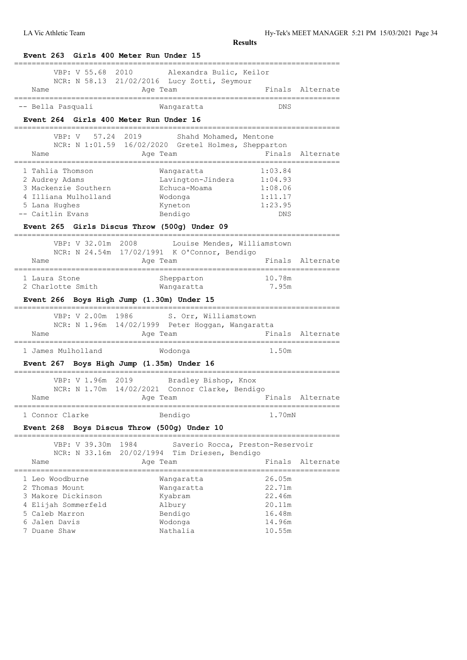| VBP: V 55.68<br>2010<br>Name                                                                                            | Alexandra Bulic, Keilor<br>NCR: N 58.13 21/02/2016 Lucy Zotti, Seymour<br>Age Team                                                        |                                                                                   | Finals Alternate                     |
|-------------------------------------------------------------------------------------------------------------------------|-------------------------------------------------------------------------------------------------------------------------------------------|-----------------------------------------------------------------------------------|--------------------------------------|
| -- Bella Pasquali                                                                                                       | Wangaratta                                                                                                                                | ==============<br>DNS                                                             |                                      |
| Event 264 Girls 400 Meter Run Under 16                                                                                  |                                                                                                                                           |                                                                                   |                                      |
|                                                                                                                         |                                                                                                                                           |                                                                                   |                                      |
| 57.24<br>VBP: V<br>Name<br>----------------------------------                                                           | 2019<br>Shahd Mohamed, Mentone<br>NCR: N 1:01.59 16/02/2020 Gretel Holmes, Shepparton<br>Age Team<br>------------------------------------ |                                                                                   | Finals Alternate                     |
| 1 Tahlia Thomson<br>2 Audrey Adams<br>3 Mackenzie Southern<br>4 Illiana Mulholland<br>5 Lana Hughes<br>-- Caitlin Evans | Wangaratta<br>Lavington-Jindera<br>Echuca-Moama<br>Wodonga<br>Kyneton<br>Bendigo<br>Event 265 Girls Discus Throw (500q) Under 09          | 1:03.84<br>1:04.93<br>1:08.06<br>1:11.17<br>1:23.95<br>DNS                        |                                      |
| VBP: V 32.01m 2008<br>Name                                                                                              | Louise Mendes, Williamstown<br>NCR: N 24.54m 17/02/1991 K O'Connor, Bendigo<br>Age Team                                                   |                                                                                   | Finals Alternate                     |
| 1 Laura Stone<br>2 Charlotte Smith                                                                                      | Shepparton<br>Wangaratta                                                                                                                  | 10.78m<br>7.95m                                                                   |                                      |
| Event 266 Boys High Jump (1.30m) Under 15                                                                               |                                                                                                                                           |                                                                                   |                                      |
|                                                                                                                         |                                                                                                                                           |                                                                                   |                                      |
| Name                                                                                                                    | VBP: V 2.00m 1986 S. Orr, Williamstown<br>NCR: N 1.96m 14/02/1999 Peter Hoggan, Wangaratta<br>Age Team                                    |                                                                                   |                                      |
|                                                                                                                         |                                                                                                                                           | -------------------------<br>1.50m                                                |                                      |
|                                                                                                                         | Wodonga                                                                                                                                   |                                                                                   |                                      |
| 1 James Mulholland<br>Name                                                                                              | VBP: V 1.96m 2019 Bradley Bishop, Knox<br>NCR: N 1.70m 14/02/2021 Connor Clarke, Bendigo<br>Age Team                                      |                                                                                   |                                      |
|                                                                                                                         |                                                                                                                                           |                                                                                   |                                      |
| Event 267 Boys High Jump (1.35m) Under 16<br>1 Connor Clarke                                                            | Bendigo                                                                                                                                   | 1.70mN                                                                            | Finals Alternate<br>Finals Alternate |
| <b>Event 268</b>                                                                                                        | Boys Discus Throw (500g) Under 10                                                                                                         |                                                                                   |                                      |
| VBP: V 39.30m                                                                                                           | 1984<br>Saverio Rocca, Preston-Reservoir                                                                                                  |                                                                                   |                                      |
| Name                                                                                                                    | NCR: N 33.16m 20/02/1994 Tim Driesen, Bendigo<br>Age Team                                                                                 | Finals                                                                            | Alternate                            |
| 1 Leo Woodburne<br>2 Thomas Mount<br>3 Makore Dickinson<br>Elijah Sommerfeld<br>5 Caleb Marron<br>6 Jalen Davis         | Wangaratta<br>Wangaratta<br>Kyabram<br>Albury<br>Bendigo<br>Wodonga                                                                       | _____________________<br>26.05m<br>22.71m<br>22.46m<br>20.11m<br>16.48m<br>14.96m |                                      |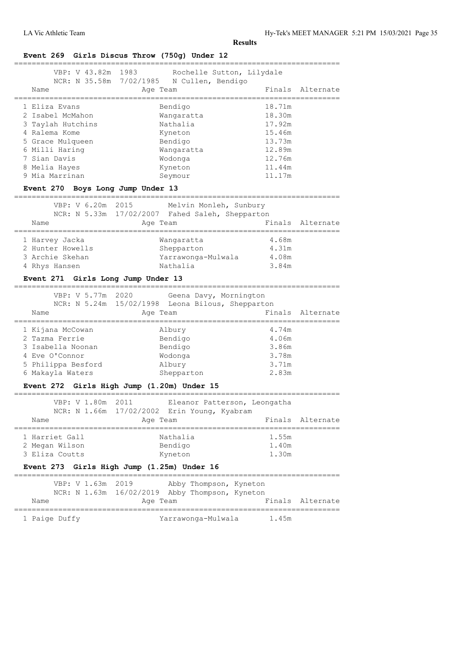# **Event 269 Girls Discus Throw (750g) Under 12**

| VBP: V 43.82m 1983<br>NCR: N 35.58m 7/02/1985 | Rochelle Sutton, Lilydale<br>N Cullen, Bendigo |                  |
|-----------------------------------------------|------------------------------------------------|------------------|
| Name                                          | Age Team                                       | Finals Alternate |
| 1 Eliza Evans                                 | Bendigo                                        | 18.71m           |
| 2 Isabel McMahon                              | Wangaratta                                     | 18.30m           |
| 3 Taylah Hutchins                             | Nathalia                                       | 17.92m           |
| 4 Ralema Kome                                 | Kyneton                                        | 15.46m           |
| 5 Grace Mulqueen                              | Bendigo                                        | 13.73m           |
| 6 Milli Haring                                | Wangaratta                                     | 12.89m           |
| 7 Sian Davis                                  | Wodonga                                        | 12.76m           |
| 8 Melia Hayes                                 | Kyneton                                        | 11.44m           |
| 9 Mia Marrinan                                | Seymour                                        | 11.17m           |
| - - - - - -                                   | -----                                          |                  |

#### **Event 270 Boys Long Jump Under 13**

| Name             | Age Team           |                   | Finals Alternate                                                          |
|------------------|--------------------|-------------------|---------------------------------------------------------------------------|
|                  |                    |                   |                                                                           |
| 1 Harvey Jacka   | Wangaratta         | 4.68m             |                                                                           |
| 2 Hunter Howells | Shepparton         | 4.31m             |                                                                           |
| 3 Archie Skehan  | Yarrawonga-Mulwala | 4.08m             |                                                                           |
| 4 Rhys Hansen    | Nathalia           | 3.84m             |                                                                           |
|                  |                    | VBP: V 6.20m 2015 | Melvin Monleh, Sunbury<br>NCR: N 5.33m 17/02/2007 Fahed Saleh, Shepparton |

# **Event 271 Girls Long Jump Under 13**

| VBP: V 5.77m 2020<br>Name | Geena Davy, Mornington<br>NCR: N 5.24m 15/02/1998 Leona Bilous, Shepparton<br>Age Team | Finals Alternate |
|---------------------------|----------------------------------------------------------------------------------------|------------------|
| 1 Kijana McCowan          | Albury                                                                                 | 4.74m            |
| 2 Tazma Ferrie            | Bendigo                                                                                | 4.06m            |
| 3 Isabella Noonan         | Bendigo                                                                                | 3.86m            |
| 4 Eve O'Connor            | Wodonga                                                                                | 3.78m            |
| 5 Philippa Besford        | Albury                                                                                 | 3.71m            |
| 6 Makayla Waters          | Shepparton                                                                             | 2.83m            |

# **Event 272 Girls High Jump (1.20m) Under 15**

| VBP: V 1.80m 2011<br>Name                          | Eleanor Patterson, Leongatha<br>NCR: N 1.66m 17/02/2002 Erin Young, Kyabram<br>Age Team |                         | Finals Alternate |
|----------------------------------------------------|-----------------------------------------------------------------------------------------|-------------------------|------------------|
| 1 Harriet Gall<br>2 Megan Wilson<br>3 Eliza Coutts | Nathalia<br>Bendigo<br>Kyneton                                                          | 1.55m<br>1.40m<br>1.30m |                  |
|                                                    | Event 273 Girls High Jump (1.25m) Under 16                                              |                         |                  |

# VBP: V 1.63m 2019 Abby Thompson, Kyneton NCR: N 1.63m 16/02/2019 Abby Thompson, Kyneton Name Age Team Research Rinals Alternate ========================================================================== 1 Paige Duffy 1.45m Varrawonga-Mulwala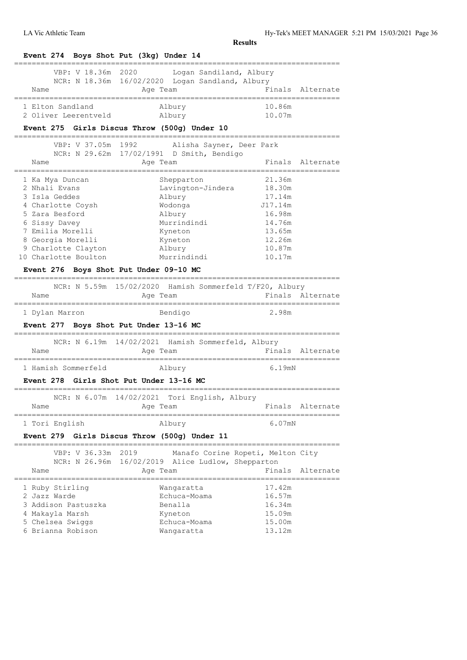| Event 274 Boys Shot Put (3kg) Under 14                                                                                                  |                                                                                        |                                      |                  |
|-----------------------------------------------------------------------------------------------------------------------------------------|----------------------------------------------------------------------------------------|--------------------------------------|------------------|
| VBP: V 18.36m 2020<br>Name                                                                                                              | Logan Sandiland, Albury<br>NCR: N 18.36m 16/02/2020 Logan Sandland, Albury<br>Age Team |                                      | Finals Alternate |
| ===================                                                                                                                     |                                                                                        |                                      |                  |
| 1 Elton Sandland                                                                                                                        | Albury                                                                                 | 10.86m                               |                  |
| 2 Oliver Leerentveld                                                                                                                    | Albury                                                                                 | 10.07m                               |                  |
| Event 275 Girls Discus Throw (500g) Under 10<br>===================                                                                     | ===============                                                                        |                                      |                  |
| VBP: V 37.05m 1992                                                                                                                      | Alisha Sayner, Deer Park                                                               |                                      |                  |
|                                                                                                                                         | NCR: N 29.62m 17/02/1991 D Smith, Bendigo                                              |                                      |                  |
| Name                                                                                                                                    | Age Team                                                                               |                                      | Finals Alternate |
| 1 Ka Mya Duncan                                                                                                                         | Shepparton                                                                             | 21.36m                               |                  |
| 2 Nhali Evans                                                                                                                           | Lavington-Jindera                                                                      | 18.30m                               |                  |
| 3 Isla Geddes                                                                                                                           | Albury                                                                                 | 17.14m                               |                  |
| 4 Charlotte Coysh                                                                                                                       | Wodonga                                                                                | J17.14m                              |                  |
| 5 Zara Besford                                                                                                                          | Albury                                                                                 | 16.98m                               |                  |
| 6 Sissy Davey                                                                                                                           | Murrindindi                                                                            | 14.76m                               |                  |
| 7 Emilia Morelli                                                                                                                        | Kyneton                                                                                | 13.65m                               |                  |
| 8 Georgia Morelli                                                                                                                       | Kyneton                                                                                | 12.26m                               |                  |
| 9 Charlotte Clayton                                                                                                                     | Albury                                                                                 | 10.87m                               |                  |
| 10 Charlotte Boulton                                                                                                                    | Murrindindi                                                                            | 10.17m                               |                  |
| Event 276 Boys Shot Put Under 09-10 MC                                                                                                  |                                                                                        |                                      |                  |
|                                                                                                                                         | NCR: N 5.59m 15/02/2020 Hamish Sommerfeld T/F20, Albury                                |                                      |                  |
| Name                                                                                                                                    | Age Team<br>==========================<br>Bendigo                                      | ___________________________<br>2.98m | Finals Alternate |
| ===================<br>1 Dylan Marron<br>Event 277 Boys Shot Put Under 13-16 MC                                                         |                                                                                        |                                      |                  |
| Name                                                                                                                                    | NCR: N 6.19m 14/02/2021 Hamish Sommerfeld, Albury<br>Age Team                          |                                      | Finals Alternate |
|                                                                                                                                         | Albury                                                                                 | =================<br>6.19mN          |                  |
|                                                                                                                                         |                                                                                        |                                      |                  |
|                                                                                                                                         |                                                                                        |                                      |                  |
| Name                                                                                                                                    | NCR: N 6.07m 14/02/2021 Tori English, Albury<br>Age Team                               |                                      | Finals Alternate |
|                                                                                                                                         | Albury                                                                                 | 6.07mN                               |                  |
| 1 Hamish Sommerfeld<br><b>Event 278 Girls Shot Put Under 13-16 MC</b><br>1 Tori English<br>Event 279 Girls Discus Throw (500g) Under 11 |                                                                                        |                                      |                  |
| VBP: V 36.33m 2019                                                                                                                      | Manafo Corine Ropeti, Melton City<br>NCR: N 26.96m 16/02/2019 Alice Ludlow, Shepparton | , ============================       |                  |
| Name                                                                                                                                    | Age Team                                                                               |                                      | Finals Alternate |
|                                                                                                                                         | Wangaratta                                                                             | 17.42m                               |                  |
|                                                                                                                                         | Echuca-Moama                                                                           | 16.57m                               |                  |
|                                                                                                                                         | Benalla                                                                                | 16.34m                               |                  |
| 1 Ruby Stirling<br>2 Jazz Warde<br>3 Addison Pastuszka<br>4 Makayla Marsh                                                               | Kyneton                                                                                | 15.09m                               |                  |
| 5 Chelsea Swiggs<br>6 Brianna Robison                                                                                                   | Echuca-Moama                                                                           | 15.00m<br>13.12m                     |                  |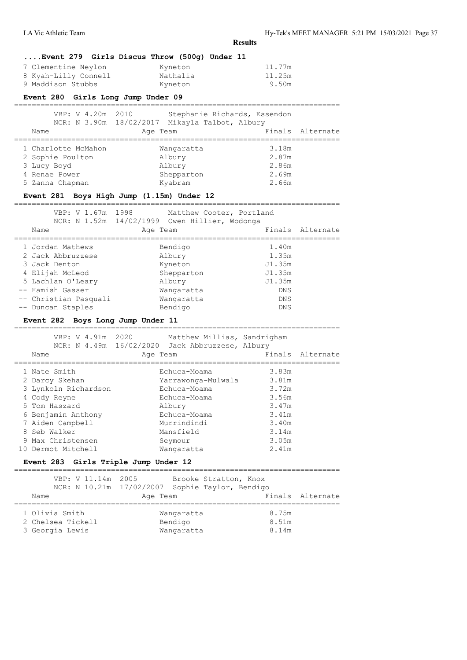|                                           | Event 279 Girls Discus Throw (500g) Under 11    |                      |                  |
|-------------------------------------------|-------------------------------------------------|----------------------|------------------|
| 7 Clementine Neylon                       | Kyneton                                         | 11.77m               |                  |
| 8 Kyah-Lilly Connell                      | Nathalia                                        | 11.25m               |                  |
| 9 Maddison Stubbs                         | Kyneton                                         | 9.50m                |                  |
| Event 280 Girls Long Jump Under 09        |                                                 |                      |                  |
|                                           |                                                 |                      |                  |
| VBP: V 4.20m 2010                         | Stephanie Richards, Essendon                    |                      |                  |
| Name                                      | NCR: N 3.90m 18/02/2017 Mikayla Talbot, Albury  | Finals               | Alternate        |
|                                           | Age Team                                        |                      |                  |
| 1 Charlotte McMahon                       | Wangaratta                                      | 3.18m                |                  |
| 2 Sophie Poulton                          | Albury                                          | 2.87m                |                  |
| 3 Lucy Boyd                               | Albury                                          | 2.86m                |                  |
| 4 Renae Power                             | Shepparton                                      | 2.69m                |                  |
| 5 Zanna Chapman                           | Kyabram                                         | 2.66m                |                  |
| Event 281 Boys High Jump (1.15m) Under 12 |                                                 |                      |                  |
|                                           |                                                 |                      |                  |
| VBP: V 1.67m 1998                         | Matthew Cooter, Portland                        |                      |                  |
|                                           | NCR: N 1.52m 14/02/1999 Owen Hillier, Wodonga   |                      |                  |
| Name                                      | Age Team                                        | Finals               | Alternate        |
| -----------------<br>1 Jordan Mathews     | --------<br>Bendigo                             | ===========<br>1.40m |                  |
| 2 Jack Abbruzzese                         | Albury                                          | 1.35m                |                  |
| 3 Jack Denton                             | Kyneton                                         | J1.35m               |                  |
| 4 Elijah McLeod                           | Shepparton                                      | J1.35m               |                  |
| 5 Lachlan O'Leary                         | Albury                                          | J1.35m               |                  |
| -- Hamish Gasser                          | Wangaratta                                      | DNS                  |                  |
| -- Christian Pasquali                     | Wangaratta                                      | DNS                  |                  |
| -- Duncan Staples                         | Bendigo                                         | DNS                  |                  |
| Event 282 Boys Long Jump Under 11         |                                                 |                      |                  |
|                                           |                                                 |                      |                  |
| VBP: V 4.91m 2020                         | Matthew Millias, Sandrigham                     |                      |                  |
|                                           | NCR: N 4.49m 16/02/2020 Jack Abbruzzese, Albury |                      |                  |
| Name                                      | Age Team                                        |                      | Finals Alternate |
| 1 Nate Smith                              | Echuca-Moama                                    | 3.83m                |                  |
| 2 Darcy Skehan                            | Yarrawonga-Mulwala                              | 3.81m                |                  |
| 3 Lynkoln Richardson                      | Echuca-Moama                                    | 3.72m                |                  |
| 4 Cody Reyne                              | Echuca-Moama                                    | 3.56m                |                  |
| 5 Tom Haszard                             | Albury                                          | 3.47m                |                  |
| 6 Benjamin Anthony                        | Echuca-Moama                                    | 3.41m                |                  |
| 7 Aiden Campbell                          | Murrindindi                                     | 3.40m                |                  |
| 8 Seb Walker                              | Mansfield                                       | 3.14m                |                  |
| 9 Max Christensen                         | Seymour                                         | 3.05m                |                  |
| 10 Dermot Mitchell                        | Wangaratta                                      | 2.41m                |                  |
| Event 283 Girls Triple Jump Under 12      |                                                 |                      |                  |
|                                           |                                                 |                      |                  |
| VBP: V 11.14m                             | 2005<br>Brooke Stratton, Knox                   |                      |                  |

| Name                                | NCR: N 10.21m 17/02/2007 Sophie Taylor, Bendigo<br>Age Team |                | Finals Alternate |
|-------------------------------------|-------------------------------------------------------------|----------------|------------------|
| 1 Olivia Smith<br>2 Chelsea Tickell | Wangaratta<br>Bendigo                                       | 8.75m<br>8.51m |                  |
| 3 Georgia Lewis                     | Wangaratta                                                  | 8.14m          |                  |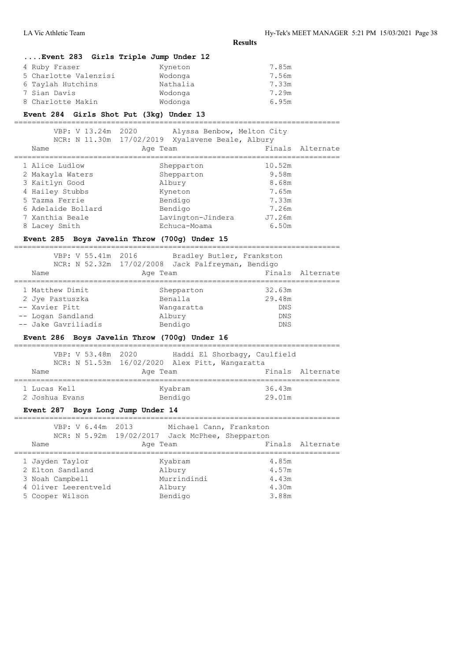|                                                                             | <b>Results</b>                                               |                                  |                  |
|-----------------------------------------------------------------------------|--------------------------------------------------------------|----------------------------------|------------------|
| Event 283 Girls Triple Jump Under 12                                        |                                                              |                                  |                  |
| 4 Ruby Fraser<br>5 Charlotte Valenzisi<br>6 Taylah Hutchins<br>7 Sian Davis | Kyneton<br>Wodonga<br>Nathalia<br>Wodonga                    | 7.85m<br>7.56m<br>7.33m<br>7.29m |                  |
| 8 Charlotte Makin                                                           | Wodonga                                                      | 6.95m                            |                  |
| Event 284 Girls Shot Put (3kg) Under 13                                     |                                                              |                                  |                  |
|                                                                             |                                                              |                                  |                  |
| VBP: V 13.24m 2020                                                          | Alyssa Benbow, Melton City                                   |                                  |                  |
| Name                                                                        | NCR: N 11.30m 17/02/2019 Xyalavene Beale, Albury<br>Age Team |                                  | Finals Alternate |
|                                                                             |                                                              |                                  |                  |
| 1 Alice Ludlow                                                              | Shepparton                                                   | 10.52m                           |                  |
| 2 Makayla Waters                                                            | Shepparton                                                   | 9.58m                            |                  |
| 3 Kaitlyn Good                                                              | Albury                                                       | 8.68m                            |                  |
| 4 Hailey Stubbs                                                             | Kyneton                                                      | 7.65m                            |                  |
| 5 Tazma Ferrie                                                              | Bendigo                                                      | 7.33m                            |                  |
| 6 Adelaide Bollard                                                          | Bendigo                                                      | 7.26m                            |                  |
| 7 Xanthia Beale                                                             | Lavington-Jindera                                            | J7.26m                           |                  |
| 8 Lacey Smith                                                               | Echuca-Moama                                                 | 6.50m                            |                  |
| Event 285 Boys Javelin Throw (700g) Under 15                                |                                                              |                                  |                  |
|                                                                             |                                                              |                                  |                  |
| VBP: V 55.41m 2016                                                          | Bradley Butler, Frankston                                    |                                  |                  |
|                                                                             | NCR: N 52.32m 17/02/2008 Jack Palfreyman, Bendigo            |                                  |                  |
| Name                                                                        | Age Team                                                     |                                  | Finals Alternate |
| 1 Matthew Dimit                                                             | Shepparton                                                   | 32.63m                           |                  |
| 2 Jye Pastuszka                                                             | Benalla                                                      | 29.48m                           |                  |
| -- Xavier Pitt                                                              | Wangaratta                                                   | DNS                              |                  |
| -- Logan Sandland                                                           | Albury                                                       | DNS                              |                  |
| -- Jake Gavriliadis                                                         | Bendigo                                                      | DNS                              |                  |
| Event 286 Boys Javelin Throw (700g) Under 16                                |                                                              |                                  |                  |
|                                                                             |                                                              |                                  |                  |
| VBP: V 53.48m 2020                                                          | Haddi El Shorbagy, Caulfield                                 |                                  |                  |
|                                                                             | NCR: N 51.53m 16/02/2020 Alex Pitt, Wangaratta               |                                  |                  |
| Name                                                                        | Age Team                                                     |                                  | Finals Alternate |
| 1 Lucas Kell                                                                | Kyabram                                                      | 36.43m                           |                  |
| 2 Joshua Evans                                                              | Bendigo                                                      | 29.01m                           |                  |
| Event 287 Boys Long Jump Under 14                                           |                                                              |                                  |                  |
|                                                                             |                                                              |                                  |                  |
| VBP: V 6.44m<br>2013                                                        | Michael Cann, Frankston                                      |                                  |                  |
|                                                                             | NCR: N 5.92m 19/02/2017 Jack McPhee, Shepparton              |                                  |                  |
| Name                                                                        | Age Team                                                     | Finals                           | Alternate        |
| 1 Jayden Taylor                                                             | Kyabram                                                      | 4.85m                            |                  |
| 2 Elton Sandland                                                            | Albury                                                       | 4.57m                            |                  |
| 3 Noah Campbell                                                             | Murrindindi                                                  | 4.43m                            |                  |
| 4 Oliver Leerentveld                                                        | Albury                                                       | 4.30m                            |                  |
| 5 Cooper Wilson                                                             | Bendigo                                                      | 3.88m                            |                  |
|                                                                             |                                                              |                                  |                  |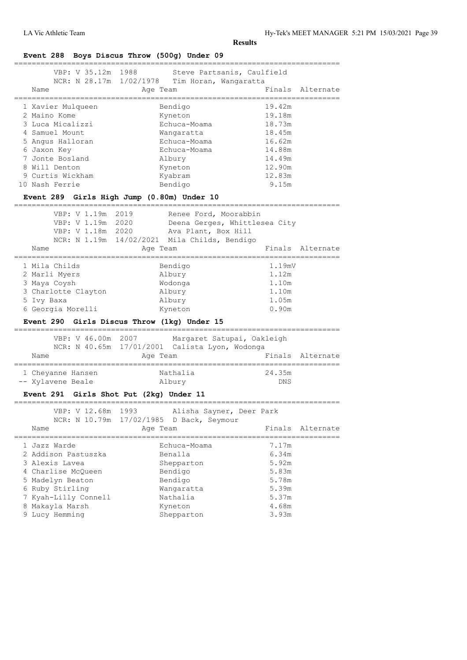==========================================================================

# **Event 288 Boys Discus Throw (500g) Under 09**

| VBP: V 35.12m 1988<br>NCR: N 28.17m 1/02/1978 | Steve Partsanis, Caulfield<br>Tim Horan, Wangaratta |                  |
|-----------------------------------------------|-----------------------------------------------------|------------------|
| Name                                          | Age Team                                            | Finals Alternate |
| 1 Xavier Mulqueen                             | Bendigo                                             | 19.42m           |
| 2 Maino Kome                                  | Kyneton                                             | 19.18m           |
| 3 Luca Micalizzi                              | Echuca-Moama                                        | 18.73m           |
| 4 Samuel Mount                                | Wangaratta                                          | 18.45m           |
| 5 Angus Halloran                              | Echuca-Moama                                        | 16.62m           |
| 6 Jaxon Key                                   | Echuca-Moama                                        | 14.88m           |
| 7 Jonte Bosland                               | Albury                                              | 14.49m           |
| 8 Will Denton                                 | Kyneton                                             | 12.90m           |
| 9 Curtis Wickham                              | Kyabram                                             | 12.83m           |
| 10 Nash Ferrie                                | Bendigo                                             | 9.15m            |
|                                               |                                                     |                  |

# **Event 289 Girls High Jump (0.80m) Under 10**

| VBP: V 1.19m<br>VBP: V 1.19m<br>VBP: V 1.18m 2020<br>Name | 2019<br>Renee Ford, Moorabbin<br>2020<br>Deena Gerges, Whittlesea City<br>Ava Plant, Box Hill<br>NCR: N 1.19m 14/02/2021 Mila Childs, Bendigo<br>Age Team | Finals Alternate |
|-----------------------------------------------------------|-----------------------------------------------------------------------------------------------------------------------------------------------------------|------------------|
| 1 Mila Childs                                             | Bendigo                                                                                                                                                   | 1.19mV           |
| 2 Marli Myers                                             | Albury                                                                                                                                                    | 1.12m            |
| 3 Maya Coysh                                              | Wodonga                                                                                                                                                   | 1.10m            |
| 3 Charlotte Clayton                                       | Albury                                                                                                                                                    | 1.10m            |
| 5 Ivy Baxa                                                | Albury                                                                                                                                                    | 1.05m            |
| 6 Georgia Morelli                                         | Kyneton                                                                                                                                                   | 0.90m            |

# **Event 290 Girls Discus Throw (1kg) Under 15**

|                   | VBP: V 46.00m 2007 | Margaret Satupai, Oakleigh                     |            |                  |
|-------------------|--------------------|------------------------------------------------|------------|------------------|
|                   |                    | NCR: N 40.65m 17/01/2001 Calista Lyon, Wodonga |            |                  |
| Name              |                    | Age Team                                       |            | Finals Alternate |
|                   |                    |                                                |            |                  |
| 1 Cheyanne Hansen |                    | Nathalia                                       | 24.35m     |                  |
| -- Xylavene Beale |                    | Albury                                         | <b>DNS</b> |                  |

# **Event 291 Girls Shot Put (2kg) Under 11**

| VBP: V 12.68m 1993   | Alisha Sayner, Deer Park<br>NCR: N 10.79m 17/02/1985 D Back, Seymour |       |                  |
|----------------------|----------------------------------------------------------------------|-------|------------------|
| Name                 | Age Team                                                             |       | Finals Alternate |
|                      |                                                                      |       |                  |
| 1 Jazz Warde         | Echuca-Moama                                                         | 7.17m |                  |
| 2 Addison Pastuszka  | Benalla                                                              | 6.34m |                  |
| 3 Alexis Lavea       | Shepparton                                                           | 5.92m |                  |
| 4 Charlise McOueen   | Bendigo                                                              | 5.83m |                  |
| 5 Madelyn Beaton     | Bendigo                                                              | 5.78m |                  |
| 6 Ruby Stirling      | Wangaratta                                                           | 5.39m |                  |
| 7 Kyah-Lilly Connell | Nathalia                                                             | 5.37m |                  |
| 8 Makayla Marsh      | Kyneton                                                              | 4.68m |                  |
| 9 Lucy Hemming       | Shepparton                                                           | 3.93m |                  |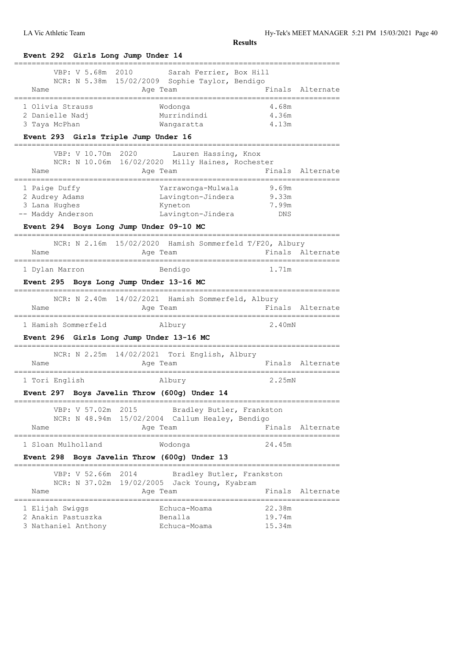LA Vic Athletic Team Hy-Tek's MEET MANAGER 5:21 PM 15/03/2021 Page 40

| VBP: V 5.68m                                                                                         | 2010<br>Sarah Ferrier, Box Hill                             |                                   |                  |
|------------------------------------------------------------------------------------------------------|-------------------------------------------------------------|-----------------------------------|------------------|
|                                                                                                      | NCR: N 5.38m 15/02/2009 Sophie Taylor, Bendigo              |                                   |                  |
| Name                                                                                                 | Age Team                                                    |                                   | Finals Alternate |
| 1 Olivia Strauss                                                                                     | Wodonga                                                     | 4.68m                             |                  |
| 2 Danielle Nadj                                                                                      | Murrindindi                                                 | 4.36m                             |                  |
| 3 Taya McPhan                                                                                        | Wangaratta                                                  | 4.13m                             |                  |
| Event 293 Girls Triple Jump Under 16                                                                 |                                                             |                                   |                  |
|                                                                                                      | VBP: V 10.70m 2020 Lauren Hassing, Knox                     |                                   |                  |
|                                                                                                      | NCR: N 10.06m 16/02/2020 Milly Haines, Rochester            |                                   |                  |
| Name                                                                                                 | Age Team                                                    |                                   | Finals Alternate |
| 1 Paige Duffy                                                                                        | Yarrawonga-Mulwala                                          | 9.69m                             |                  |
| 2 Audrey Adams                                                                                       | Lavington-Jindera                                           | 9.33m                             |                  |
| 3 Lana Hughes                                                                                        | Kyneton                                                     | 7.99m                             |                  |
| -- Maddy Anderson                                                                                    | Lavington-Jindera                                           | DNS                               |                  |
| Event 294 Boys Long Jump Under 09-10 MC                                                              |                                                             | --------------------------------- |                  |
|                                                                                                      | NCR: N 2.16m 15/02/2020 Hamish Sommerfeld T/F20, Albury     |                                   |                  |
| Name                                                                                                 | Age Team                                                    | Finals Alternate                  |                  |
| 1 Dylan Marron                                                                                       | Bendigo                                                     | 1.71m                             |                  |
| Event 295 Boys Long Jump Under 13-16 MC                                                              |                                                             |                                   |                  |
|                                                                                                      | NCR: N 2.40m 14/02/2021 Hamish Sommerfeld, Albury           |                                   |                  |
| Name                                                                                                 | Age Team                                                    |                                   | Finals Alternate |
|                                                                                                      |                                                             |                                   |                  |
|                                                                                                      |                                                             | 2.40mN                            |                  |
|                                                                                                      | Albury<br>Event 296 Girls Long Jump Under 13-16 MC          |                                   |                  |
|                                                                                                      |                                                             |                                   |                  |
| Name                                                                                                 | NCR: N 2.25m 14/02/2021 Tori English, Albury<br>Age Team    |                                   |                  |
|                                                                                                      | Albury                                                      | 2.25mN                            | Finals Alternate |
|                                                                                                      | Event 297 Boys Javelin Throw (600g) Under 14                |                                   |                  |
| VBP: V 57.02m 2015                                                                                   |                                                             |                                   |                  |
|                                                                                                      | Bradley Butler, Frankston                                   |                                   |                  |
| Name                                                                                                 | NCR: N 48.94m 15/02/2004 Callum Healey, Bendigo<br>Age Team |                                   | Finals Alternate |
|                                                                                                      |                                                             | 24.45m                            |                  |
|                                                                                                      | Wodonga<br>Event 298 Boys Javelin Throw (600g) Under 13     |                                   |                  |
|                                                                                                      |                                                             |                                   |                  |
| VBP: V 52.66m                                                                                        | 2014<br>Bradley Butler, Frankston                           |                                   |                  |
| Name                                                                                                 | NCR: N 37.02m 19/02/2005 Jack Young, Kyabram<br>Age Team    |                                   |                  |
|                                                                                                      | Echuca-Moama                                                | 22.38m                            |                  |
| 1 Hamish Sommerfeld<br>1 Tori English<br>1 Sloan Mulholland<br>1 Elijah Swiggs<br>2 Anakin Pastuszka | Benalla                                                     | 19.74m                            | Finals Alternate |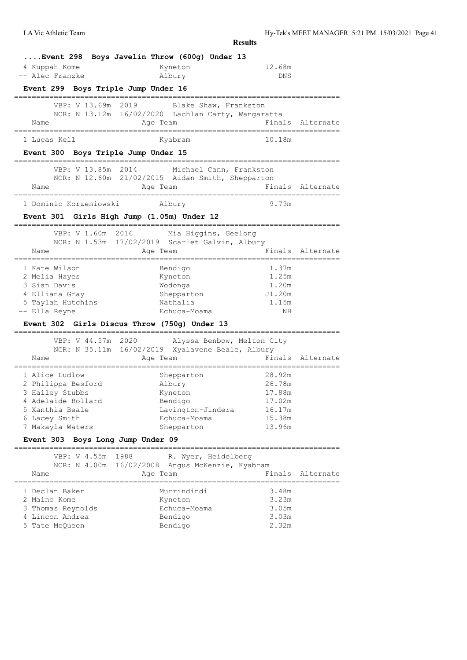|                                              | <b>Results</b>                                     |        |                  |
|----------------------------------------------|----------------------------------------------------|--------|------------------|
| Event 298 Boys Javelin Throw (600g) Under 13 |                                                    |        |                  |
| 4 Kuppah Kome                                | Kyneton                                            | 12.68m |                  |
| -- Alec Franzke                              | Albury                                             | DNS    |                  |
| Event 299 Boys Triple Jump Under 16          |                                                    |        |                  |
| VBP: V 13.69m 2019                           | Blake Shaw, Frankston                              |        |                  |
|                                              | NCR: N 13.12m 16/02/2020 Lachlan Carty, Wangaratta |        |                  |
| Name<br>____________________                 | Age Team                                           |        | Finals Alternate |
| 1 Lucas Kell                                 | Kyabram                                            | 10.18m |                  |
| Event 300 Boys Triple Jump Under 15          |                                                    |        |                  |
| VBP: V 13.85m 2014                           | Michael Cann, Frankston                            |        |                  |
|                                              | NCR: N 12.60m 21/02/2015 Aidan Smith, Shepparton   |        |                  |
| Name                                         | Age Team                                           |        | Finals Alternate |
| 1 Dominic Korzeniowski                       | Albury                                             | 9.79m  |                  |
| Event 301 Girls High Jump (1.05m) Under 12   |                                                    |        |                  |
|                                              | VBP: V 1.60m 2016 Mia Higgins, Geelong             |        |                  |
|                                              | NCR: N 1.53m 17/02/2019 Scarlet Galvin, Albury     |        |                  |
| Name<br>---------------------<br>=========== | Age Team<br>=======================                | Finals | Alternate        |
| 1 Kate Wilson                                | Bendigo                                            | 1.37m  |                  |
| 2 Melia Hayes                                | Kyneton                                            | 1.25m  |                  |
| 3 Sian Davis                                 | Wodonga                                            | 1.20m  |                  |
| 4 Elliana Gray                               | Shepparton                                         | J1.20m |                  |
| 5 Taylah Hutchins                            | Nathalia                                           | 1.15m  |                  |
| -- Ella Reyne                                | Echuca-Moama                                       | ΝH     |                  |
| Event 302 Girls Discus Throw (750q) Under 13 |                                                    |        |                  |
| VBP: V 44.57m<br>2020                        | Alyssa Benbow, Melton City                         |        |                  |
|                                              | NCR: N 35.11m 16/02/2019 Xyalavene Beale, Albury   |        | Finals Alternate |
| Name                                         | Age Team                                           |        |                  |
| 1 Alice Ludlow                               | Shepparton                                         | 28.92m |                  |
| 2 Philippa Besford                           | Albury                                             | 26.78m |                  |
| 3 Hailey Stubbs                              | Kyneton                                            | 17.88m |                  |
| 4 Adelaide Bollard                           | Bendigo                                            | 17.02m |                  |
| 5 Xanthia Beale                              | Lavington-Jindera                                  | 16.17m |                  |
| 6 Lacey Smith                                | Echuca-Moama                                       | 15.38m |                  |
| 7 Makayla Waters                             | Shepparton                                         | 13.96m |                  |
| Event 303 Boys Long Jump Under 09            | ;========================                          |        |                  |
| VBP: V 4.55m 1988                            | R. Wyer, Heidelberg                                |        |                  |
|                                              | NCR: N 4.00m 16/02/2008 Angus McKenzie, Kyabram    |        |                  |
| Name<br>=====================                | Age Team                                           |        | Finals Alternate |
| 1 Declan Baker                               | Murrindindi                                        | 3.48m  |                  |
| 2 Maino Kome                                 | Kyneton                                            | 3.23m  |                  |
| 3 Thomas Reynolds                            | Echuca-Moama                                       | 3.05m  |                  |
| 4 Lincon Andrea                              | Bendigo                                            | 3.03m  |                  |
| 5 Tate McQueen                               | Bendigo                                            | 2.32m  |                  |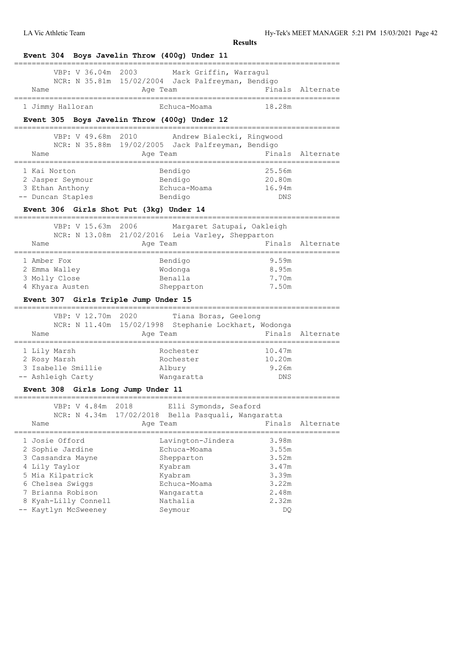| Event 304 Boys Javelin Throw (400g) Under 11                                |                                                                                         |                               |                   |
|-----------------------------------------------------------------------------|-----------------------------------------------------------------------------------------|-------------------------------|-------------------|
| VBP: V 36.04m 2003<br>Name                                                  | Mark Griffin, Warraqul<br>NCR: N 35.81m 15/02/2004 Jack Palfreyman, Bendigo<br>Age Team |                               | Finals Alternate  |
| 1 Jimmy Halloran                                                            | Echuca-Moama                                                                            | 18.28m                        |                   |
| Event 305 Boys Javelin Throw (400g) Under 12                                |                                                                                         |                               |                   |
|                                                                             |                                                                                         |                               |                   |
| VBP: V 49.68m 2010                                                          | Andrew Bialecki, Ringwood<br>NCR: N 35.88m 19/02/2005 Jack Palfreyman, Bendigo          |                               |                   |
| Name                                                                        | Age Team                                                                                |                               | Finals Alternate  |
|                                                                             |                                                                                         |                               |                   |
| 1 Kai Norton                                                                | Bendigo                                                                                 | 25.56m                        |                   |
| 2 Jasper Seymour                                                            | Bendigo                                                                                 | 20.80m                        |                   |
| 3 Ethan Anthony                                                             | Echuca-Moama                                                                            | 16.94m                        |                   |
| -- Duncan Staples                                                           | Bendigo                                                                                 | DNS                           |                   |
| Event 306 Girls Shot Put (3kg) Under 14                                     |                                                                                         |                               |                   |
|                                                                             | VBP: V 15.63m 2006 Margaret Satupai, Oakleigh                                           |                               |                   |
|                                                                             | NCR: N 13.08m 21/02/2016 Leia Varley, Shepparton                                        |                               |                   |
| Name<br>==================                                                  | Age Team<br>,,,,,,,,,,,,,,,,,,,,,,,,,,,,,,,,,,,<br>===============                      |                               | Finals Alternate  |
| 1 Amber Fox                                                                 | Bendigo                                                                                 | 9.59m                         |                   |
| 2 Emma Walley                                                               | Wodonga                                                                                 | 8.95m                         |                   |
|                                                                             |                                                                                         |                               |                   |
|                                                                             | Benalla                                                                                 | 7.70m                         |                   |
|                                                                             | Shepparton                                                                              | 7.50m                         |                   |
| 4 Khyara Austen<br>Event 307 Girls Triple Jump Under 15                     |                                                                                         |                               |                   |
| 3 Molly Close<br>====================================<br>VBP: V 12.70m 2020 | Tiana Boras, Geelong                                                                    | _____________________________ |                   |
|                                                                             | NCR: N 11.40m 15/02/1998 Stephanie Lockhart, Wodonga                                    |                               |                   |
| Name                                                                        | Age Team                                                                                | Finals                        |                   |
|                                                                             | Rochester                                                                               | 10.47m                        |                   |
| 1 Lily Marsh<br>2 Rosy Marsh                                                | Rochester                                                                               | 10.20m                        |                   |
|                                                                             | Albury                                                                                  | 9.26m                         |                   |
|                                                                             | Wangaratta                                                                              | DNS                           |                   |
| 3 Isabelle Smillie<br>Event 308 Girls Long Jump Under 11                    |                                                                                         |                               | Alternate         |
| -- Ashleigh Carty<br>VBP: V 4.84m<br>2018                                   | Elli Symonds, Seaford                                                                   |                               |                   |
| NCR: N 4.34m                                                                | 17/02/2018<br>Bella Pasquali, Wangaratta                                                |                               |                   |
| Name                                                                        | Age Team                                                                                | Finals                        | Alternate         |
| 1 Josie Offord                                                              |                                                                                         | 3.98m                         |                   |
| 2 Sophie Jardine                                                            | Lavington-Jindera<br>Echuca-Moama                                                       | 3.55m                         | ================= |
| 3 Cassandra Mayne                                                           | Shepparton                                                                              | 3.52m                         |                   |
| 4 Lily Taylor                                                               | Kyabram                                                                                 | 3.47m                         |                   |
| 5 Mia Kilpatrick                                                            | Kyabram                                                                                 | 3.39m                         |                   |
| 6 Chelsea Swiggs                                                            | Echuca-Moama                                                                            | 3.22m                         |                   |
| 7 Brianna Robison                                                           | Wanqaratta                                                                              | 2.48m                         |                   |
| 8 Kyah-Lilly Connell<br>-- Kaytlyn McSweeney                                | Nathalia<br>Seymour                                                                     | 2.32m<br>DQ.                  |                   |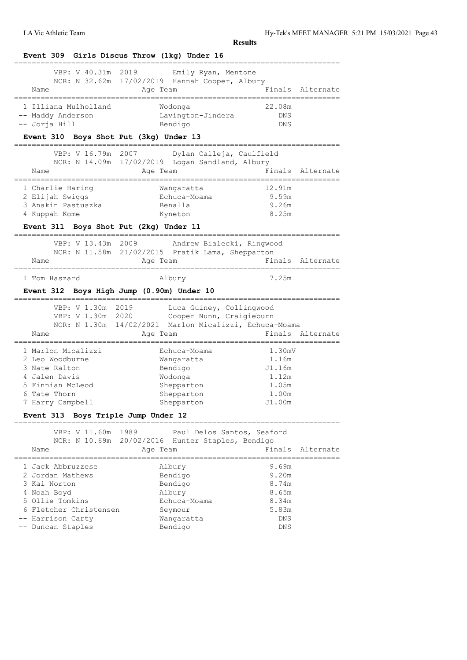| Event 309 Girls Discus Throw (1kg) Under 16                                                                                                                                                                                                                                                                  |                                    |      |                                                                                                |                              |                  |
|--------------------------------------------------------------------------------------------------------------------------------------------------------------------------------------------------------------------------------------------------------------------------------------------------------------|------------------------------------|------|------------------------------------------------------------------------------------------------|------------------------------|------------------|
|                                                                                                                                                                                                                                                                                                              | VBP: V 40.31m                      | 2019 | Emily Ryan, Mentone                                                                            |                              |                  |
|                                                                                                                                                                                                                                                                                                              |                                    |      | NCR: N 32.62m 17/02/2019 Hannah Cooper, Albury                                                 |                              |                  |
| Name<br>===================                                                                                                                                                                                                                                                                                  |                                    |      | Age Team                                                                                       | ---------------------------- | Finals Alternate |
| 1 Illiana Mulholland                                                                                                                                                                                                                                                                                         |                                    |      | Wodonga                                                                                        | 22.08m                       |                  |
| -- Maddy Anderson                                                                                                                                                                                                                                                                                            |                                    |      | Lavington-Jindera                                                                              | DNS                          |                  |
| -- Jorja Hill                                                                                                                                                                                                                                                                                                |                                    |      | Bendigo                                                                                        | DNS                          |                  |
| Event 310 Boys Shot Put (3kg) Under 13                                                                                                                                                                                                                                                                       |                                    |      |                                                                                                |                              |                  |
|                                                                                                                                                                                                                                                                                                              | VBP: V 16.79m                      | 2007 | Dylan Calleja, Caulfield                                                                       |                              |                  |
|                                                                                                                                                                                                                                                                                                              |                                    |      | NCR: N 14.09m 17/02/2019 Logan Sandland, Albury                                                |                              |                  |
| Name                                                                                                                                                                                                                                                                                                         |                                    |      | Age Team                                                                                       |                              | Finals Alternate |
|                                                                                                                                                                                                                                                                                                              |                                    |      |                                                                                                |                              |                  |
| 1 Charlie Haring                                                                                                                                                                                                                                                                                             |                                    |      | Wangaratta                                                                                     | 12.91m                       |                  |
| 2 Elijah Swiggs                                                                                                                                                                                                                                                                                              |                                    |      | Echuca-Moama                                                                                   | 9.59m                        |                  |
| 3 Anakin Pastuszka                                                                                                                                                                                                                                                                                           |                                    |      | Benalla                                                                                        | 9.26m                        |                  |
| 4 Kuppah Kome                                                                                                                                                                                                                                                                                                |                                    |      | Kyneton                                                                                        | 8.25m                        |                  |
|                                                                                                                                                                                                                                                                                                              |                                    |      | Event 311 Boys Shot Put (2kg) Under 11                                                         |                              |                  |
|                                                                                                                                                                                                                                                                                                              | ============<br>VBP: V 13.43m 2009 |      | Andrew Bialecki, Ringwood                                                                      |                              |                  |
|                                                                                                                                                                                                                                                                                                              |                                    |      | NCR: N 11.58m 21/02/2015 Pratik Lama, Shepparton                                               |                              |                  |
| Name                                                                                                                                                                                                                                                                                                         |                                    |      | Age Team                                                                                       |                              | Finals Alternate |
|                                                                                                                                                                                                                                                                                                              |                                    |      |                                                                                                |                              |                  |
|                                                                                                                                                                                                                                                                                                              |                                    |      |                                                                                                |                              |                  |
| 1 Tom Haszard                                                                                                                                                                                                                                                                                                | VBP: V 1.30m 2019                  |      | Albury<br>Event 312 Boys High Jump (0.90m) Under 10<br>Luca Guiney, Collingwood                | 7.25m                        |                  |
| Name                                                                                                                                                                                                                                                                                                         | VBP: V 1.30m 2020                  |      | Cooper Nunn, Craigieburn<br>NCR: N 1.30m 14/02/2021 Marlon Micalizzi, Echuca-Moama<br>Age Team |                              | Finals Alternate |
|                                                                                                                                                                                                                                                                                                              |                                    |      |                                                                                                |                              |                  |
|                                                                                                                                                                                                                                                                                                              |                                    |      | Echuca-Moama                                                                                   | 1.30mV                       |                  |
|                                                                                                                                                                                                                                                                                                              |                                    |      | Wangaratta                                                                                     | 1.16m                        |                  |
|                                                                                                                                                                                                                                                                                                              |                                    |      | Bendigo                                                                                        | J1.16m                       |                  |
|                                                                                                                                                                                                                                                                                                              |                                    |      | Wodonga                                                                                        | 1.12m                        |                  |
|                                                                                                                                                                                                                                                                                                              |                                    |      | Shepparton                                                                                     | 1.05m                        |                  |
|                                                                                                                                                                                                                                                                                                              |                                    |      | Shepparton                                                                                     | 1.00m                        |                  |
|                                                                                                                                                                                                                                                                                                              |                                    |      | Shepparton                                                                                     | J1.00m                       |                  |
|                                                                                                                                                                                                                                                                                                              | ================                   |      |                                                                                                |                              |                  |
| 7 Harry Campbell                                                                                                                                                                                                                                                                                             | VBP: V 11.60m                      | 1989 | Paul Delos Santos, Seaford                                                                     |                              |                  |
|                                                                                                                                                                                                                                                                                                              |                                    |      | NCR: N 10.69m 20/02/2016 Hunter Staples, Bendigo                                               |                              |                  |
| Name                                                                                                                                                                                                                                                                                                         |                                    |      | Age Team                                                                                       | Finals                       |                  |
|                                                                                                                                                                                                                                                                                                              |                                    |      | Albury                                                                                         | 9.69m                        |                  |
|                                                                                                                                                                                                                                                                                                              |                                    |      |                                                                                                | 9.20m                        |                  |
|                                                                                                                                                                                                                                                                                                              |                                    |      | Bendigo                                                                                        | 8.74m                        |                  |
|                                                                                                                                                                                                                                                                                                              |                                    |      | Bendigo                                                                                        | 8.65m                        |                  |
|                                                                                                                                                                                                                                                                                                              |                                    |      | Albury<br>Echuca-Moama                                                                         | 8.34m                        |                  |
|                                                                                                                                                                                                                                                                                                              |                                    |      |                                                                                                |                              |                  |
| 1 Marlon Micalizzi<br>2 Leo Woodburne<br>3 Nate Ralton<br>4 Jalen Davis<br>5 Finnian McLeod<br>6 Tate Thorn<br>Event 313 Boys Triple Jump Under 12<br>============<br>1 Jack Abbruzzese<br>2 Jordan Mathews<br>3 Kai Norton<br>4 Noah Boyd<br>5 Ollie Tomkins<br>6 Fletcher Christensen<br>-- Harrison Carty |                                    |      | Seymour<br>Wangaratta                                                                          | 5.83m<br><b>DNS</b>          | Alternate        |